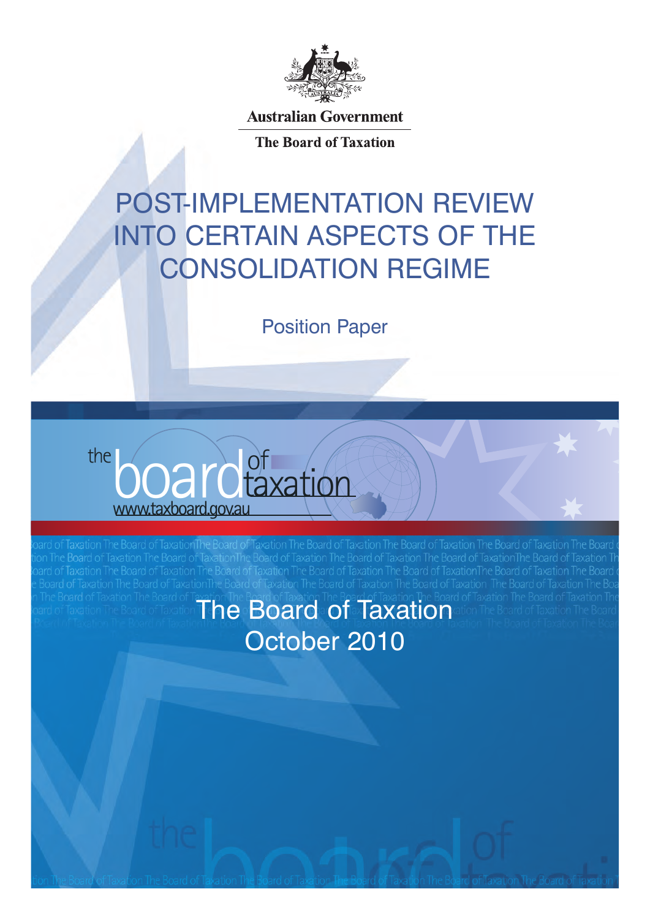

**Australian Government** 

**The Board of Taxation** 

# POST‑IMPLEMENTATION REVIEW INTO CERTAIN ASPECTS OF THE CONSOLIDATION REGIME

Position Paper



The Board of Taxation October 2010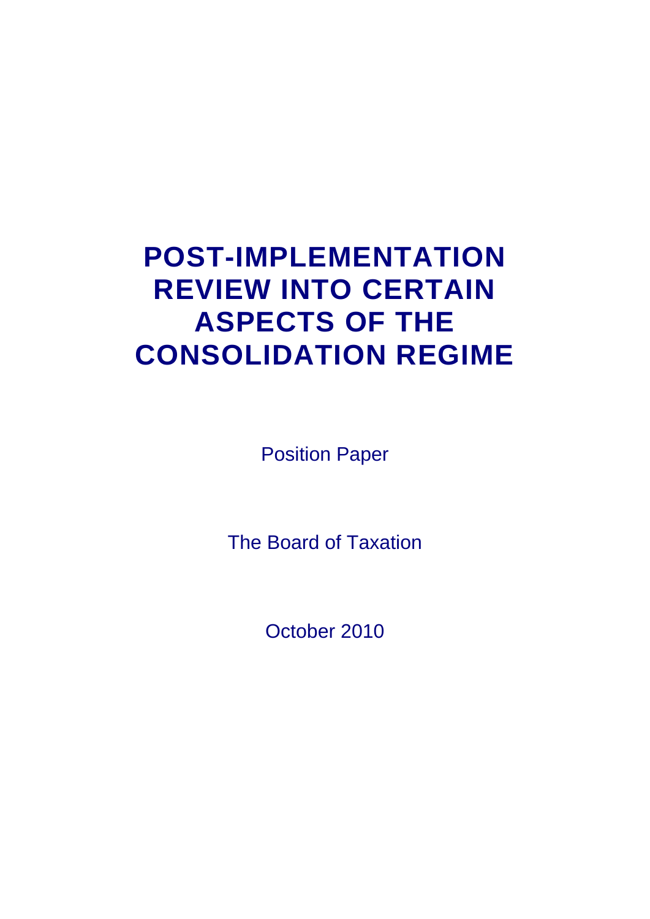# **POST-IMPLEMENTATION REVIEW INTO CERTAIN ASPECTS OF THE CONSOLIDATION REGIME**

Position Paper

The Board of Taxation

October 2010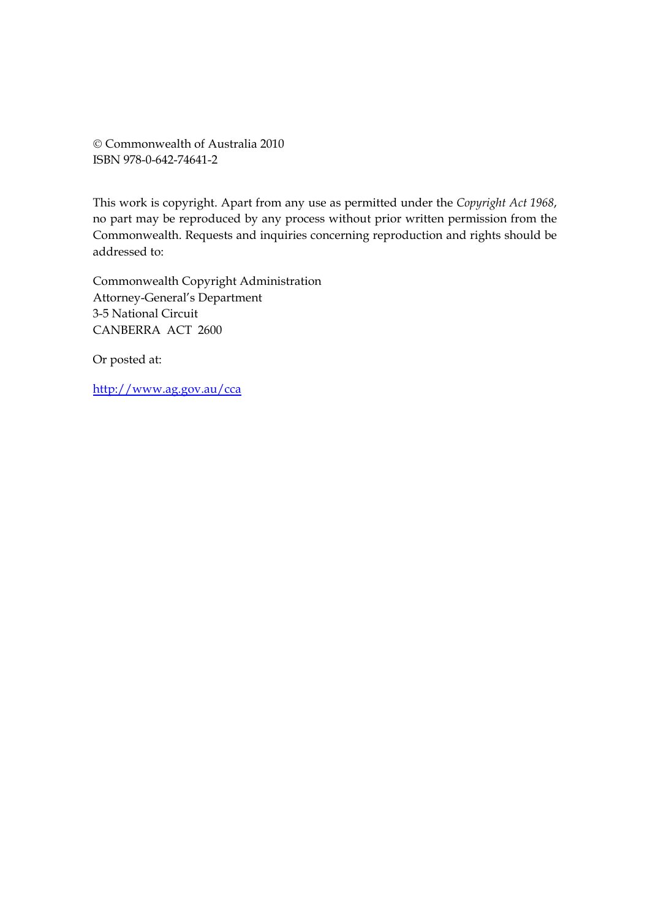Commonwealth of Australia 2010 ISBN 978-0-642-74641-2

This work is copyright. Apart from any use as permitted under the *Copyright Act 1968*, no part may be reproduced by any process without prior written permission from the Commonwealth. Requests and inquiries concerning reproduction and rights should be addressed to:

Commonwealth Copyright Administration Attorney-General's Department 3-5 National Circuit CANBERRA ACT 2600

Or posted at:

http://www.ag.gov.au/cca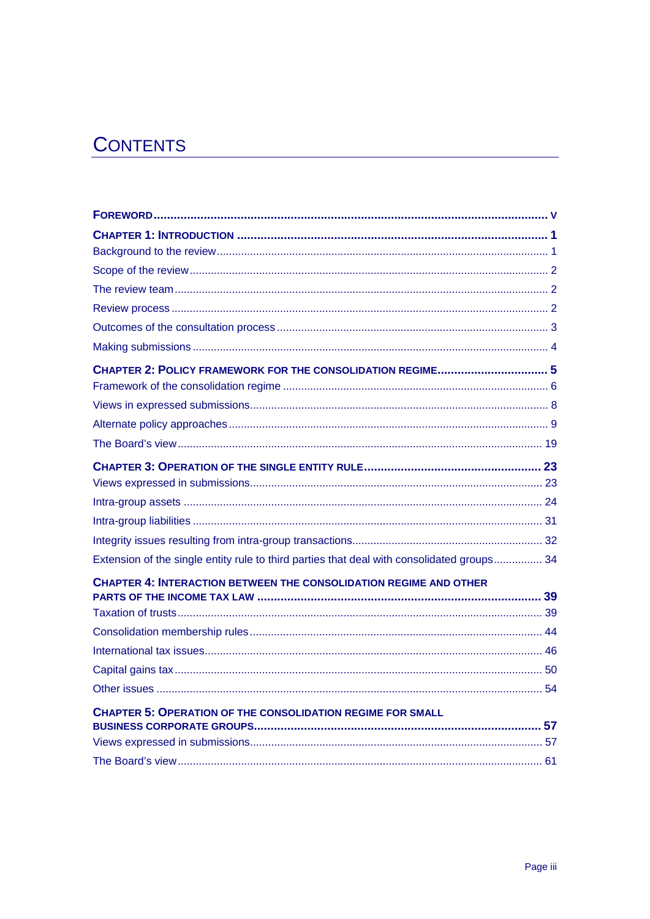## **CONTENTS**

| CHAPTER 2: POLICY FRAMEWORK FOR THE CONSOLIDATION REGIME 5                                 |  |
|--------------------------------------------------------------------------------------------|--|
|                                                                                            |  |
|                                                                                            |  |
|                                                                                            |  |
|                                                                                            |  |
|                                                                                            |  |
|                                                                                            |  |
|                                                                                            |  |
|                                                                                            |  |
| Extension of the single entity rule to third parties that deal with consolidated groups 34 |  |
| <b>CHAPTER 4: INTERACTION BETWEEN THE CONSOLIDATION REGIME AND OTHER</b>                   |  |
|                                                                                            |  |
|                                                                                            |  |
|                                                                                            |  |
|                                                                                            |  |
|                                                                                            |  |
| <b>CHAPTER 5: OPERATION OF THE CONSOLIDATION REGIME FOR SMALL</b>                          |  |
|                                                                                            |  |
|                                                                                            |  |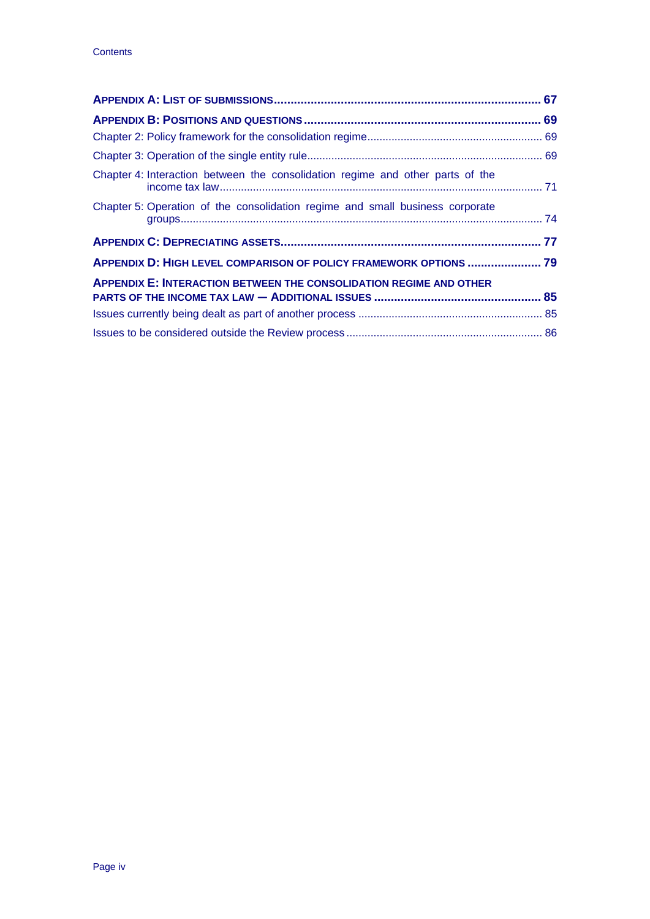| Chapter 4: Interaction between the consolidation regime and other parts of the |  |
|--------------------------------------------------------------------------------|--|
| Chapter 5: Operation of the consolidation regime and small business corporate  |  |
|                                                                                |  |
| APPENDIX D: HIGH LEVEL COMPARISON OF POLICY FRAMEWORK OPTIONS  79              |  |
| <b>APPENDIX E: INTERACTION BETWEEN THE CONSOLIDATION REGIME AND OTHER</b>      |  |
|                                                                                |  |
|                                                                                |  |
|                                                                                |  |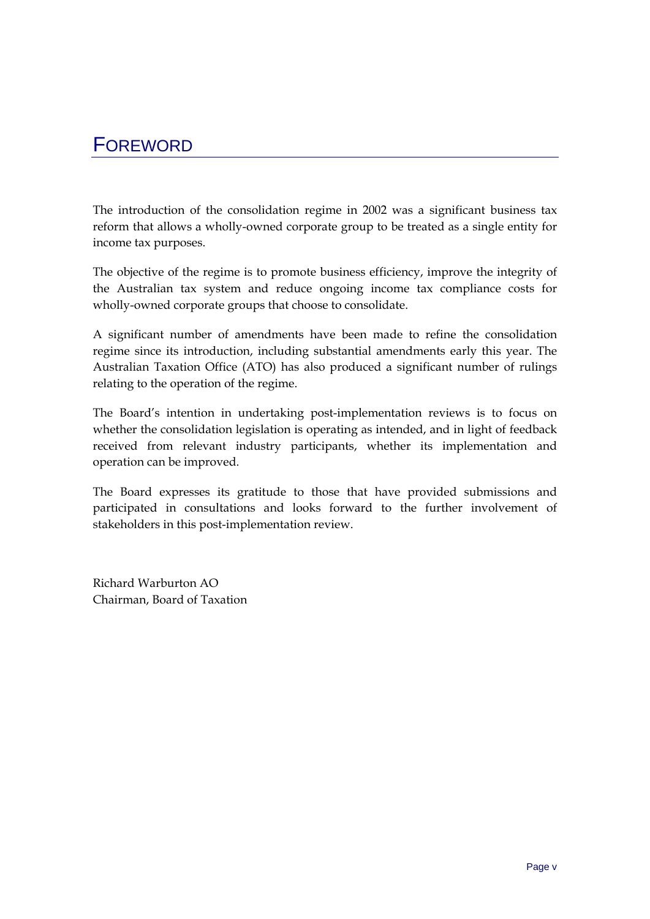## **FOREWORD**

The introduction of the consolidation regime in 2002 was a significant business tax reform that allows a wholly-owned corporate group to be treated as a single entity for income tax purposes.

The objective of the regime is to promote business efficiency, improve the integrity of the Australian tax system and reduce ongoing income tax compliance costs for wholly-owned corporate groups that choose to consolidate.

A significant number of amendments have been made to refine the consolidation regime since its introduction, including substantial amendments early this year. The Australian Taxation Office (ATO) has also produced a significant number of rulings relating to the operation of the regime.

The Board's intention in undertaking post-implementation reviews is to focus on whether the consolidation legislation is operating as intended, and in light of feedback received from relevant industry participants, whether its implementation and operation can be improved.

The Board expresses its gratitude to those that have provided submissions and participated in consultations and looks forward to the further involvement of stakeholders in this post-implementation review.

Richard Warburton AO Chairman, Board of Taxation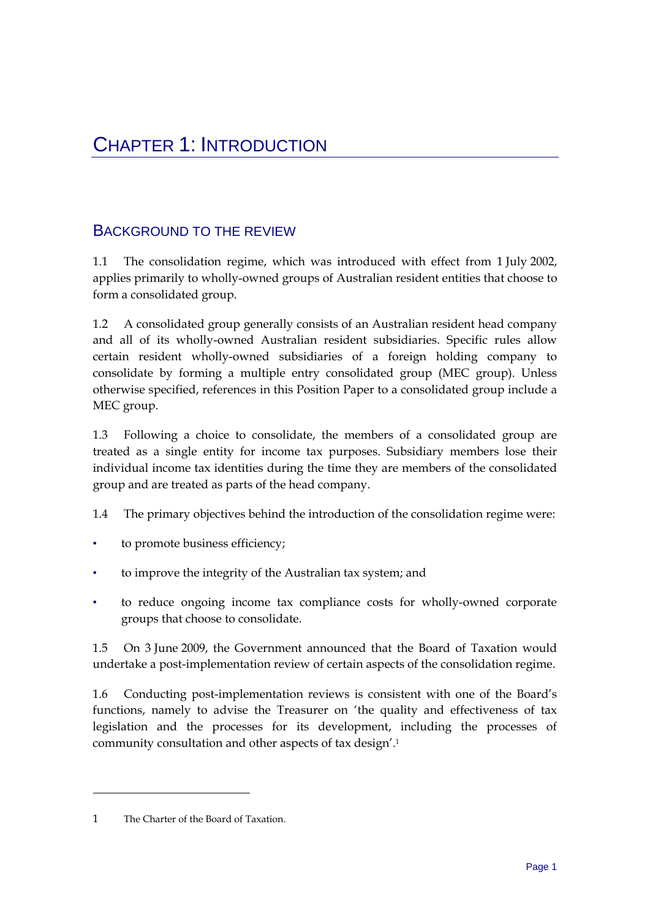## BACKGROUND TO THE REVIEW

1.1 The consolidation regime, which was introduced with effect from 1 July 2002, applies primarily to wholly-owned groups of Australian resident entities that choose to form a consolidated group.

1.2 A consolidated group generally consists of an Australian resident head company and all of its wholly-owned Australian resident subsidiaries. Specific rules allow certain resident wholly-owned subsidiaries of a foreign holding company to consolidate by forming a multiple entry consolidated group (MEC group). Unless otherwise specified, references in this Position Paper to a consolidated group include a MEC group.

1.3 Following a choice to consolidate, the members of a consolidated group are treated as a single entity for income tax purposes. Subsidiary members lose their individual income tax identities during the time they are members of the consolidated group and are treated as parts of the head company.

1.4 The primary objectives behind the introduction of the consolidation regime were:

- to promote business efficiency;
- to improve the integrity of the Australian tax system; and
- to reduce ongoing income tax compliance costs for wholly-owned corporate groups that choose to consolidate.

1.5 On 3 June 2009, the Government announced that the Board of Taxation would undertake a post-implementation review of certain aspects of the consolidation regime.

1.6 Conducting post-implementation reviews is consistent with one of the Board's functions, namely to advise the Treasurer on 'the quality and effectiveness of tax legislation and the processes for its development, including the processes of community consultation and other aspects of tax design'.1

<sup>1</sup> The Charter of the Board of Taxation.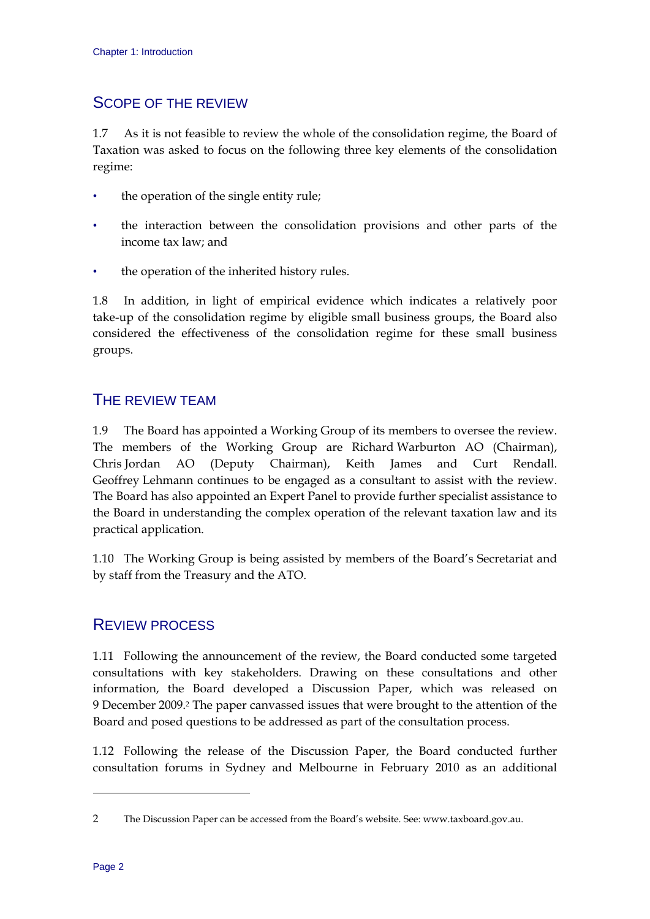## SCOPE OF THE REVIEW

1.7 As it is not feasible to review the whole of the consolidation regime, the Board of Taxation was asked to focus on the following three key elements of the consolidation regime:

- the operation of the single entity rule;
- the interaction between the consolidation provisions and other parts of the income tax law; and
- the operation of the inherited history rules.

1.8 In addition, in light of empirical evidence which indicates a relatively poor take-up of the consolidation regime by eligible small business groups, the Board also considered the effectiveness of the consolidation regime for these small business groups.

## THE REVIEW TEAM

1.9 The Board has appointed a Working Group of its members to oversee the review. The members of the Working Group are Richard Warburton AO (Chairman), Chris Jordan AO (Deputy Chairman), Keith James and Curt Rendall. Geoffrey Lehmann continues to be engaged as a consultant to assist with the review. The Board has also appointed an Expert Panel to provide further specialist assistance to the Board in understanding the complex operation of the relevant taxation law and its practical application.

1.10 The Working Group is being assisted by members of the Board's Secretariat and by staff from the Treasury and the ATO.

## REVIEW PROCESS

1.11 Following the announcement of the review, the Board conducted some targeted consultations with key stakeholders. Drawing on these consultations and other information, the Board developed a Discussion Paper, which was released on 9 December 2009.2 The paper canvassed issues that were brought to the attention of the Board and posed questions to be addressed as part of the consultation process.

1.12 Following the release of the Discussion Paper, the Board conducted further consultation forums in Sydney and Melbourne in February 2010 as an additional

<sup>2</sup> The Discussion Paper can be accessed from the Board's website. See: www.taxboard.gov.au.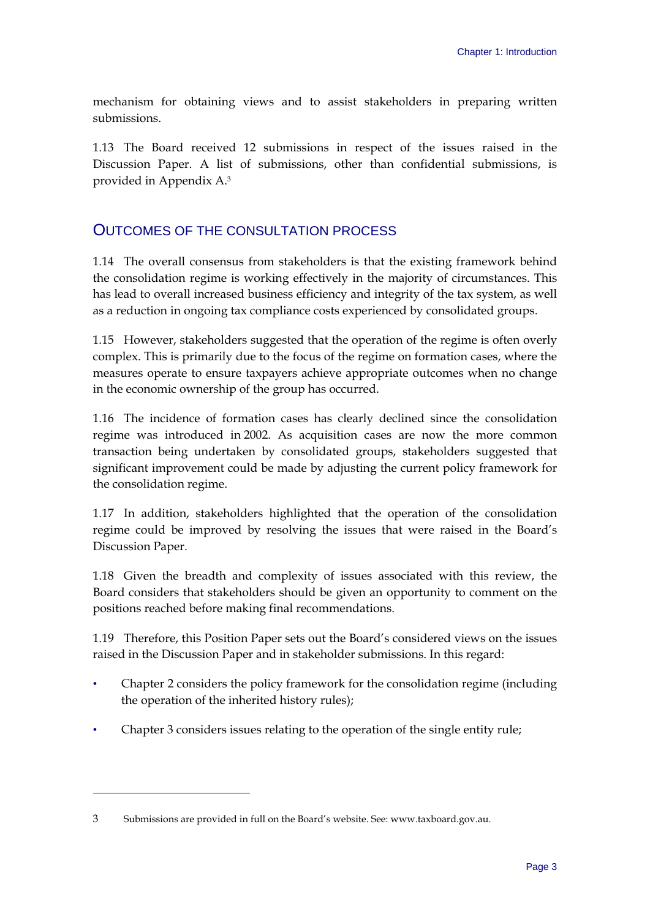mechanism for obtaining views and to assist stakeholders in preparing written submissions.

1.13 The Board received 12 submissions in respect of the issues raised in the Discussion Paper. A list of submissions, other than confidential submissions, is provided in Appendix A.3

## OUTCOMES OF THE CONSULTATION PROCESS

1.14 The overall consensus from stakeholders is that the existing framework behind the consolidation regime is working effectively in the majority of circumstances. This has lead to overall increased business efficiency and integrity of the tax system, as well as a reduction in ongoing tax compliance costs experienced by consolidated groups.

1.15 However, stakeholders suggested that the operation of the regime is often overly complex. This is primarily due to the focus of the regime on formation cases, where the measures operate to ensure taxpayers achieve appropriate outcomes when no change in the economic ownership of the group has occurred.

1.16 The incidence of formation cases has clearly declined since the consolidation regime was introduced in 2002. As acquisition cases are now the more common transaction being undertaken by consolidated groups, stakeholders suggested that significant improvement could be made by adjusting the current policy framework for the consolidation regime.

1.17 In addition, stakeholders highlighted that the operation of the consolidation regime could be improved by resolving the issues that were raised in the Board's Discussion Paper.

1.18 Given the breadth and complexity of issues associated with this review, the Board considers that stakeholders should be given an opportunity to comment on the positions reached before making final recommendations.

1.19 Therefore, this Position Paper sets out the Board's considered views on the issues raised in the Discussion Paper and in stakeholder submissions. In this regard:

- Chapter 2 considers the policy framework for the consolidation regime (including the operation of the inherited history rules);
- Chapter 3 considers issues relating to the operation of the single entity rule;

<sup>3</sup> Submissions are provided in full on the Board's website. See: www.taxboard.gov.au.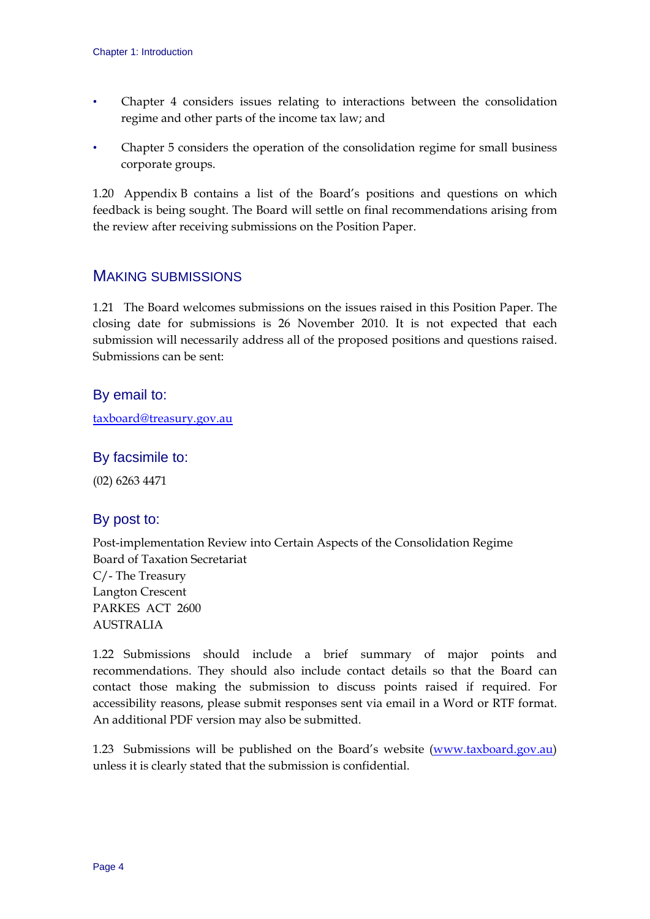- Chapter 4 considers issues relating to interactions between the consolidation regime and other parts of the income tax law; and
- Chapter 5 considers the operation of the consolidation regime for small business corporate groups.

1.20 Appendix B contains a list of the Board's positions and questions on which feedback is being sought. The Board will settle on final recommendations arising from the review after receiving submissions on the Position Paper.

## MAKING SUBMISSIONS

1.21 The Board welcomes submissions on the issues raised in this Position Paper. The closing date for submissions is 26 November 2010. It is not expected that each submission will necessarily address all of the proposed positions and questions raised. Submissions can be sent:

## By email to:

taxboard@treasury.gov.au

## By facsimile to:

(02) 6263 4471

## By post to:

Post-implementation Review into Certain Aspects of the Consolidation Regime Board of Taxation Secretariat C/- The Treasury Langton Crescent PARKES ACT 2600 AUSTRALIA

1.22 Submissions should include a brief summary of major points and recommendations. They should also include contact details so that the Board can contact those making the submission to discuss points raised if required. For accessibility reasons, please submit responses sent via email in a Word or RTF format. An additional PDF version may also be submitted.

1.23 Submissions will be published on the Board's website (www.taxboard.gov.au) unless it is clearly stated that the submission is confidential.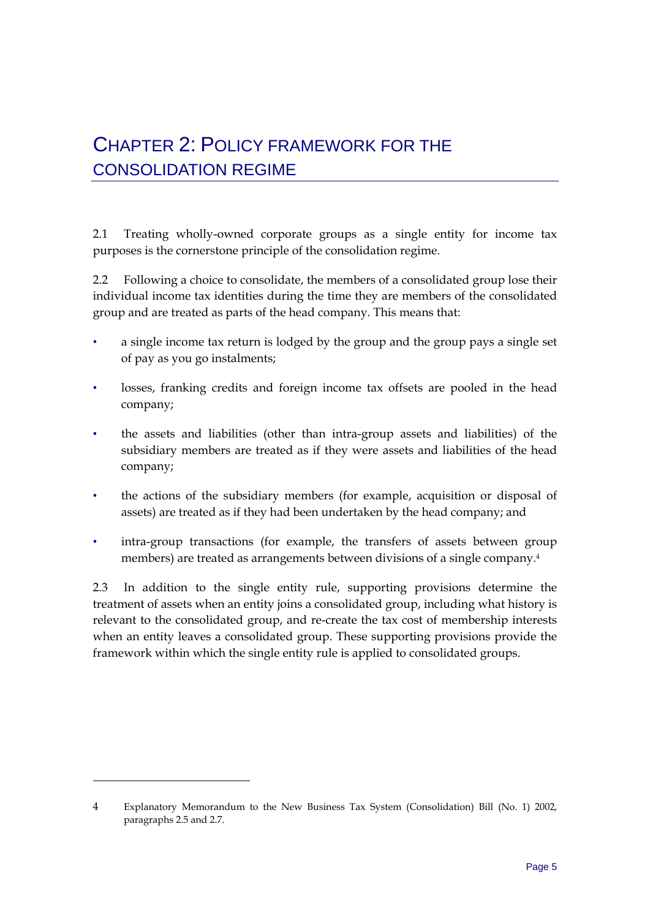## CHAPTER 2: POLICY FRAMEWORK FOR THE CONSOLIDATION REGIME

2.1 Treating wholly-owned corporate groups as a single entity for income tax purposes is the cornerstone principle of the consolidation regime.

2.2 Following a choice to consolidate, the members of a consolidated group lose their individual income tax identities during the time they are members of the consolidated group and are treated as parts of the head company. This means that:

- a single income tax return is lodged by the group and the group pays a single set of pay as you go instalments;
- losses, franking credits and foreign income tax offsets are pooled in the head company;
- the assets and liabilities (other than intra-group assets and liabilities) of the subsidiary members are treated as if they were assets and liabilities of the head company;
- the actions of the subsidiary members (for example, acquisition or disposal of assets) are treated as if they had been undertaken by the head company; and
- intra-group transactions (for example, the transfers of assets between group members) are treated as arrangements between divisions of a single company.4

2.3 In addition to the single entity rule, supporting provisions determine the treatment of assets when an entity joins a consolidated group, including what history is relevant to the consolidated group, and re-create the tax cost of membership interests when an entity leaves a consolidated group. These supporting provisions provide the framework within which the single entity rule is applied to consolidated groups.

1

<sup>4</sup> Explanatory Memorandum to the New Business Tax System (Consolidation) Bill (No. 1) 2002, paragraphs 2.5 and 2.7.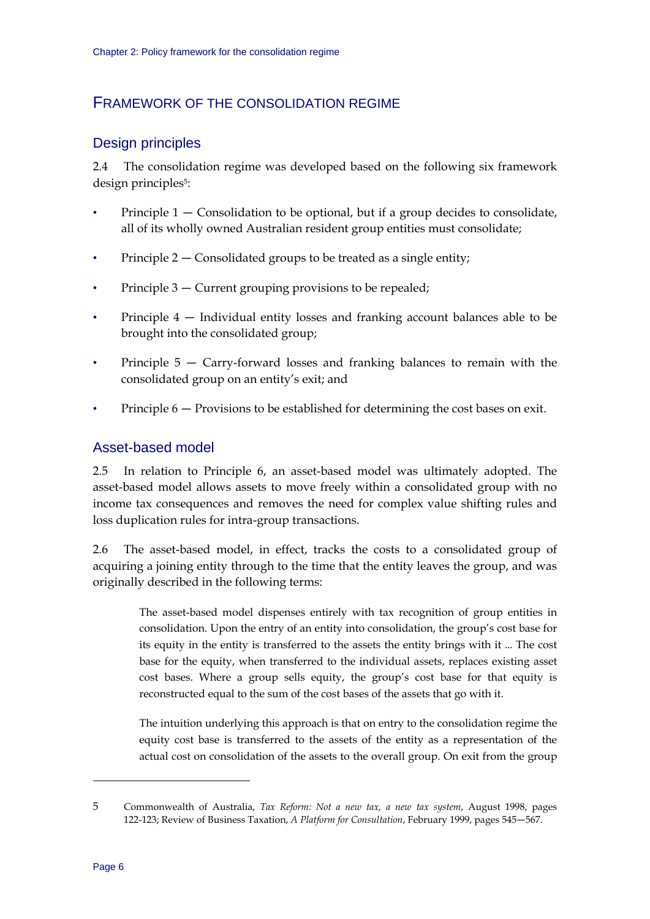## FRAMEWORK OF THE CONSOLIDATION REGIME

## Design principles

2.4 The consolidation regime was developed based on the following six framework design principles<sup>5</sup>:

- Principle  $1 -$  Consolidation to be optional, but if a group decides to consolidate, all of its wholly owned Australian resident group entities must consolidate;
- Principle  $2 -$ Consolidated groups to be treated as a single entity;
- Principle  $3 -$  Current grouping provisions to be repealed;
- Principle 4 Individual entity losses and franking account balances able to be brought into the consolidated group;
- Principle 5 Carry-forward losses and franking balances to remain with the consolidated group on an entity's exit; and
- Principle 6 Provisions to be established for determining the cost bases on exit.

## Asset-based model

2.5 In relation to Principle 6, an asset-based model was ultimately adopted. The asset-based model allows assets to move freely within a consolidated group with no income tax consequences and removes the need for complex value shifting rules and loss duplication rules for intra-group transactions.

2.6 The asset-based model, in effect, tracks the costs to a consolidated group of acquiring a joining entity through to the time that the entity leaves the group, and was originally described in the following terms:

The asset-based model dispenses entirely with tax recognition of group entities in consolidation. Upon the entry of an entity into consolidation, the group's cost base for its equity in the entity is transferred to the assets the entity brings with it … The cost base for the equity, when transferred to the individual assets, replaces existing asset cost bases. Where a group sells equity, the group's cost base for that equity is reconstructed equal to the sum of the cost bases of the assets that go with it.

The intuition underlying this approach is that on entry to the consolidation regime the equity cost base is transferred to the assets of the entity as a representation of the actual cost on consolidation of the assets to the overall group. On exit from the group

<sup>5</sup> Commonwealth of Australia, *Tax Reform: Not a new tax, a new tax system*, August 1998, pages 122-123; Review of Business Taxation, *A Platform for Consultation*, February 1999, pages 545—567.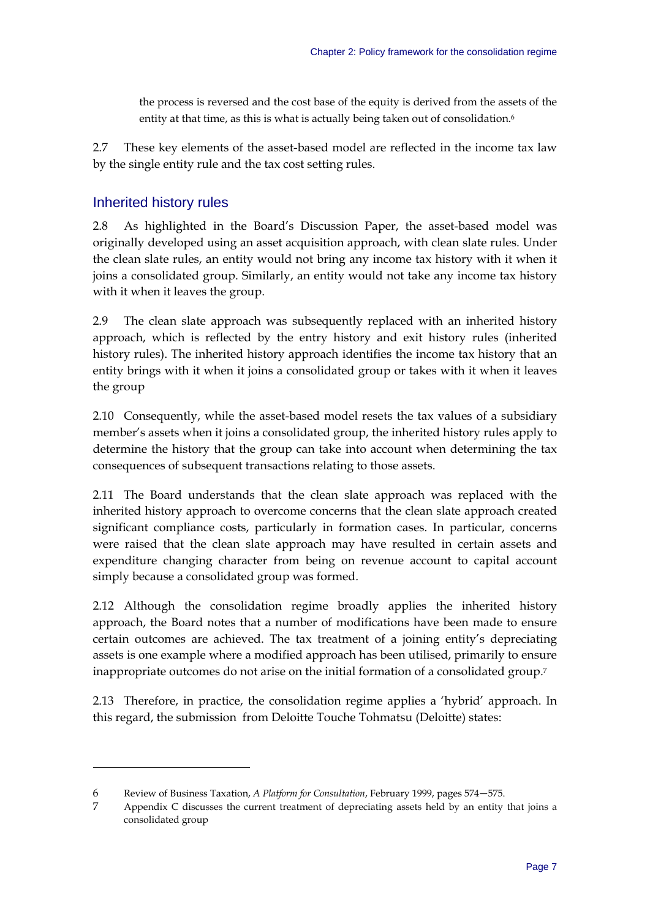the process is reversed and the cost base of the equity is derived from the assets of the entity at that time, as this is what is actually being taken out of consolidation.<sup>6</sup>

2.7 These key elements of the asset-based model are reflected in the income tax law by the single entity rule and the tax cost setting rules.

## Inherited history rules

-

2.8 As highlighted in the Board's Discussion Paper, the asset-based model was originally developed using an asset acquisition approach, with clean slate rules. Under the clean slate rules, an entity would not bring any income tax history with it when it joins a consolidated group. Similarly, an entity would not take any income tax history with it when it leaves the group.

2.9 The clean slate approach was subsequently replaced with an inherited history approach, which is reflected by the entry history and exit history rules (inherited history rules). The inherited history approach identifies the income tax history that an entity brings with it when it joins a consolidated group or takes with it when it leaves the group

2.10 Consequently, while the asset-based model resets the tax values of a subsidiary member's assets when it joins a consolidated group, the inherited history rules apply to determine the history that the group can take into account when determining the tax consequences of subsequent transactions relating to those assets.

2.11 The Board understands that the clean slate approach was replaced with the inherited history approach to overcome concerns that the clean slate approach created significant compliance costs, particularly in formation cases. In particular, concerns were raised that the clean slate approach may have resulted in certain assets and expenditure changing character from being on revenue account to capital account simply because a consolidated group was formed.

2.12 Although the consolidation regime broadly applies the inherited history approach, the Board notes that a number of modifications have been made to ensure certain outcomes are achieved. The tax treatment of a joining entity's depreciating assets is one example where a modified approach has been utilised, primarily to ensure inappropriate outcomes do not arise on the initial formation of a consolidated group.7

2.13 Therefore, in practice, the consolidation regime applies a 'hybrid' approach. In this regard, the submission from Deloitte Touche Tohmatsu (Deloitte) states:

<sup>6</sup> Review of Business Taxation, *A Platform for Consultation*, February 1999, pages 574—575.

<sup>7</sup> Appendix C discusses the current treatment of depreciating assets held by an entity that joins a consolidated group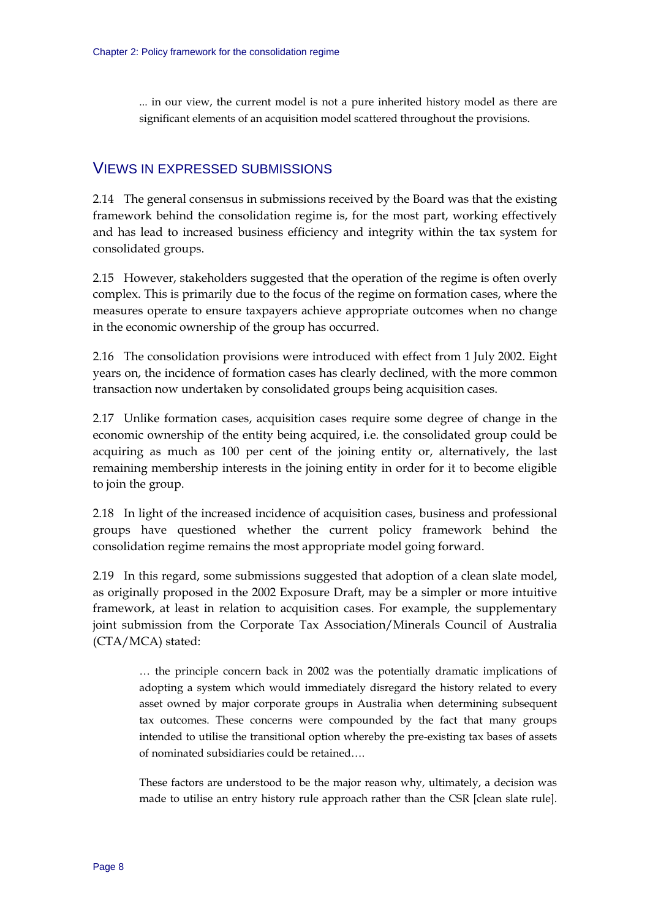... in our view, the current model is not a pure inherited history model as there are significant elements of an acquisition model scattered throughout the provisions.

## VIEWS IN EXPRESSED SUBMISSIONS

2.14 The general consensus in submissions received by the Board was that the existing framework behind the consolidation regime is, for the most part, working effectively and has lead to increased business efficiency and integrity within the tax system for consolidated groups.

2.15 However, stakeholders suggested that the operation of the regime is often overly complex. This is primarily due to the focus of the regime on formation cases, where the measures operate to ensure taxpayers achieve appropriate outcomes when no change in the economic ownership of the group has occurred.

2.16 The consolidation provisions were introduced with effect from 1 July 2002. Eight years on, the incidence of formation cases has clearly declined, with the more common transaction now undertaken by consolidated groups being acquisition cases.

2.17 Unlike formation cases, acquisition cases require some degree of change in the economic ownership of the entity being acquired, i.e. the consolidated group could be acquiring as much as 100 per cent of the joining entity or, alternatively, the last remaining membership interests in the joining entity in order for it to become eligible to join the group.

2.18 In light of the increased incidence of acquisition cases, business and professional groups have questioned whether the current policy framework behind the consolidation regime remains the most appropriate model going forward.

2.19 In this regard, some submissions suggested that adoption of a clean slate model, as originally proposed in the 2002 Exposure Draft, may be a simpler or more intuitive framework, at least in relation to acquisition cases. For example, the supplementary joint submission from the Corporate Tax Association/Minerals Council of Australia (CTA/MCA) stated:

… the principle concern back in 2002 was the potentially dramatic implications of adopting a system which would immediately disregard the history related to every asset owned by major corporate groups in Australia when determining subsequent tax outcomes. These concerns were compounded by the fact that many groups intended to utilise the transitional option whereby the pre-existing tax bases of assets of nominated subsidiaries could be retained….

These factors are understood to be the major reason why, ultimately, a decision was made to utilise an entry history rule approach rather than the CSR [clean slate rule].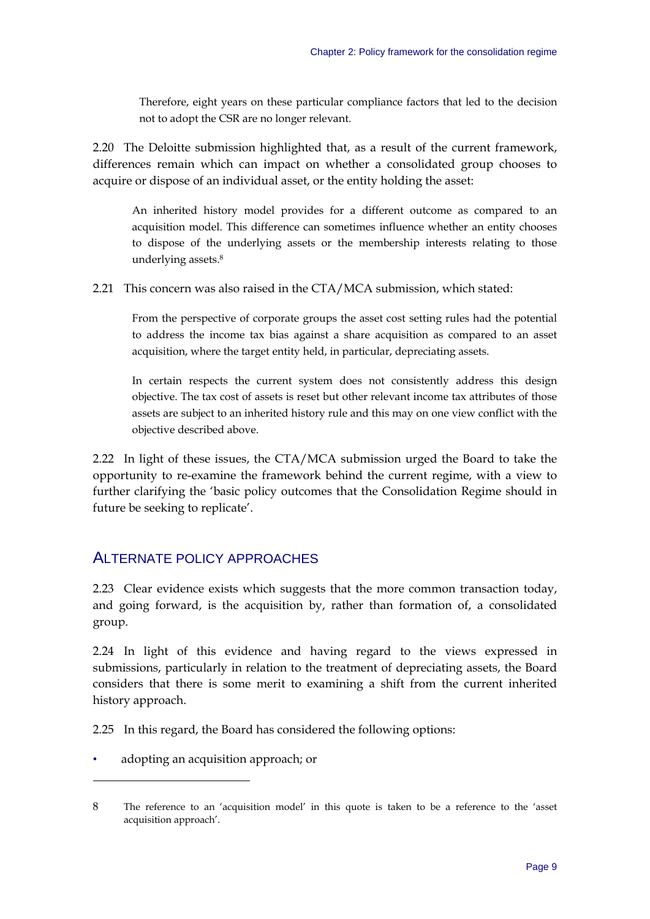Therefore, eight years on these particular compliance factors that led to the decision not to adopt the CSR are no longer relevant.

2.20 The Deloitte submission highlighted that, as a result of the current framework, differences remain which can impact on whether a consolidated group chooses to acquire or dispose of an individual asset, or the entity holding the asset:

An inherited history model provides for a different outcome as compared to an acquisition model. This difference can sometimes influence whether an entity chooses to dispose of the underlying assets or the membership interests relating to those underlying assets.8

2.21 This concern was also raised in the CTA/MCA submission, which stated:

From the perspective of corporate groups the asset cost setting rules had the potential to address the income tax bias against a share acquisition as compared to an asset acquisition, where the target entity held, in particular, depreciating assets.

In certain respects the current system does not consistently address this design objective. The tax cost of assets is reset but other relevant income tax attributes of those assets are subject to an inherited history rule and this may on one view conflict with the objective described above.

2.22 In light of these issues, the CTA/MCA submission urged the Board to take the opportunity to re-examine the framework behind the current regime, with a view to further clarifying the 'basic policy outcomes that the Consolidation Regime should in future be seeking to replicate'.

## ALTERNATE POLICY APPROACHES

2.23 Clear evidence exists which suggests that the more common transaction today, and going forward, is the acquisition by, rather than formation of, a consolidated group.

2.24 In light of this evidence and having regard to the views expressed in submissions, particularly in relation to the treatment of depreciating assets, the Board considers that there is some merit to examining a shift from the current inherited history approach.

2.25 In this regard, the Board has considered the following options:

• adopting an acquisition approach; or

<sup>8</sup> The reference to an 'acquisition model' in this quote is taken to be a reference to the 'asset acquisition approach'.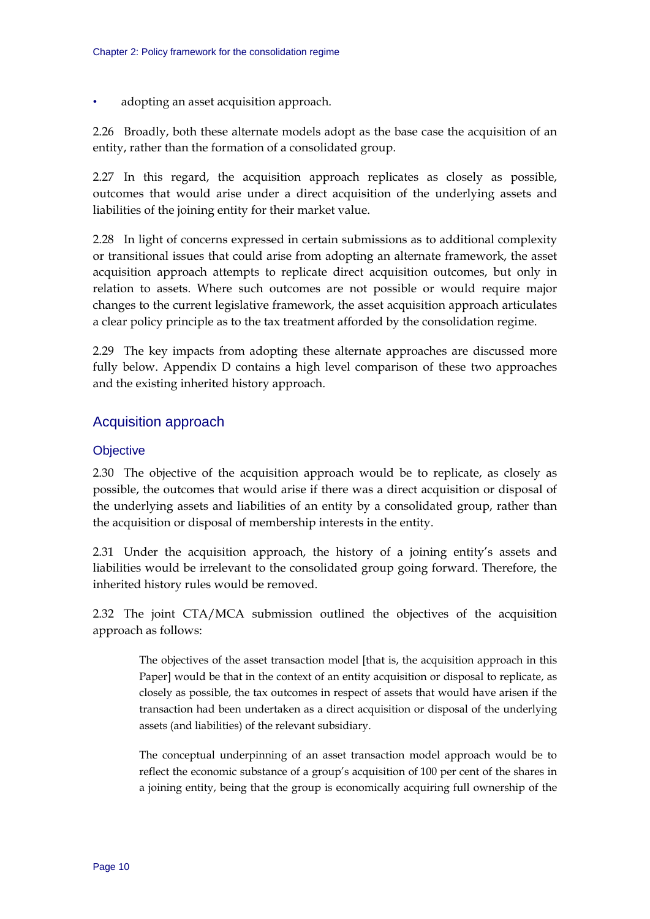• adopting an asset acquisition approach.

2.26 Broadly, both these alternate models adopt as the base case the acquisition of an entity, rather than the formation of a consolidated group.

2.27 In this regard, the acquisition approach replicates as closely as possible, outcomes that would arise under a direct acquisition of the underlying assets and liabilities of the joining entity for their market value.

2.28 In light of concerns expressed in certain submissions as to additional complexity or transitional issues that could arise from adopting an alternate framework, the asset acquisition approach attempts to replicate direct acquisition outcomes, but only in relation to assets. Where such outcomes are not possible or would require major changes to the current legislative framework, the asset acquisition approach articulates a clear policy principle as to the tax treatment afforded by the consolidation regime.

2.29 The key impacts from adopting these alternate approaches are discussed more fully below. Appendix D contains a high level comparison of these two approaches and the existing inherited history approach.

#### Acquisition approach

#### **Objective**

2.30 The objective of the acquisition approach would be to replicate, as closely as possible, the outcomes that would arise if there was a direct acquisition or disposal of the underlying assets and liabilities of an entity by a consolidated group, rather than the acquisition or disposal of membership interests in the entity.

2.31 Under the acquisition approach, the history of a joining entity's assets and liabilities would be irrelevant to the consolidated group going forward. Therefore, the inherited history rules would be removed.

2.32 The joint CTA/MCA submission outlined the objectives of the acquisition approach as follows:

The objectives of the asset transaction model [that is, the acquisition approach in this Paper] would be that in the context of an entity acquisition or disposal to replicate, as closely as possible, the tax outcomes in respect of assets that would have arisen if the transaction had been undertaken as a direct acquisition or disposal of the underlying assets (and liabilities) of the relevant subsidiary.

The conceptual underpinning of an asset transaction model approach would be to reflect the economic substance of a group's acquisition of 100 per cent of the shares in a joining entity, being that the group is economically acquiring full ownership of the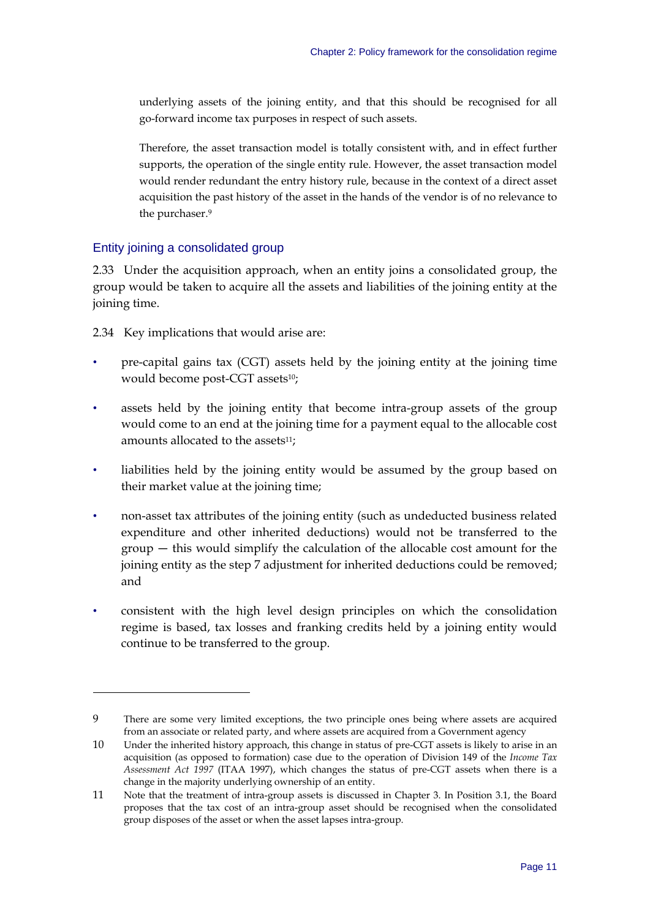underlying assets of the joining entity, and that this should be recognised for all go-forward income tax purposes in respect of such assets.

Therefore, the asset transaction model is totally consistent with, and in effect further supports, the operation of the single entity rule. However, the asset transaction model would render redundant the entry history rule, because in the context of a direct asset acquisition the past history of the asset in the hands of the vendor is of no relevance to the purchaser.9

#### Entity joining a consolidated group

<u>.</u>

2.33 Under the acquisition approach, when an entity joins a consolidated group, the group would be taken to acquire all the assets and liabilities of the joining entity at the joining time.

2.34 Key implications that would arise are:

- pre-capital gains tax (CGT) assets held by the joining entity at the joining time would become post-CGT assets<sup>10</sup>;
- assets held by the joining entity that become intra-group assets of the group would come to an end at the joining time for a payment equal to the allocable cost amounts allocated to the assets<sup>11</sup>;
- liabilities held by the joining entity would be assumed by the group based on their market value at the joining time;
- non-asset tax attributes of the joining entity (such as undeducted business related expenditure and other inherited deductions) would not be transferred to the group — this would simplify the calculation of the allocable cost amount for the joining entity as the step 7 adjustment for inherited deductions could be removed; and
- consistent with the high level design principles on which the consolidation regime is based, tax losses and franking credits held by a joining entity would continue to be transferred to the group.

<sup>9</sup> There are some very limited exceptions, the two principle ones being where assets are acquired from an associate or related party, and where assets are acquired from a Government agency

<sup>10</sup> Under the inherited history approach, this change in status of pre-CGT assets is likely to arise in an acquisition (as opposed to formation) case due to the operation of Division 149 of the *Income Tax Assessment Act 1997* (ITAA 1997), which changes the status of pre-CGT assets when there is a change in the majority underlying ownership of an entity.

<sup>11</sup> Note that the treatment of intra-group assets is discussed in Chapter 3. In Position 3.1, the Board proposes that the tax cost of an intra-group asset should be recognised when the consolidated group disposes of the asset or when the asset lapses intra-group.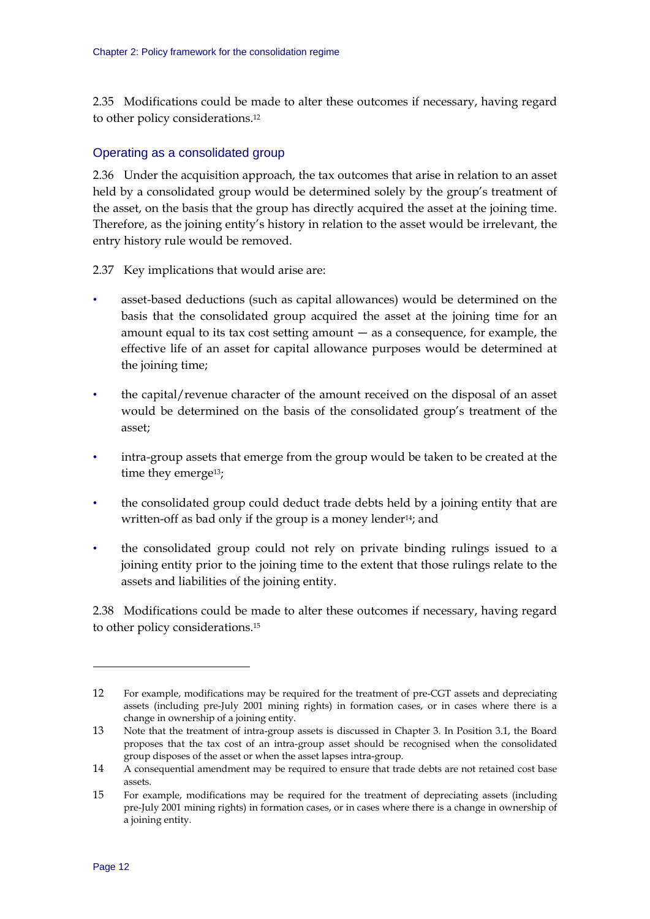2.35 Modifications could be made to alter these outcomes if necessary, having regard to other policy considerations.12

#### Operating as a consolidated group

2.36 Under the acquisition approach, the tax outcomes that arise in relation to an asset held by a consolidated group would be determined solely by the group's treatment of the asset, on the basis that the group has directly acquired the asset at the joining time. Therefore, as the joining entity's history in relation to the asset would be irrelevant, the entry history rule would be removed.

2.37 Key implications that would arise are:

- asset-based deductions (such as capital allowances) would be determined on the basis that the consolidated group acquired the asset at the joining time for an amount equal to its tax cost setting amount  $-$  as a consequence, for example, the effective life of an asset for capital allowance purposes would be determined at the joining time;
- the capital/revenue character of the amount received on the disposal of an asset would be determined on the basis of the consolidated group's treatment of the asset;
- intra-group assets that emerge from the group would be taken to be created at the time they emerge<sup>13</sup>;
- the consolidated group could deduct trade debts held by a joining entity that are written-off as bad only if the group is a money lender<sup>14</sup>; and
- the consolidated group could not rely on private binding rulings issued to a joining entity prior to the joining time to the extent that those rulings relate to the assets and liabilities of the joining entity.

2.38 Modifications could be made to alter these outcomes if necessary, having regard to other policy considerations.15

<u>.</u>

<sup>12</sup> For example, modifications may be required for the treatment of pre-CGT assets and depreciating assets (including pre-July 2001 mining rights) in formation cases, or in cases where there is a change in ownership of a joining entity.

<sup>13</sup> Note that the treatment of intra-group assets is discussed in Chapter 3. In Position 3.1, the Board proposes that the tax cost of an intra-group asset should be recognised when the consolidated group disposes of the asset or when the asset lapses intra-group.

<sup>14</sup> A consequential amendment may be required to ensure that trade debts are not retained cost base assets.

<sup>15</sup> For example, modifications may be required for the treatment of depreciating assets (including pre-July 2001 mining rights) in formation cases, or in cases where there is a change in ownership of a joining entity.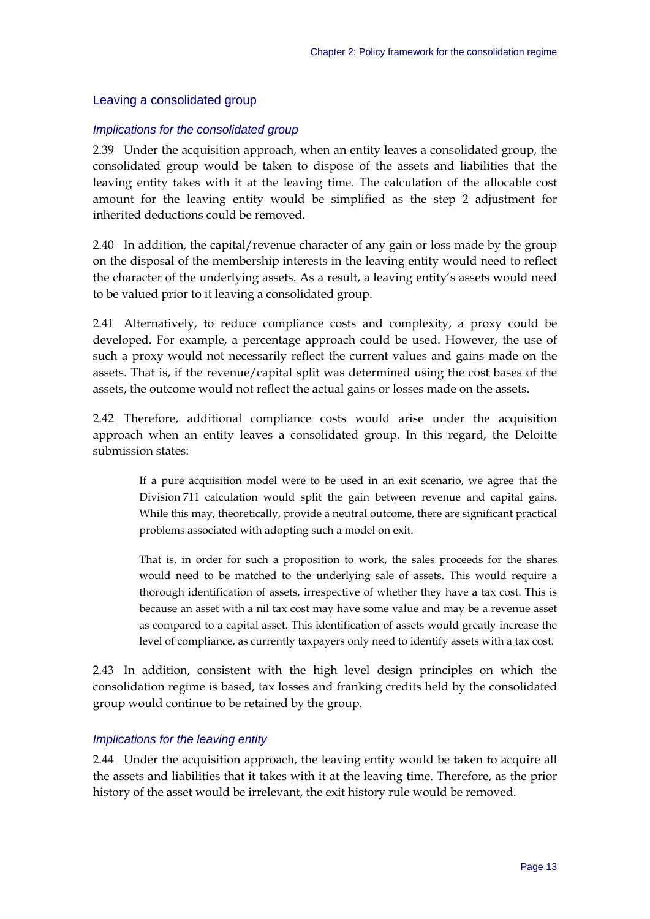#### Leaving a consolidated group

#### *Implications for the consolidated group*

2.39 Under the acquisition approach, when an entity leaves a consolidated group, the consolidated group would be taken to dispose of the assets and liabilities that the leaving entity takes with it at the leaving time. The calculation of the allocable cost amount for the leaving entity would be simplified as the step 2 adjustment for inherited deductions could be removed.

2.40 In addition, the capital/revenue character of any gain or loss made by the group on the disposal of the membership interests in the leaving entity would need to reflect the character of the underlying assets. As a result, a leaving entity's assets would need to be valued prior to it leaving a consolidated group.

2.41 Alternatively, to reduce compliance costs and complexity, a proxy could be developed. For example, a percentage approach could be used. However, the use of such a proxy would not necessarily reflect the current values and gains made on the assets. That is, if the revenue/capital split was determined using the cost bases of the assets, the outcome would not reflect the actual gains or losses made on the assets.

2.42 Therefore, additional compliance costs would arise under the acquisition approach when an entity leaves a consolidated group. In this regard, the Deloitte submission states:

If a pure acquisition model were to be used in an exit scenario, we agree that the Division 711 calculation would split the gain between revenue and capital gains. While this may, theoretically, provide a neutral outcome, there are significant practical problems associated with adopting such a model on exit.

That is, in order for such a proposition to work, the sales proceeds for the shares would need to be matched to the underlying sale of assets. This would require a thorough identification of assets, irrespective of whether they have a tax cost. This is because an asset with a nil tax cost may have some value and may be a revenue asset as compared to a capital asset. This identification of assets would greatly increase the level of compliance, as currently taxpayers only need to identify assets with a tax cost.

2.43 In addition, consistent with the high level design principles on which the consolidation regime is based, tax losses and franking credits held by the consolidated group would continue to be retained by the group.

#### *Implications for the leaving entity*

2.44 Under the acquisition approach, the leaving entity would be taken to acquire all the assets and liabilities that it takes with it at the leaving time. Therefore, as the prior history of the asset would be irrelevant, the exit history rule would be removed.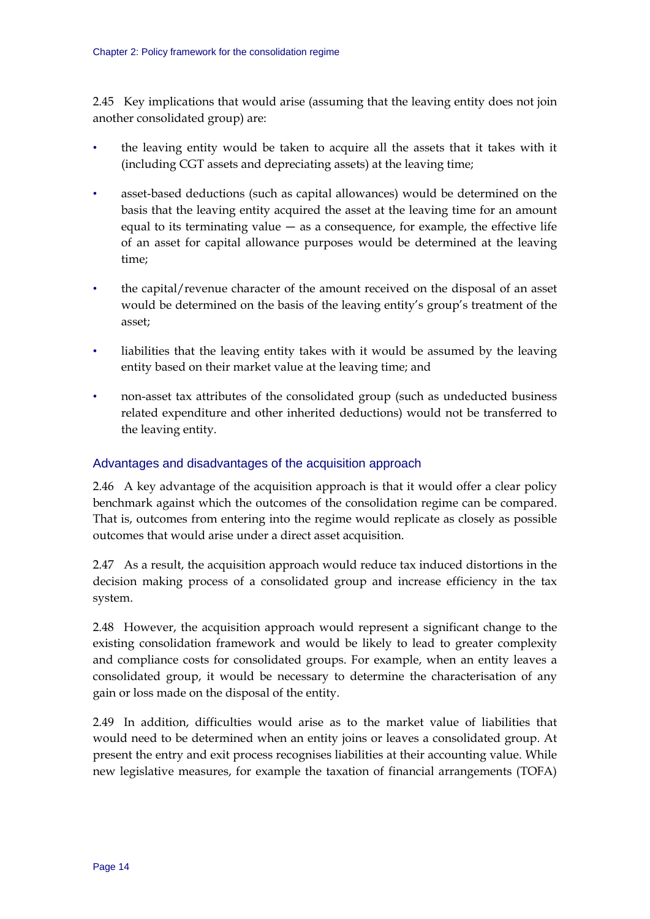2.45 Key implications that would arise (assuming that the leaving entity does not join another consolidated group) are:

- the leaving entity would be taken to acquire all the assets that it takes with it (including CGT assets and depreciating assets) at the leaving time;
- asset-based deductions (such as capital allowances) would be determined on the basis that the leaving entity acquired the asset at the leaving time for an amount equal to its terminating value  $-$  as a consequence, for example, the effective life of an asset for capital allowance purposes would be determined at the leaving time;
- the capital/revenue character of the amount received on the disposal of an asset would be determined on the basis of the leaving entity's group's treatment of the asset;
- liabilities that the leaving entity takes with it would be assumed by the leaving entity based on their market value at the leaving time; and
- non-asset tax attributes of the consolidated group (such as undeducted business related expenditure and other inherited deductions) would not be transferred to the leaving entity.

### Advantages and disadvantages of the acquisition approach

2.46 A key advantage of the acquisition approach is that it would offer a clear policy benchmark against which the outcomes of the consolidation regime can be compared. That is, outcomes from entering into the regime would replicate as closely as possible outcomes that would arise under a direct asset acquisition.

2.47 As a result, the acquisition approach would reduce tax induced distortions in the decision making process of a consolidated group and increase efficiency in the tax system.

2.48 However, the acquisition approach would represent a significant change to the existing consolidation framework and would be likely to lead to greater complexity and compliance costs for consolidated groups. For example, when an entity leaves a consolidated group, it would be necessary to determine the characterisation of any gain or loss made on the disposal of the entity.

2.49 In addition, difficulties would arise as to the market value of liabilities that would need to be determined when an entity joins or leaves a consolidated group. At present the entry and exit process recognises liabilities at their accounting value. While new legislative measures, for example the taxation of financial arrangements (TOFA)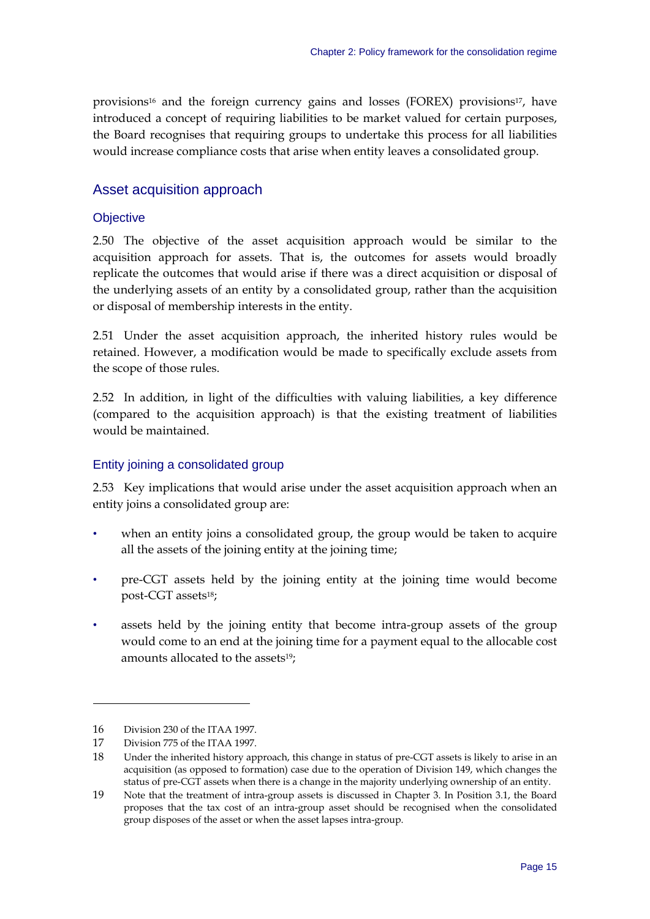provisions<sup>16</sup> and the foreign currency gains and losses (FOREX) provisions<sup>17</sup>, have introduced a concept of requiring liabilities to be market valued for certain purposes, the Board recognises that requiring groups to undertake this process for all liabilities would increase compliance costs that arise when entity leaves a consolidated group.

### Asset acquisition approach

#### **Objective**

2.50 The objective of the asset acquisition approach would be similar to the acquisition approach for assets. That is, the outcomes for assets would broadly replicate the outcomes that would arise if there was a direct acquisition or disposal of the underlying assets of an entity by a consolidated group, rather than the acquisition or disposal of membership interests in the entity.

2.51 Under the asset acquisition approach, the inherited history rules would be retained. However, a modification would be made to specifically exclude assets from the scope of those rules.

2.52 In addition, in light of the difficulties with valuing liabilities, a key difference (compared to the acquisition approach) is that the existing treatment of liabilities would be maintained.

#### Entity joining a consolidated group

2.53 Key implications that would arise under the asset acquisition approach when an entity joins a consolidated group are:

- when an entity joins a consolidated group, the group would be taken to acquire all the assets of the joining entity at the joining time;
- pre-CGT assets held by the joining entity at the joining time would become post-CGT assets<sup>18</sup>;
- assets held by the joining entity that become intra-group assets of the group would come to an end at the joining time for a payment equal to the allocable cost amounts allocated to the assets<sup>19</sup>;

<u>.</u>

<sup>16</sup> Division 230 of the ITAA 1997.

<sup>17</sup> Division 775 of the ITAA 1997.

<sup>18</sup> Under the inherited history approach, this change in status of pre-CGT assets is likely to arise in an acquisition (as opposed to formation) case due to the operation of Division 149, which changes the status of pre-CGT assets when there is a change in the majority underlying ownership of an entity.

<sup>19</sup> Note that the treatment of intra-group assets is discussed in Chapter 3. In Position 3.1, the Board proposes that the tax cost of an intra-group asset should be recognised when the consolidated group disposes of the asset or when the asset lapses intra-group.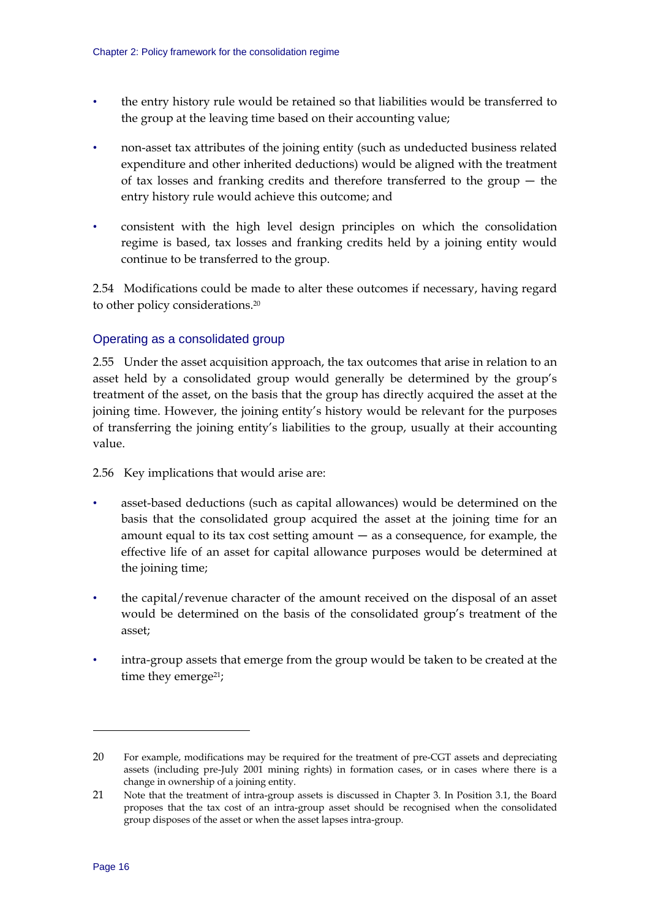- the entry history rule would be retained so that liabilities would be transferred to the group at the leaving time based on their accounting value;
- non-asset tax attributes of the joining entity (such as undeducted business related expenditure and other inherited deductions) would be aligned with the treatment of tax losses and franking credits and therefore transferred to the group — the entry history rule would achieve this outcome; and
- consistent with the high level design principles on which the consolidation regime is based, tax losses and franking credits held by a joining entity would continue to be transferred to the group.

2.54 Modifications could be made to alter these outcomes if necessary, having regard to other policy considerations.20

## Operating as a consolidated group

2.55 Under the asset acquisition approach, the tax outcomes that arise in relation to an asset held by a consolidated group would generally be determined by the group's treatment of the asset, on the basis that the group has directly acquired the asset at the joining time. However, the joining entity's history would be relevant for the purposes of transferring the joining entity's liabilities to the group, usually at their accounting value.

2.56 Key implications that would arise are:

- asset-based deductions (such as capital allowances) would be determined on the basis that the consolidated group acquired the asset at the joining time for an amount equal to its tax cost setting amount  $-$  as a consequence, for example, the effective life of an asset for capital allowance purposes would be determined at the joining time;
- the capital/revenue character of the amount received on the disposal of an asset would be determined on the basis of the consolidated group's treatment of the asset;
- intra-group assets that emerge from the group would be taken to be created at the time they emerge<sup>21</sup>;

**.** 

<sup>20</sup> For example, modifications may be required for the treatment of pre-CGT assets and depreciating assets (including pre-July 2001 mining rights) in formation cases, or in cases where there is a change in ownership of a joining entity.

<sup>21</sup> Note that the treatment of intra-group assets is discussed in Chapter 3. In Position 3.1, the Board proposes that the tax cost of an intra-group asset should be recognised when the consolidated group disposes of the asset or when the asset lapses intra-group.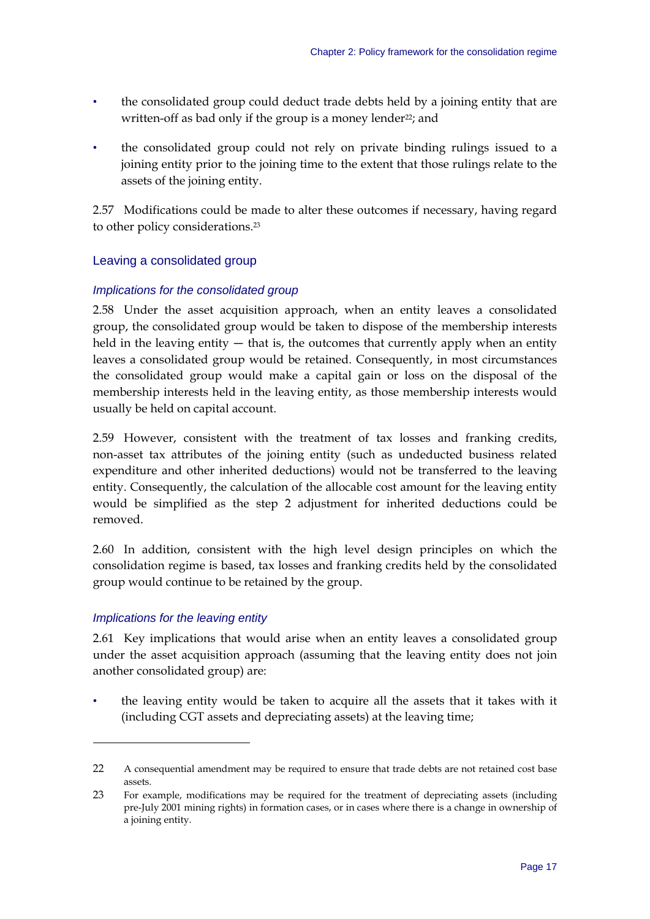- the consolidated group could deduct trade debts held by a joining entity that are written-off as bad only if the group is a money lender<sup>22</sup>; and
- the consolidated group could not rely on private binding rulings issued to a joining entity prior to the joining time to the extent that those rulings relate to the assets of the joining entity.

2.57 Modifications could be made to alter these outcomes if necessary, having regard to other policy considerations.23

### Leaving a consolidated group

#### *Implications for the consolidated group*

2.58 Under the asset acquisition approach, when an entity leaves a consolidated group, the consolidated group would be taken to dispose of the membership interests held in the leaving entity  $-$  that is, the outcomes that currently apply when an entity leaves a consolidated group would be retained. Consequently, in most circumstances the consolidated group would make a capital gain or loss on the disposal of the membership interests held in the leaving entity, as those membership interests would usually be held on capital account.

2.59 However, consistent with the treatment of tax losses and franking credits, non-asset tax attributes of the joining entity (such as undeducted business related expenditure and other inherited deductions) would not be transferred to the leaving entity. Consequently, the calculation of the allocable cost amount for the leaving entity would be simplified as the step 2 adjustment for inherited deductions could be removed.

2.60 In addition, consistent with the high level design principles on which the consolidation regime is based, tax losses and franking credits held by the consolidated group would continue to be retained by the group.

#### *Implications for the leaving entity*

-

2.61 Key implications that would arise when an entity leaves a consolidated group under the asset acquisition approach (assuming that the leaving entity does not join another consolidated group) are:

• the leaving entity would be taken to acquire all the assets that it takes with it (including CGT assets and depreciating assets) at the leaving time;

<sup>22</sup> A consequential amendment may be required to ensure that trade debts are not retained cost base assets.

<sup>23</sup> For example, modifications may be required for the treatment of depreciating assets (including pre-July 2001 mining rights) in formation cases, or in cases where there is a change in ownership of a joining entity.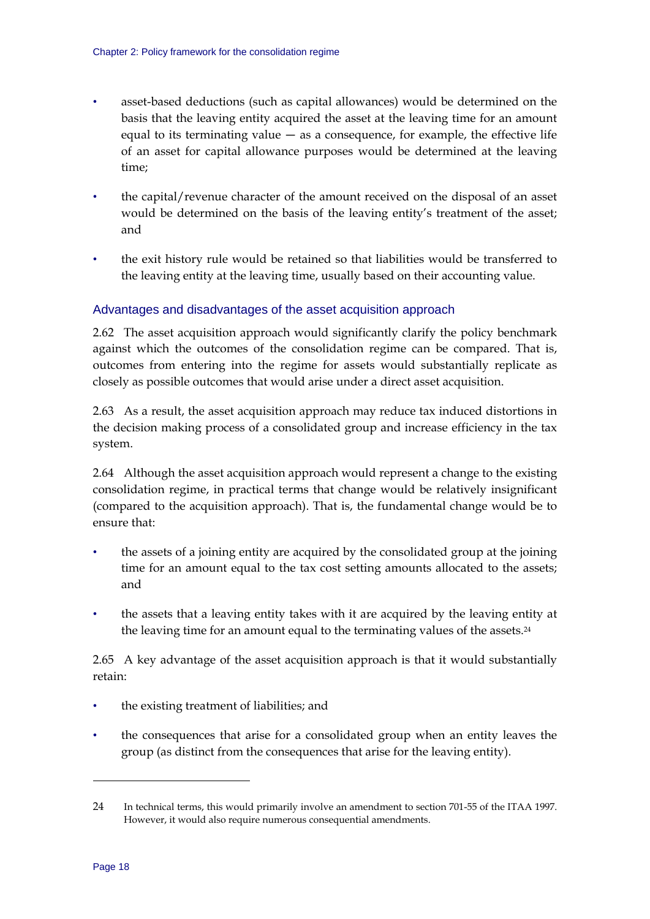- asset-based deductions (such as capital allowances) would be determined on the basis that the leaving entity acquired the asset at the leaving time for an amount equal to its terminating value  $-$  as a consequence, for example, the effective life of an asset for capital allowance purposes would be determined at the leaving time;
- the capital/revenue character of the amount received on the disposal of an asset would be determined on the basis of the leaving entity's treatment of the asset; and
- the exit history rule would be retained so that liabilities would be transferred to the leaving entity at the leaving time, usually based on their accounting value.

## Advantages and disadvantages of the asset acquisition approach

2.62 The asset acquisition approach would significantly clarify the policy benchmark against which the outcomes of the consolidation regime can be compared. That is, outcomes from entering into the regime for assets would substantially replicate as closely as possible outcomes that would arise under a direct asset acquisition.

2.63 As a result, the asset acquisition approach may reduce tax induced distortions in the decision making process of a consolidated group and increase efficiency in the tax system.

2.64 Although the asset acquisition approach would represent a change to the existing consolidation regime, in practical terms that change would be relatively insignificant (compared to the acquisition approach). That is, the fundamental change would be to ensure that:

- the assets of a joining entity are acquired by the consolidated group at the joining time for an amount equal to the tax cost setting amounts allocated to the assets; and
- the assets that a leaving entity takes with it are acquired by the leaving entity at the leaving time for an amount equal to the terminating values of the assets.24

2.65 A key advantage of the asset acquisition approach is that it would substantially retain:

- the existing treatment of liabilities; and
- the consequences that arise for a consolidated group when an entity leaves the group (as distinct from the consequences that arise for the leaving entity).

<sup>24</sup> In technical terms, this would primarily involve an amendment to section 701-55 of the ITAA 1997. However, it would also require numerous consequential amendments.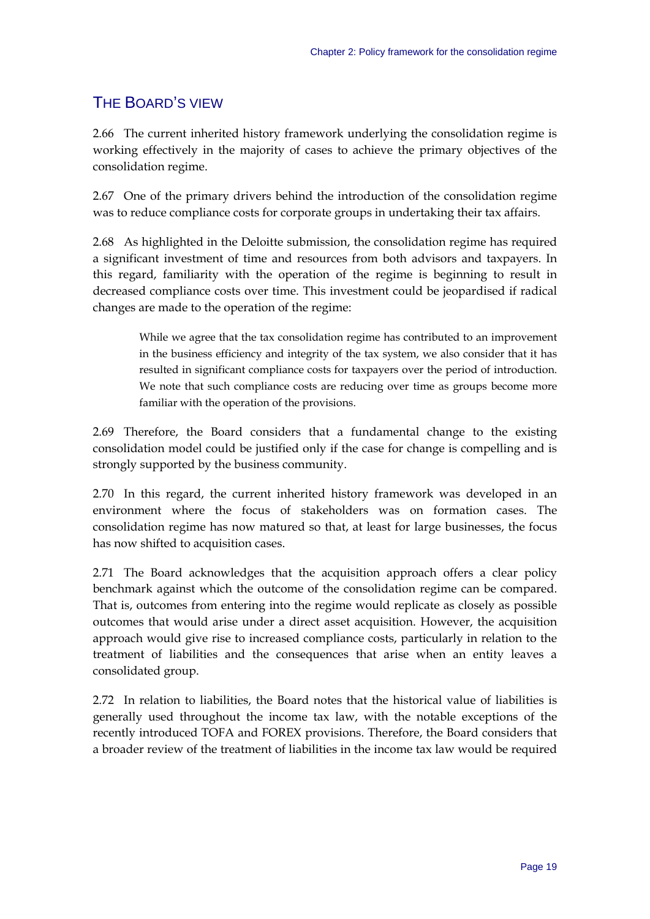## THE BOARD'S VIEW

2.66 The current inherited history framework underlying the consolidation regime is working effectively in the majority of cases to achieve the primary objectives of the consolidation regime.

2.67 One of the primary drivers behind the introduction of the consolidation regime was to reduce compliance costs for corporate groups in undertaking their tax affairs.

2.68 As highlighted in the Deloitte submission, the consolidation regime has required a significant investment of time and resources from both advisors and taxpayers. In this regard, familiarity with the operation of the regime is beginning to result in decreased compliance costs over time. This investment could be jeopardised if radical changes are made to the operation of the regime:

While we agree that the tax consolidation regime has contributed to an improvement in the business efficiency and integrity of the tax system, we also consider that it has resulted in significant compliance costs for taxpayers over the period of introduction. We note that such compliance costs are reducing over time as groups become more familiar with the operation of the provisions.

2.69 Therefore, the Board considers that a fundamental change to the existing consolidation model could be justified only if the case for change is compelling and is strongly supported by the business community.

2.70 In this regard, the current inherited history framework was developed in an environment where the focus of stakeholders was on formation cases. The consolidation regime has now matured so that, at least for large businesses, the focus has now shifted to acquisition cases.

2.71 The Board acknowledges that the acquisition approach offers a clear policy benchmark against which the outcome of the consolidation regime can be compared. That is, outcomes from entering into the regime would replicate as closely as possible outcomes that would arise under a direct asset acquisition. However, the acquisition approach would give rise to increased compliance costs, particularly in relation to the treatment of liabilities and the consequences that arise when an entity leaves a consolidated group.

2.72 In relation to liabilities, the Board notes that the historical value of liabilities is generally used throughout the income tax law, with the notable exceptions of the recently introduced TOFA and FOREX provisions. Therefore, the Board considers that a broader review of the treatment of liabilities in the income tax law would be required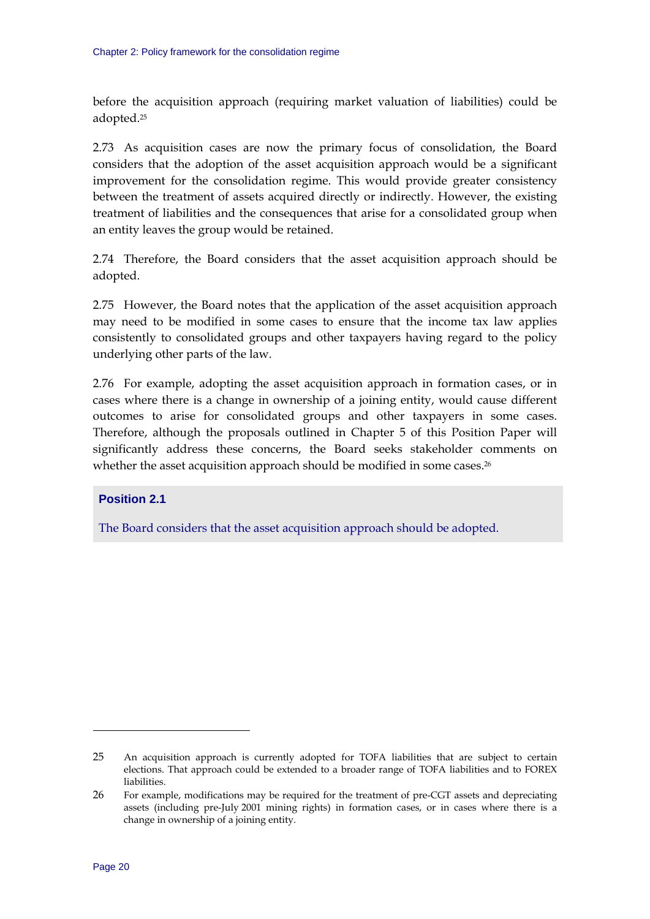before the acquisition approach (requiring market valuation of liabilities) could be adopted.25

2.73 As acquisition cases are now the primary focus of consolidation, the Board considers that the adoption of the asset acquisition approach would be a significant improvement for the consolidation regime. This would provide greater consistency between the treatment of assets acquired directly or indirectly. However, the existing treatment of liabilities and the consequences that arise for a consolidated group when an entity leaves the group would be retained.

2.74 Therefore, the Board considers that the asset acquisition approach should be adopted.

2.75 However, the Board notes that the application of the asset acquisition approach may need to be modified in some cases to ensure that the income tax law applies consistently to consolidated groups and other taxpayers having regard to the policy underlying other parts of the law.

2.76 For example, adopting the asset acquisition approach in formation cases, or in cases where there is a change in ownership of a joining entity, would cause different outcomes to arise for consolidated groups and other taxpayers in some cases. Therefore, although the proposals outlined in Chapter 5 of this Position Paper will significantly address these concerns, the Board seeks stakeholder comments on whether the asset acquisition approach should be modified in some cases.<sup>26</sup>

**Position 2.1** 

The Board considers that the asset acquisition approach should be adopted.

<u>.</u>

<sup>25</sup> An acquisition approach is currently adopted for TOFA liabilities that are subject to certain elections. That approach could be extended to a broader range of TOFA liabilities and to FOREX liabilities.

<sup>26</sup> For example, modifications may be required for the treatment of pre-CGT assets and depreciating assets (including pre-July 2001 mining rights) in formation cases, or in cases where there is a change in ownership of a joining entity.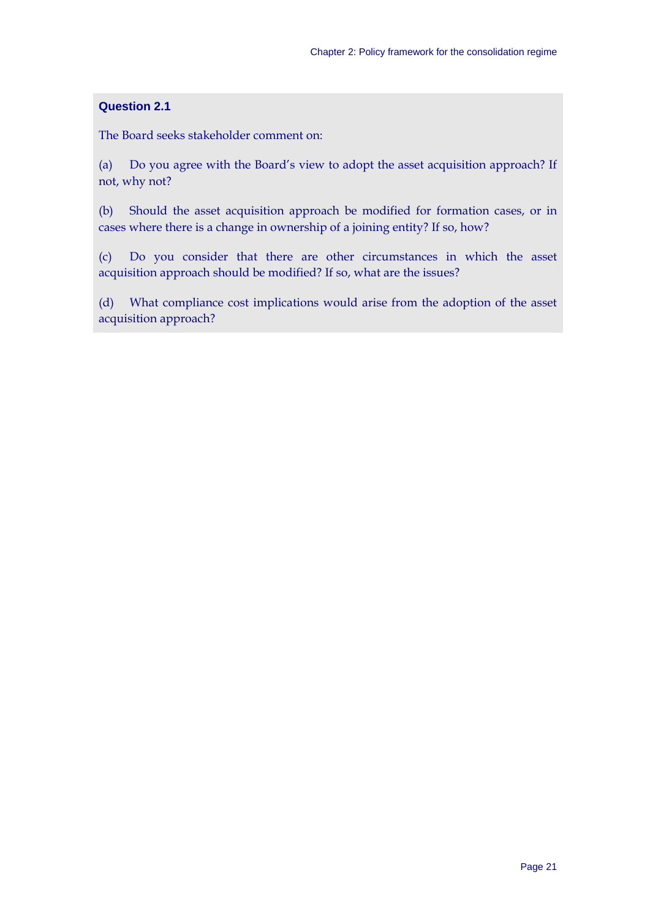## **Question 2.1**

The Board seeks stakeholder comment on:

(a) Do you agree with the Board's view to adopt the asset acquisition approach? If not, why not?

(b) Should the asset acquisition approach be modified for formation cases, or in cases where there is a change in ownership of a joining entity? If so, how?

(c) Do you consider that there are other circumstances in which the asset acquisition approach should be modified? If so, what are the issues?

(d) What compliance cost implications would arise from the adoption of the asset acquisition approach?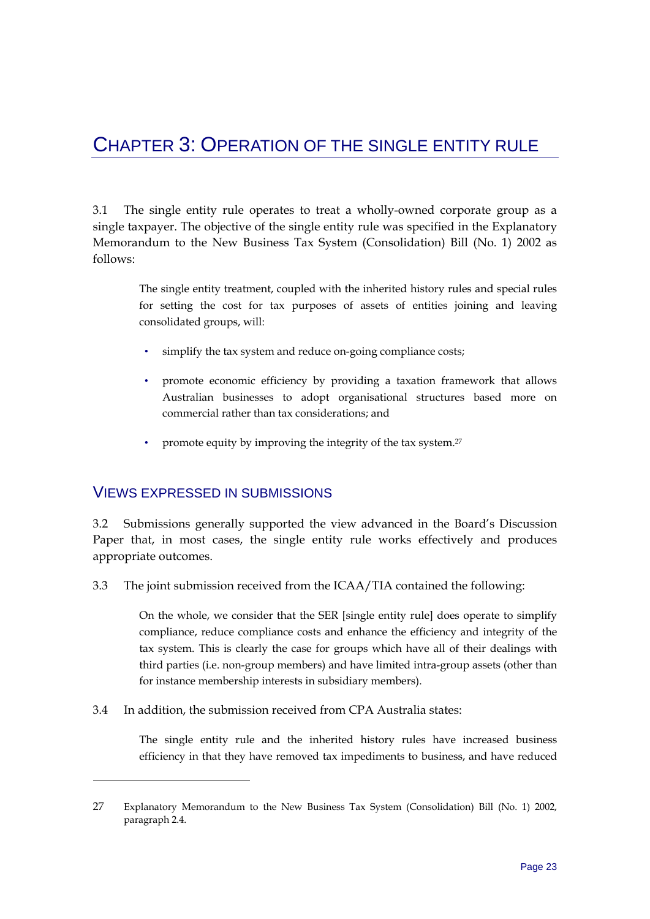## CHAPTER 3: OPERATION OF THE SINGLE ENTITY RULE

3.1 The single entity rule operates to treat a wholly-owned corporate group as a single taxpayer. The objective of the single entity rule was specified in the Explanatory Memorandum to the New Business Tax System (Consolidation) Bill (No. 1) 2002 as follows:

The single entity treatment, coupled with the inherited history rules and special rules for setting the cost for tax purposes of assets of entities joining and leaving consolidated groups, will:

- simplify the tax system and reduce on-going compliance costs;
- promote economic efficiency by providing a taxation framework that allows Australian businesses to adopt organisational structures based more on commercial rather than tax considerations; and
- promote equity by improving the integrity of the tax system.27

## VIEWS EXPRESSED IN SUBMISSIONS

-

3.2 Submissions generally supported the view advanced in the Board's Discussion Paper that, in most cases, the single entity rule works effectively and produces appropriate outcomes.

3.3 The joint submission received from the ICAA/TIA contained the following:

On the whole, we consider that the SER [single entity rule] does operate to simplify compliance, reduce compliance costs and enhance the efficiency and integrity of the tax system. This is clearly the case for groups which have all of their dealings with third parties (i.e. non-group members) and have limited intra-group assets (other than for instance membership interests in subsidiary members).

3.4 In addition, the submission received from CPA Australia states:

The single entity rule and the inherited history rules have increased business efficiency in that they have removed tax impediments to business, and have reduced

<sup>27</sup> Explanatory Memorandum to the New Business Tax System (Consolidation) Bill (No. 1) 2002, paragraph 2.4.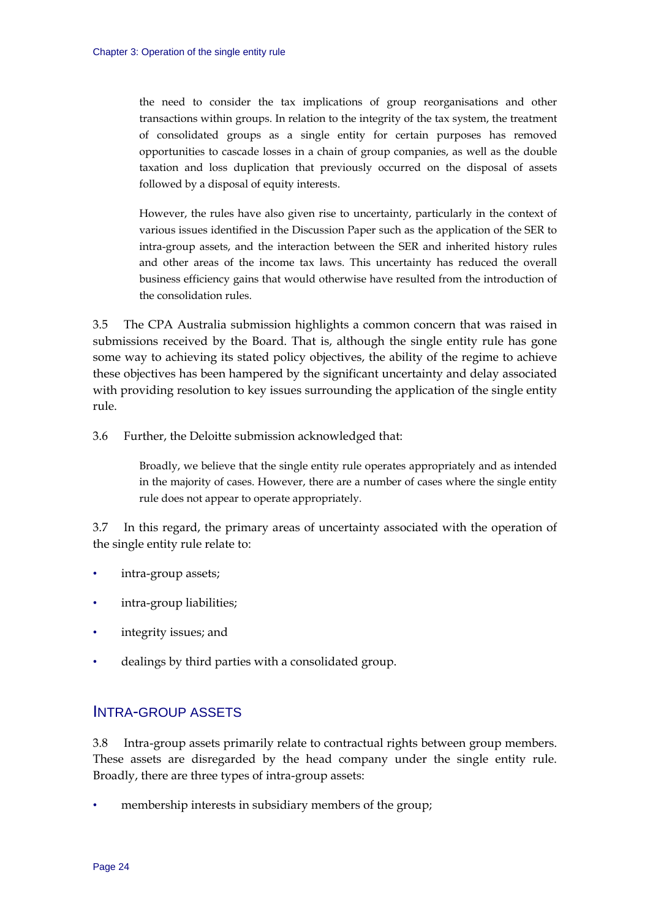the need to consider the tax implications of group reorganisations and other transactions within groups. In relation to the integrity of the tax system, the treatment of consolidated groups as a single entity for certain purposes has removed opportunities to cascade losses in a chain of group companies, as well as the double taxation and loss duplication that previously occurred on the disposal of assets followed by a disposal of equity interests.

However, the rules have also given rise to uncertainty, particularly in the context of various issues identified in the Discussion Paper such as the application of the SER to intra-group assets, and the interaction between the SER and inherited history rules and other areas of the income tax laws. This uncertainty has reduced the overall business efficiency gains that would otherwise have resulted from the introduction of the consolidation rules.

3.5 The CPA Australia submission highlights a common concern that was raised in submissions received by the Board. That is, although the single entity rule has gone some way to achieving its stated policy objectives, the ability of the regime to achieve these objectives has been hampered by the significant uncertainty and delay associated with providing resolution to key issues surrounding the application of the single entity rule.

3.6 Further, the Deloitte submission acknowledged that:

Broadly, we believe that the single entity rule operates appropriately and as intended in the majority of cases. However, there are a number of cases where the single entity rule does not appear to operate appropriately.

3.7 In this regard, the primary areas of uncertainty associated with the operation of the single entity rule relate to:

- intra-group assets;
- intra-group liabilities;
- integrity issues; and
- dealings by third parties with a consolidated group.

## INTRA-GROUP ASSETS

3.8 Intra-group assets primarily relate to contractual rights between group members. These assets are disregarded by the head company under the single entity rule. Broadly, there are three types of intra-group assets:

membership interests in subsidiary members of the group;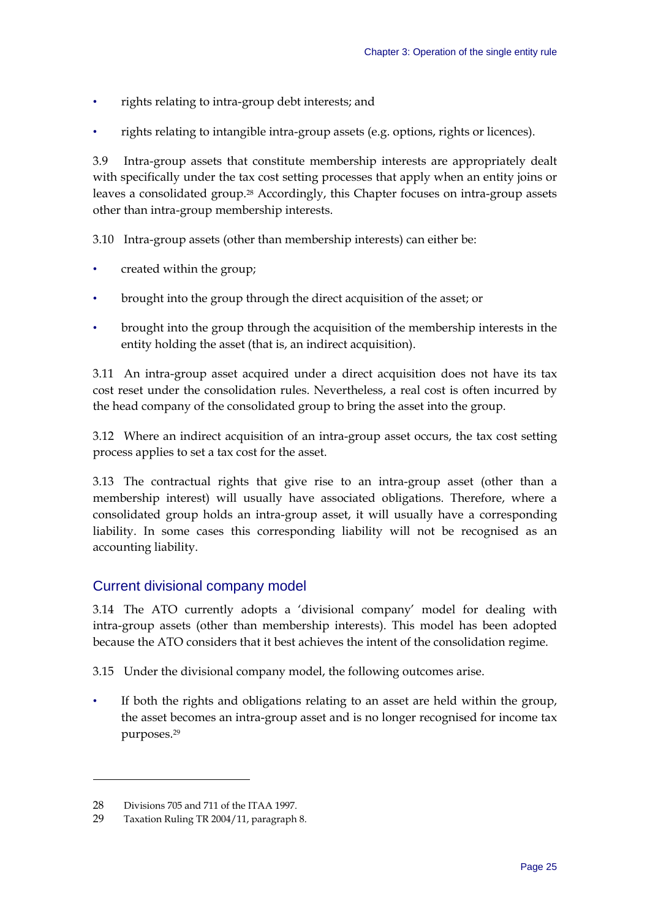- rights relating to intra-group debt interests; and
- rights relating to intangible intra-group assets (e.g. options, rights or licences).

3.9 Intra-group assets that constitute membership interests are appropriately dealt with specifically under the tax cost setting processes that apply when an entity joins or leaves a consolidated group.<sup>28</sup> Accordingly, this Chapter focuses on intra-group assets other than intra-group membership interests.

3.10 Intra-group assets (other than membership interests) can either be:

- created within the group;
- brought into the group through the direct acquisition of the asset; or
- brought into the group through the acquisition of the membership interests in the entity holding the asset (that is, an indirect acquisition).

3.11 An intra-group asset acquired under a direct acquisition does not have its tax cost reset under the consolidation rules. Nevertheless, a real cost is often incurred by the head company of the consolidated group to bring the asset into the group.

3.12 Where an indirect acquisition of an intra-group asset occurs, the tax cost setting process applies to set a tax cost for the asset.

3.13 The contractual rights that give rise to an intra-group asset (other than a membership interest) will usually have associated obligations. Therefore, where a consolidated group holds an intra-group asset, it will usually have a corresponding liability. In some cases this corresponding liability will not be recognised as an accounting liability.

## Current divisional company model

3.14 The ATO currently adopts a 'divisional company' model for dealing with intra-group assets (other than membership interests). This model has been adopted because the ATO considers that it best achieves the intent of the consolidation regime.

3.15 Under the divisional company model, the following outcomes arise.

If both the rights and obligations relating to an asset are held within the group, the asset becomes an intra-group asset and is no longer recognised for income tax purposes.29

<u>.</u>

<sup>28</sup> Divisions 705 and 711 of the ITAA 1997.

<sup>29</sup> Taxation Ruling TR 2004/11, paragraph 8.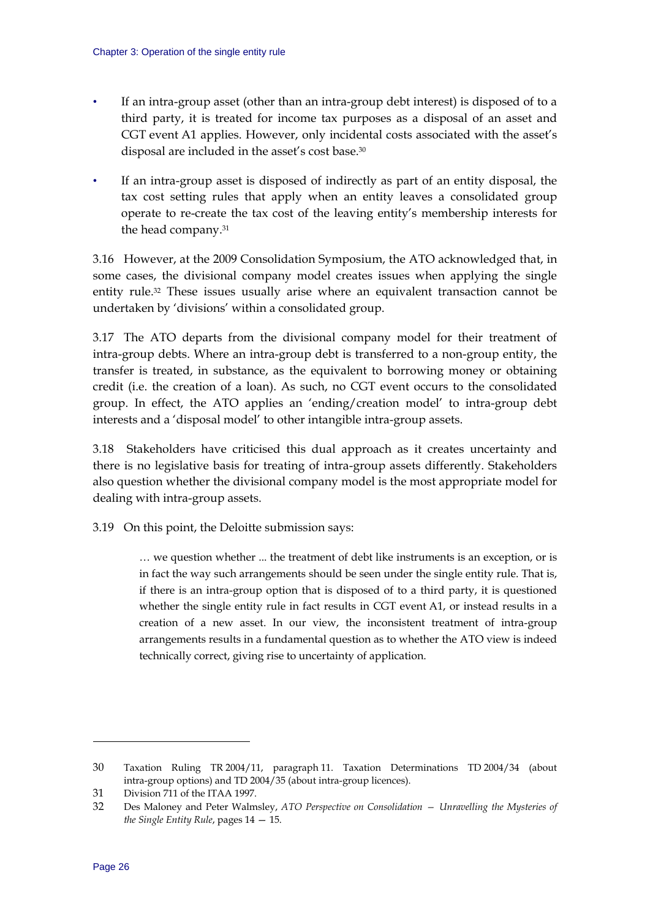- If an intra-group asset (other than an intra-group debt interest) is disposed of to a third party, it is treated for income tax purposes as a disposal of an asset and CGT event A1 applies. However, only incidental costs associated with the asset's disposal are included in the asset's cost base.30
- If an intra-group asset is disposed of indirectly as part of an entity disposal, the tax cost setting rules that apply when an entity leaves a consolidated group operate to re-create the tax cost of the leaving entity's membership interests for the head company.31

3.16 However, at the 2009 Consolidation Symposium, the ATO acknowledged that, in some cases, the divisional company model creates issues when applying the single entity rule.32 These issues usually arise where an equivalent transaction cannot be undertaken by 'divisions' within a consolidated group.

3.17 The ATO departs from the divisional company model for their treatment of intra-group debts. Where an intra-group debt is transferred to a non-group entity, the transfer is treated, in substance, as the equivalent to borrowing money or obtaining credit (i.e. the creation of a loan). As such, no CGT event occurs to the consolidated group. In effect, the ATO applies an 'ending/creation model' to intra-group debt interests and a 'disposal model' to other intangible intra-group assets.

3.18 Stakeholders have criticised this dual approach as it creates uncertainty and there is no legislative basis for treating of intra-group assets differently. Stakeholders also question whether the divisional company model is the most appropriate model for dealing with intra-group assets.

3.19 On this point, the Deloitte submission says:

… we question whether ... the treatment of debt like instruments is an exception, or is in fact the way such arrangements should be seen under the single entity rule. That is, if there is an intra-group option that is disposed of to a third party, it is questioned whether the single entity rule in fact results in CGT event A1, or instead results in a creation of a new asset. In our view, the inconsistent treatment of intra-group arrangements results in a fundamental question as to whether the ATO view is indeed technically correct, giving rise to uncertainty of application.

<sup>30</sup> Taxation Ruling TR 2004/11, paragraph 11. Taxation Determinations TD 2004/34 (about intra-group options) and TD 2004/35 (about intra-group licences).

<sup>31</sup> Division 711 of the ITAA 1997.

<sup>32</sup> Des Maloney and Peter Walmsley, *ATO Perspective on Consolidation — Unravelling the Mysteries of the Single Entity Rule*, pages 14 — 15.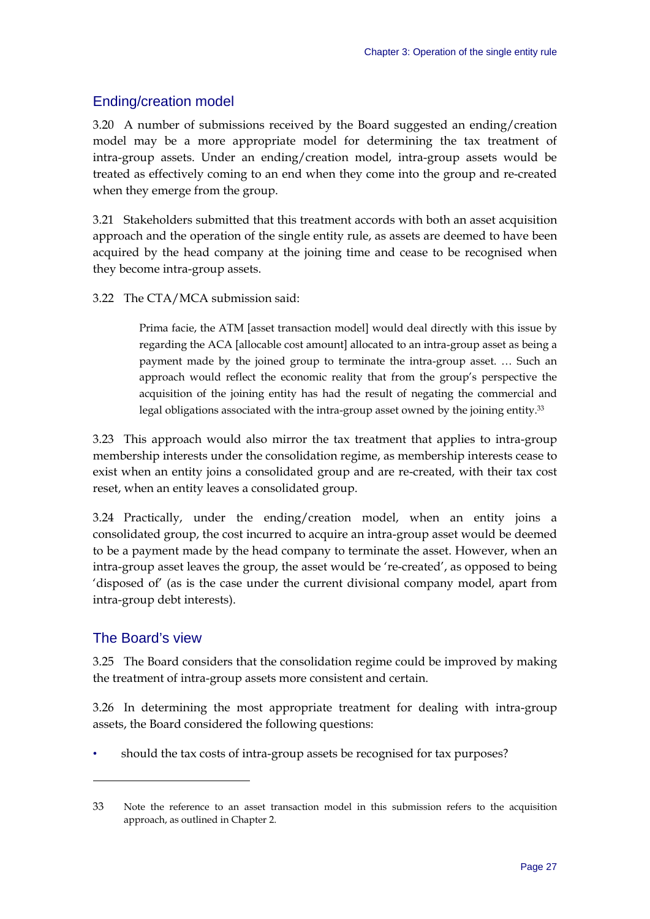## Ending/creation model

3.20 A number of submissions received by the Board suggested an ending/creation model may be a more appropriate model for determining the tax treatment of intra-group assets. Under an ending/creation model, intra-group assets would be treated as effectively coming to an end when they come into the group and re-created when they emerge from the group.

3.21 Stakeholders submitted that this treatment accords with both an asset acquisition approach and the operation of the single entity rule, as assets are deemed to have been acquired by the head company at the joining time and cease to be recognised when they become intra-group assets.

3.22 The CTA/MCA submission said:

Prima facie, the ATM [asset transaction model] would deal directly with this issue by regarding the ACA [allocable cost amount] allocated to an intra-group asset as being a payment made by the joined group to terminate the intra-group asset. … Such an approach would reflect the economic reality that from the group's perspective the acquisition of the joining entity has had the result of negating the commercial and legal obligations associated with the intra-group asset owned by the joining entity.<sup>33</sup>

3.23 This approach would also mirror the tax treatment that applies to intra-group membership interests under the consolidation regime, as membership interests cease to exist when an entity joins a consolidated group and are re-created, with their tax cost reset, when an entity leaves a consolidated group.

3.24 Practically, under the ending/creation model, when an entity joins a consolidated group, the cost incurred to acquire an intra-group asset would be deemed to be a payment made by the head company to terminate the asset. However, when an intra-group asset leaves the group, the asset would be 're-created', as opposed to being 'disposed of' (as is the case under the current divisional company model, apart from intra-group debt interests).

## The Board's view

-

3.25 The Board considers that the consolidation regime could be improved by making the treatment of intra-group assets more consistent and certain.

3.26 In determining the most appropriate treatment for dealing with intra-group assets, the Board considered the following questions:

• should the tax costs of intra-group assets be recognised for tax purposes?

<sup>33</sup> Note the reference to an asset transaction model in this submission refers to the acquisition approach, as outlined in Chapter 2.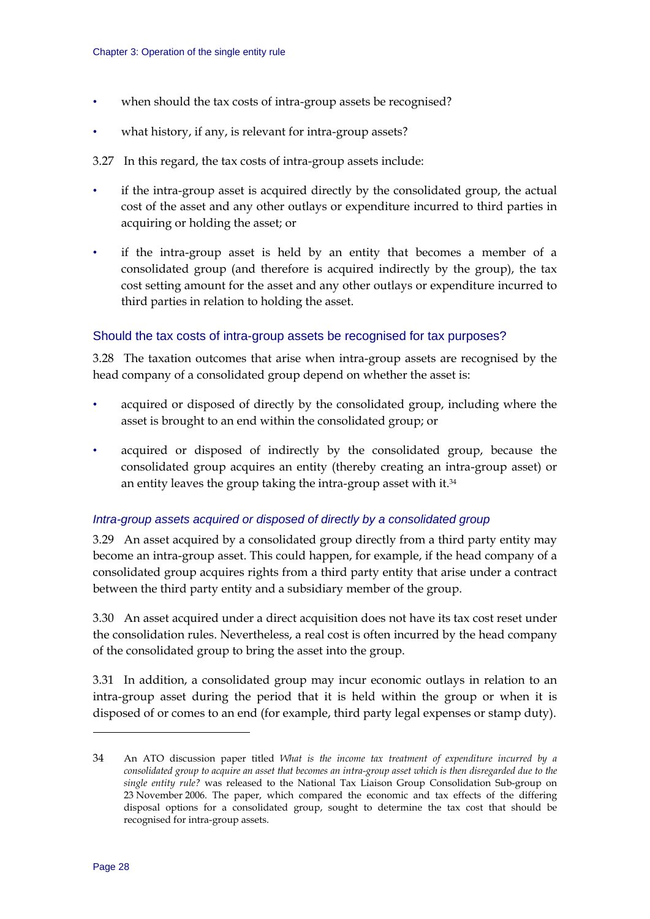- when should the tax costs of intra-group assets be recognised?
- what history, if any, is relevant for intra-group assets?
- 3.27 In this regard, the tax costs of intra-group assets include:
- if the intra-group asset is acquired directly by the consolidated group, the actual cost of the asset and any other outlays or expenditure incurred to third parties in acquiring or holding the asset; or
- if the intra-group asset is held by an entity that becomes a member of a consolidated group (and therefore is acquired indirectly by the group), the tax cost setting amount for the asset and any other outlays or expenditure incurred to third parties in relation to holding the asset.

#### Should the tax costs of intra-group assets be recognised for tax purposes?

3.28 The taxation outcomes that arise when intra-group assets are recognised by the head company of a consolidated group depend on whether the asset is:

- acquired or disposed of directly by the consolidated group, including where the asset is brought to an end within the consolidated group; or
- acquired or disposed of indirectly by the consolidated group, because the consolidated group acquires an entity (thereby creating an intra-group asset) or an entity leaves the group taking the intra-group asset with it.34

#### *Intra-group assets acquired or disposed of directly by a consolidated group*

3.29 An asset acquired by a consolidated group directly from a third party entity may become an intra-group asset. This could happen, for example, if the head company of a consolidated group acquires rights from a third party entity that arise under a contract between the third party entity and a subsidiary member of the group.

3.30 An asset acquired under a direct acquisition does not have its tax cost reset under the consolidation rules. Nevertheless, a real cost is often incurred by the head company of the consolidated group to bring the asset into the group.

3.31 In addition, a consolidated group may incur economic outlays in relation to an intra-group asset during the period that it is held within the group or when it is disposed of or comes to an end (for example, third party legal expenses or stamp duty).

<u>.</u>

<sup>34</sup> An ATO discussion paper titled *What is the income tax treatment of expenditure incurred by a consolidated group to acquire an asset that becomes an intra-group asset which is then disregarded due to the single entity rule?* was released to the National Tax Liaison Group Consolidation Sub-group on 23 November 2006. The paper, which compared the economic and tax effects of the differing disposal options for a consolidated group, sought to determine the tax cost that should be recognised for intra-group assets.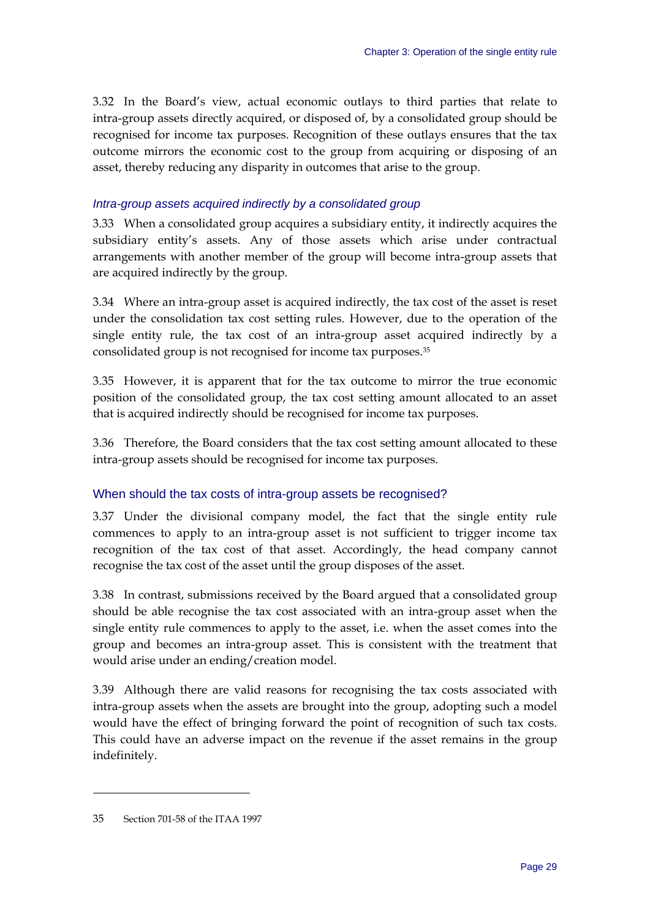3.32 In the Board's view, actual economic outlays to third parties that relate to intra-group assets directly acquired, or disposed of, by a consolidated group should be recognised for income tax purposes. Recognition of these outlays ensures that the tax outcome mirrors the economic cost to the group from acquiring or disposing of an asset, thereby reducing any disparity in outcomes that arise to the group.

#### *Intra-group assets acquired indirectly by a consolidated group*

3.33 When a consolidated group acquires a subsidiary entity, it indirectly acquires the subsidiary entity's assets. Any of those assets which arise under contractual arrangements with another member of the group will become intra-group assets that are acquired indirectly by the group.

3.34 Where an intra-group asset is acquired indirectly, the tax cost of the asset is reset under the consolidation tax cost setting rules. However, due to the operation of the single entity rule, the tax cost of an intra-group asset acquired indirectly by a consolidated group is not recognised for income tax purposes.35

3.35 However, it is apparent that for the tax outcome to mirror the true economic position of the consolidated group, the tax cost setting amount allocated to an asset that is acquired indirectly should be recognised for income tax purposes.

3.36 Therefore, the Board considers that the tax cost setting amount allocated to these intra-group assets should be recognised for income tax purposes.

#### When should the tax costs of intra-group assets be recognised?

3.37 Under the divisional company model, the fact that the single entity rule commences to apply to an intra-group asset is not sufficient to trigger income tax recognition of the tax cost of that asset. Accordingly, the head company cannot recognise the tax cost of the asset until the group disposes of the asset.

3.38 In contrast, submissions received by the Board argued that a consolidated group should be able recognise the tax cost associated with an intra-group asset when the single entity rule commences to apply to the asset, i.e. when the asset comes into the group and becomes an intra-group asset. This is consistent with the treatment that would arise under an ending/creation model.

3.39 Although there are valid reasons for recognising the tax costs associated with intra-group assets when the assets are brought into the group, adopting such a model would have the effect of bringing forward the point of recognition of such tax costs. This could have an adverse impact on the revenue if the asset remains in the group indefinitely.

<sup>35</sup> Section 701-58 of the ITAA 1997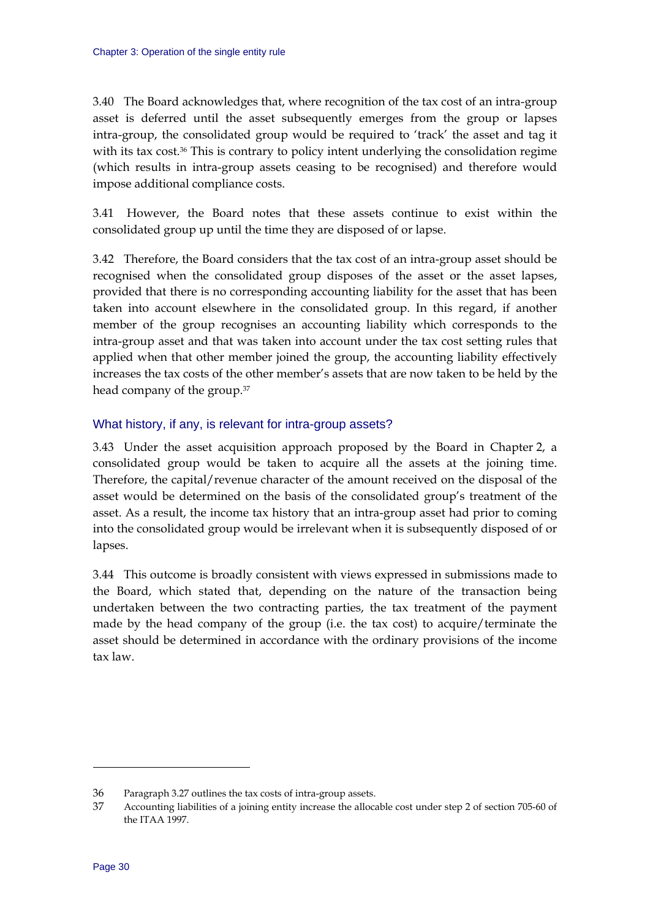3.40 The Board acknowledges that, where recognition of the tax cost of an intra-group asset is deferred until the asset subsequently emerges from the group or lapses intra-group, the consolidated group would be required to 'track' the asset and tag it with its tax cost.36 This is contrary to policy intent underlying the consolidation regime (which results in intra-group assets ceasing to be recognised) and therefore would impose additional compliance costs.

3.41 However, the Board notes that these assets continue to exist within the consolidated group up until the time they are disposed of or lapse.

3.42 Therefore, the Board considers that the tax cost of an intra-group asset should be recognised when the consolidated group disposes of the asset or the asset lapses, provided that there is no corresponding accounting liability for the asset that has been taken into account elsewhere in the consolidated group. In this regard, if another member of the group recognises an accounting liability which corresponds to the intra-group asset and that was taken into account under the tax cost setting rules that applied when that other member joined the group, the accounting liability effectively increases the tax costs of the other member's assets that are now taken to be held by the head company of the group.37

# What history, if any, is relevant for intra-group assets?

3.43 Under the asset acquisition approach proposed by the Board in Chapter 2, a consolidated group would be taken to acquire all the assets at the joining time. Therefore, the capital/revenue character of the amount received on the disposal of the asset would be determined on the basis of the consolidated group's treatment of the asset. As a result, the income tax history that an intra-group asset had prior to coming into the consolidated group would be irrelevant when it is subsequently disposed of or lapses.

3.44 This outcome is broadly consistent with views expressed in submissions made to the Board, which stated that, depending on the nature of the transaction being undertaken between the two contracting parties, the tax treatment of the payment made by the head company of the group (i.e. the tax cost) to acquire/terminate the asset should be determined in accordance with the ordinary provisions of the income tax law.

<u>.</u>

<sup>36</sup> Paragraph 3.27 outlines the tax costs of intra-group assets.

<sup>37</sup> Accounting liabilities of a joining entity increase the allocable cost under step 2 of section 705-60 of the ITAA 1997.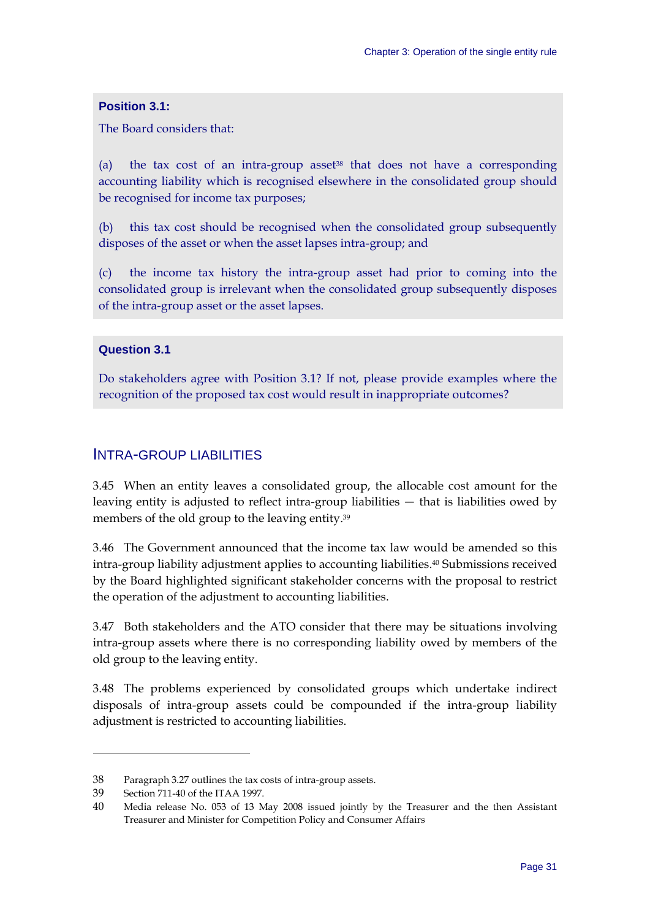### **Position 3.1:**

The Board considers that:

(a) the tax cost of an intra-group asset<sup>38</sup> that does not have a corresponding accounting liability which is recognised elsewhere in the consolidated group should be recognised for income tax purposes;

(b) this tax cost should be recognised when the consolidated group subsequently disposes of the asset or when the asset lapses intra-group; and

(c) the income tax history the intra-group asset had prior to coming into the consolidated group is irrelevant when the consolidated group subsequently disposes of the intra-group asset or the asset lapses.

### **Question 3.1**

Do stakeholders agree with Position 3.1? If not, please provide examples where the recognition of the proposed tax cost would result in inappropriate outcomes?

### INTRA-GROUP LIABILITIES

3.45 When an entity leaves a consolidated group, the allocable cost amount for the leaving entity is adjusted to reflect intra-group liabilities — that is liabilities owed by members of the old group to the leaving entity.<sup>39</sup>

3.46 The Government announced that the income tax law would be amended so this intra-group liability adjustment applies to accounting liabilities.40 Submissions received by the Board highlighted significant stakeholder concerns with the proposal to restrict the operation of the adjustment to accounting liabilities.

3.47 Both stakeholders and the ATO consider that there may be situations involving intra-group assets where there is no corresponding liability owed by members of the old group to the leaving entity.

3.48 The problems experienced by consolidated groups which undertake indirect disposals of intra-group assets could be compounded if the intra-group liability adjustment is restricted to accounting liabilities.

<u>.</u>

<sup>38</sup> Paragraph 3.27 outlines the tax costs of intra-group assets.

<sup>39</sup> Section 711-40 of the ITAA 1997.

<sup>40</sup> Media release No. 053 of 13 May 2008 issued jointly by the Treasurer and the then Assistant Treasurer and Minister for Competition Policy and Consumer Affairs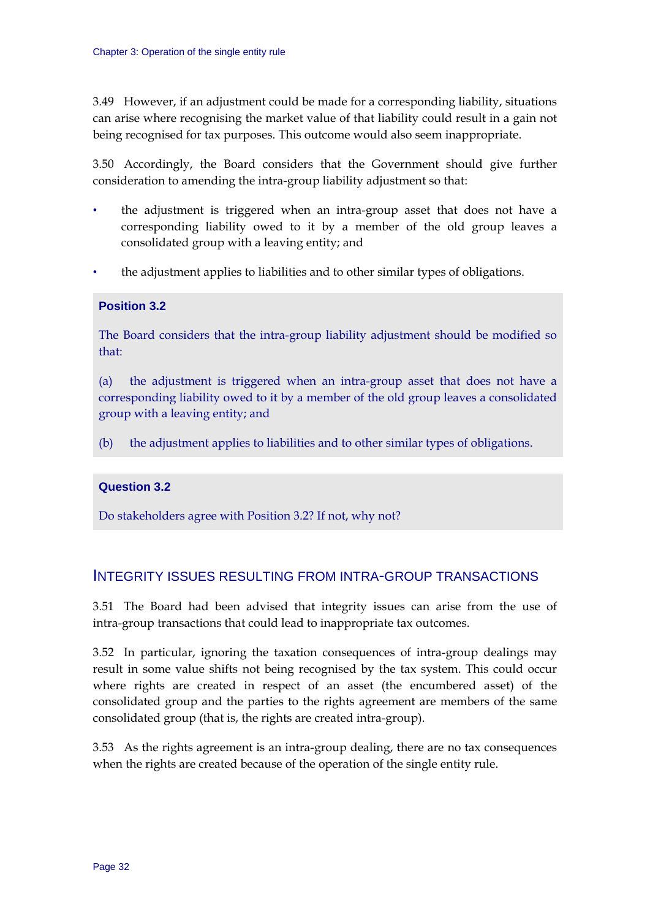3.49 However, if an adjustment could be made for a corresponding liability, situations can arise where recognising the market value of that liability could result in a gain not being recognised for tax purposes. This outcome would also seem inappropriate.

3.50 Accordingly, the Board considers that the Government should give further consideration to amending the intra-group liability adjustment so that:

- the adjustment is triggered when an intra-group asset that does not have a corresponding liability owed to it by a member of the old group leaves a consolidated group with a leaving entity; and
- the adjustment applies to liabilities and to other similar types of obligations.

### **Position 3.2**

The Board considers that the intra-group liability adjustment should be modified so that:

(a) the adjustment is triggered when an intra-group asset that does not have a corresponding liability owed to it by a member of the old group leaves a consolidated group with a leaving entity; and

(b) the adjustment applies to liabilities and to other similar types of obligations.

#### **Question 3.2**

Do stakeholders agree with Position 3.2? If not, why not?

# INTEGRITY ISSUES RESULTING FROM INTRA-GROUP TRANSACTIONS

3.51 The Board had been advised that integrity issues can arise from the use of intra-group transactions that could lead to inappropriate tax outcomes.

3.52 In particular, ignoring the taxation consequences of intra-group dealings may result in some value shifts not being recognised by the tax system. This could occur where rights are created in respect of an asset (the encumbered asset) of the consolidated group and the parties to the rights agreement are members of the same consolidated group (that is, the rights are created intra-group).

3.53 As the rights agreement is an intra-group dealing, there are no tax consequences when the rights are created because of the operation of the single entity rule.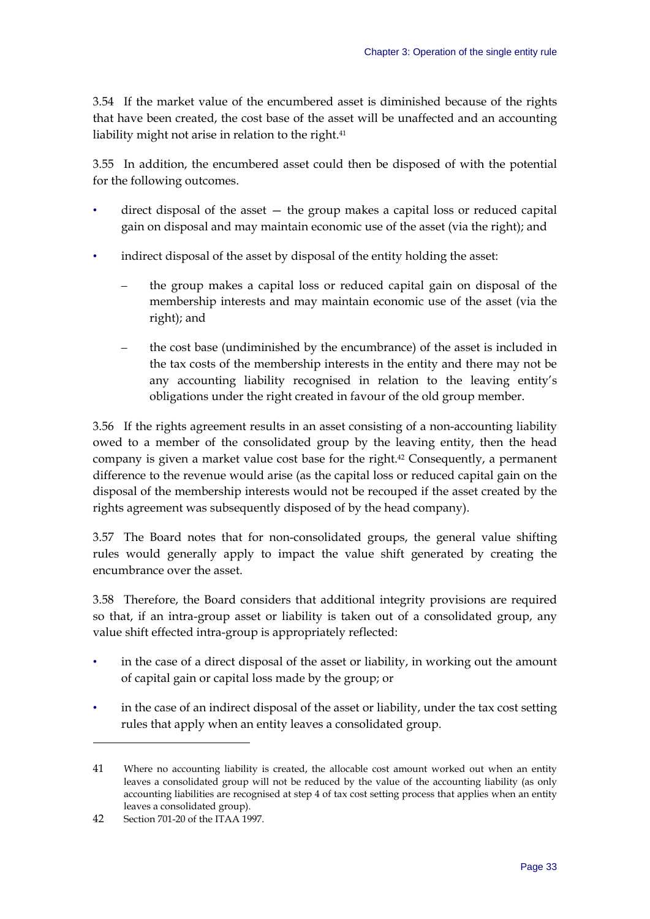3.54 If the market value of the encumbered asset is diminished because of the rights that have been created, the cost base of the asset will be unaffected and an accounting liability might not arise in relation to the right.<sup>41</sup>

3.55 In addition, the encumbered asset could then be disposed of with the potential for the following outcomes.

- direct disposal of the asset  $-$  the group makes a capital loss or reduced capital gain on disposal and may maintain economic use of the asset (via the right); and
- indirect disposal of the asset by disposal of the entity holding the asset:
	- the group makes a capital loss or reduced capital gain on disposal of the membership interests and may maintain economic use of the asset (via the right); and
	- the cost base (undiminished by the encumbrance) of the asset is included in the tax costs of the membership interests in the entity and there may not be any accounting liability recognised in relation to the leaving entity's obligations under the right created in favour of the old group member.

3.56 If the rights agreement results in an asset consisting of a non-accounting liability owed to a member of the consolidated group by the leaving entity, then the head company is given a market value cost base for the right.<sup>42</sup> Consequently, a permanent difference to the revenue would arise (as the capital loss or reduced capital gain on the disposal of the membership interests would not be recouped if the asset created by the rights agreement was subsequently disposed of by the head company).

3.57 The Board notes that for non-consolidated groups, the general value shifting rules would generally apply to impact the value shift generated by creating the encumbrance over the asset.

3.58 Therefore, the Board considers that additional integrity provisions are required so that, if an intra-group asset or liability is taken out of a consolidated group, any value shift effected intra-group is appropriately reflected:

- in the case of a direct disposal of the asset or liability, in working out the amount of capital gain or capital loss made by the group; or
- in the case of an indirect disposal of the asset or liability, under the tax cost setting rules that apply when an entity leaves a consolidated group.

<sup>41</sup> Where no accounting liability is created, the allocable cost amount worked out when an entity leaves a consolidated group will not be reduced by the value of the accounting liability (as only accounting liabilities are recognised at step 4 of tax cost setting process that applies when an entity leaves a consolidated group).

<sup>42</sup> Section 701-20 of the ITAA 1997.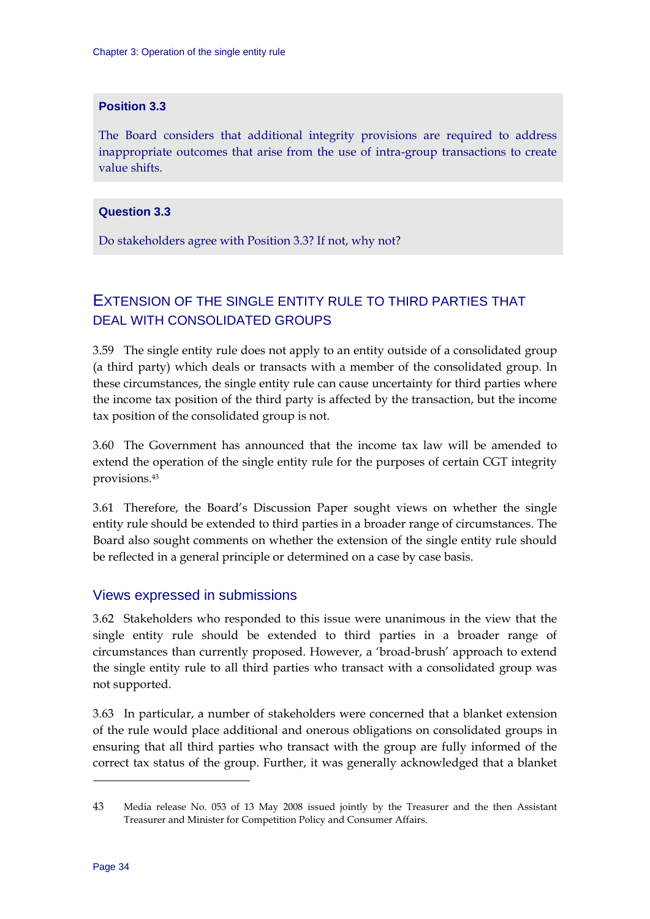### **Position 3.3**

The Board considers that additional integrity provisions are required to address inappropriate outcomes that arise from the use of intra-group transactions to create value shifts.

#### **Question 3.3**

Do stakeholders agree with Position 3.3? If not, why not?

# EXTENSION OF THE SINGLE ENTITY RULE TO THIRD PARTIES THAT DEAL WITH CONSOLIDATED GROUPS

3.59 The single entity rule does not apply to an entity outside of a consolidated group (a third party) which deals or transacts with a member of the consolidated group. In these circumstances, the single entity rule can cause uncertainty for third parties where the income tax position of the third party is affected by the transaction, but the income tax position of the consolidated group is not.

3.60 The Government has announced that the income tax law will be amended to extend the operation of the single entity rule for the purposes of certain CGT integrity provisions.43

3.61 Therefore, the Board's Discussion Paper sought views on whether the single entity rule should be extended to third parties in a broader range of circumstances. The Board also sought comments on whether the extension of the single entity rule should be reflected in a general principle or determined on a case by case basis.

#### Views expressed in submissions

3.62 Stakeholders who responded to this issue were unanimous in the view that the single entity rule should be extended to third parties in a broader range of circumstances than currently proposed. However, a 'broad-brush' approach to extend the single entity rule to all third parties who transact with a consolidated group was not supported.

3.63 In particular, a number of stakeholders were concerned that a blanket extension of the rule would place additional and onerous obligations on consolidated groups in ensuring that all third parties who transact with the group are fully informed of the correct tax status of the group. Further, it was generally acknowledged that a blanket

<sup>43</sup> Media release No. 053 of 13 May 2008 issued jointly by the Treasurer and the then Assistant Treasurer and Minister for Competition Policy and Consumer Affairs.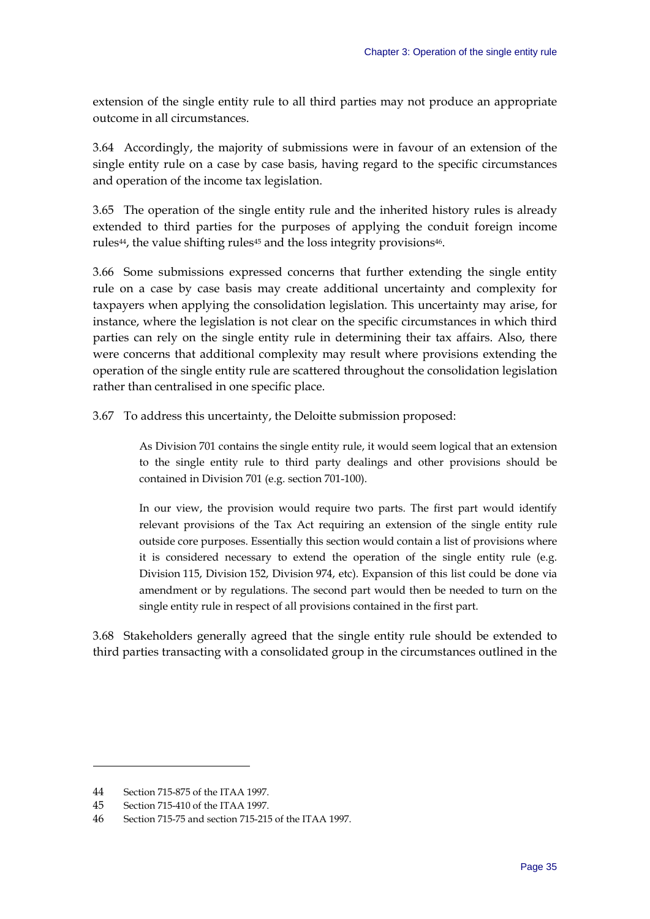extension of the single entity rule to all third parties may not produce an appropriate outcome in all circumstances.

3.64 Accordingly, the majority of submissions were in favour of an extension of the single entity rule on a case by case basis, having regard to the specific circumstances and operation of the income tax legislation.

3.65 The operation of the single entity rule and the inherited history rules is already extended to third parties for the purposes of applying the conduit foreign income rules<sup>44</sup>, the value shifting rules<sup>45</sup> and the loss integrity provisions<sup>46</sup>.

3.66 Some submissions expressed concerns that further extending the single entity rule on a case by case basis may create additional uncertainty and complexity for taxpayers when applying the consolidation legislation. This uncertainty may arise, for instance, where the legislation is not clear on the specific circumstances in which third parties can rely on the single entity rule in determining their tax affairs. Also, there were concerns that additional complexity may result where provisions extending the operation of the single entity rule are scattered throughout the consolidation legislation rather than centralised in one specific place.

3.67 To address this uncertainty, the Deloitte submission proposed:

As Division 701 contains the single entity rule, it would seem logical that an extension to the single entity rule to third party dealings and other provisions should be contained in Division 701 (e.g. section 701-100).

In our view, the provision would require two parts. The first part would identify relevant provisions of the Tax Act requiring an extension of the single entity rule outside core purposes. Essentially this section would contain a list of provisions where it is considered necessary to extend the operation of the single entity rule (e.g. Division 115, Division 152, Division 974, etc). Expansion of this list could be done via amendment or by regulations. The second part would then be needed to turn on the single entity rule in respect of all provisions contained in the first part.

3.68 Stakeholders generally agreed that the single entity rule should be extended to third parties transacting with a consolidated group in the circumstances outlined in the

<u>.</u>

<sup>44</sup> Section 715-875 of the ITAA 1997.

<sup>45</sup> Section 715-410 of the ITAA 1997.

<sup>46</sup> Section 715-75 and section 715-215 of the ITAA 1997.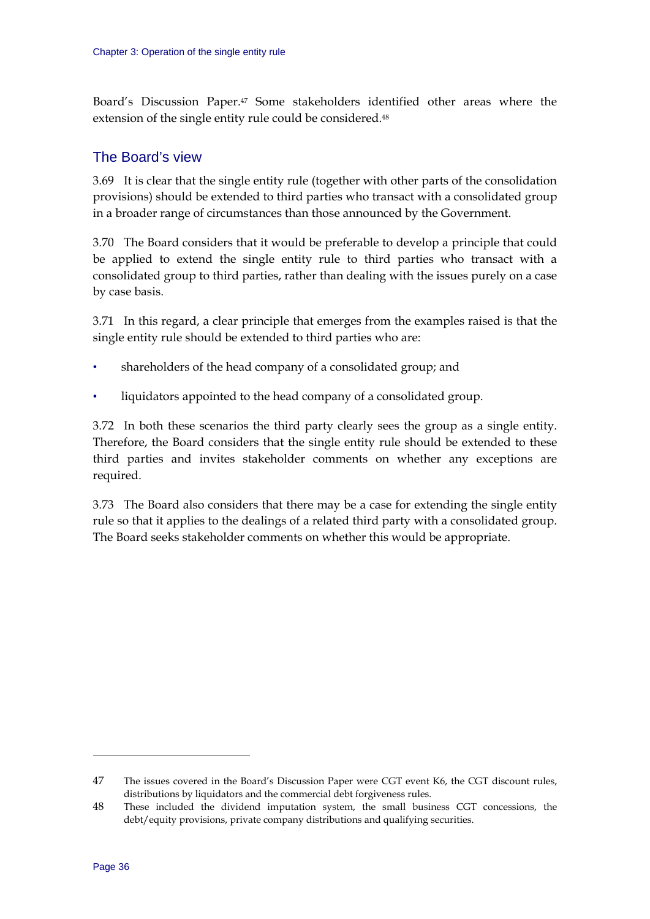Board's Discussion Paper.47 Some stakeholders identified other areas where the extension of the single entity rule could be considered.<sup>48</sup>

# The Board's view

3.69 It is clear that the single entity rule (together with other parts of the consolidation provisions) should be extended to third parties who transact with a consolidated group in a broader range of circumstances than those announced by the Government.

3.70 The Board considers that it would be preferable to develop a principle that could be applied to extend the single entity rule to third parties who transact with a consolidated group to third parties, rather than dealing with the issues purely on a case by case basis.

3.71 In this regard, a clear principle that emerges from the examples raised is that the single entity rule should be extended to third parties who are:

- shareholders of the head company of a consolidated group; and
- liquidators appointed to the head company of a consolidated group.

3.72 In both these scenarios the third party clearly sees the group as a single entity. Therefore, the Board considers that the single entity rule should be extended to these third parties and invites stakeholder comments on whether any exceptions are required.

3.73 The Board also considers that there may be a case for extending the single entity rule so that it applies to the dealings of a related third party with a consolidated group. The Board seeks stakeholder comments on whether this would be appropriate.

<sup>47</sup> The issues covered in the Board's Discussion Paper were CGT event K6, the CGT discount rules, distributions by liquidators and the commercial debt forgiveness rules.

<sup>48</sup> These included the dividend imputation system, the small business CGT concessions, the debt/equity provisions, private company distributions and qualifying securities.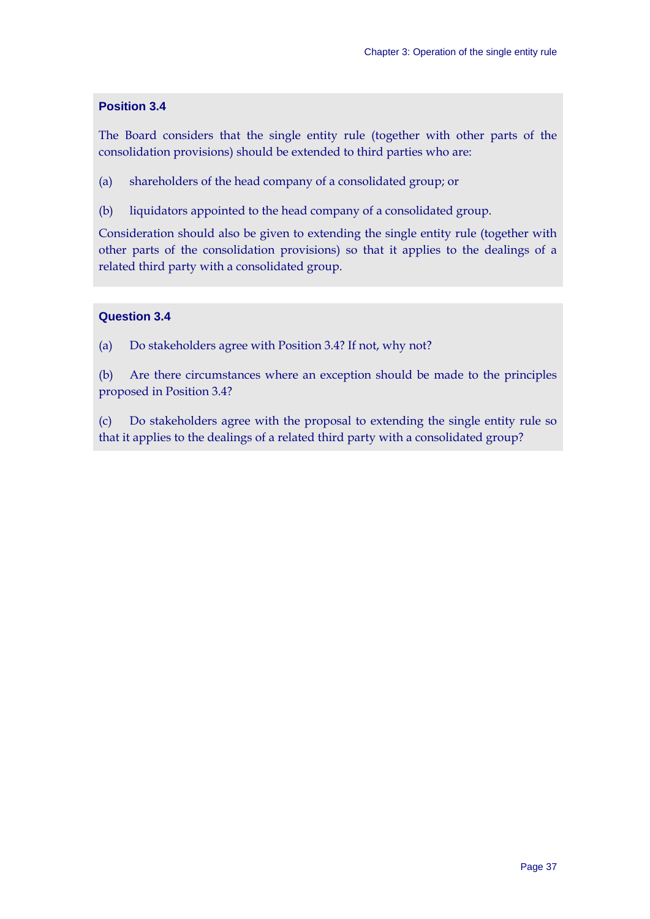# **Position 3.4**

The Board considers that the single entity rule (together with other parts of the consolidation provisions) should be extended to third parties who are:

- (a) shareholders of the head company of a consolidated group; or
- (b) liquidators appointed to the head company of a consolidated group.

Consideration should also be given to extending the single entity rule (together with other parts of the consolidation provisions) so that it applies to the dealings of a related third party with a consolidated group.

#### **Question 3.4**

(a) Do stakeholders agree with Position 3.4? If not, why not?

(b) Are there circumstances where an exception should be made to the principles proposed in Position 3.4?

(c) Do stakeholders agree with the proposal to extending the single entity rule so that it applies to the dealings of a related third party with a consolidated group?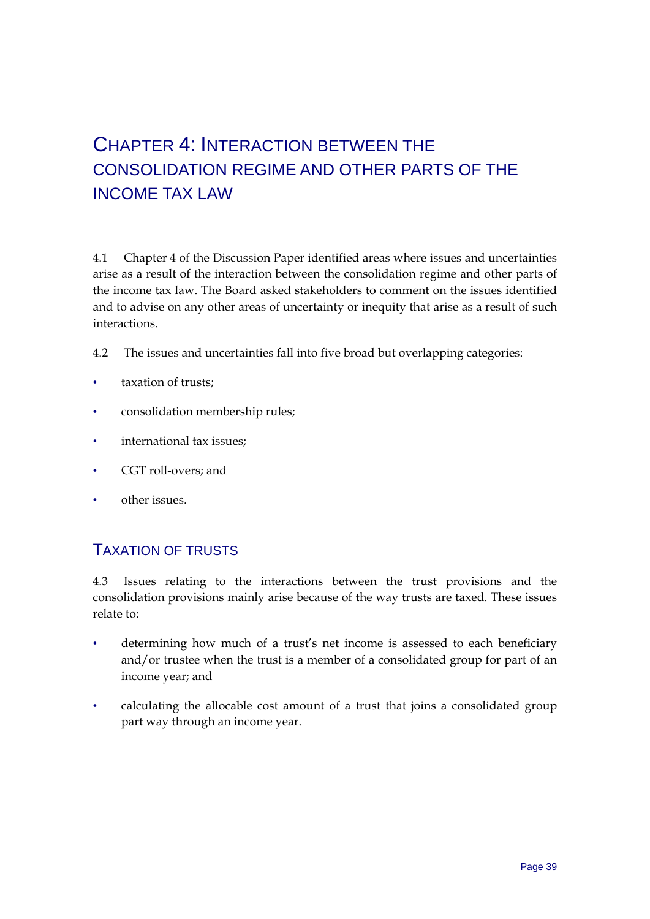# CHAPTER 4: INTERACTION BETWEEN THE CONSOLIDATION REGIME AND OTHER PARTS OF THE INCOME TAX LAW

4.1 Chapter 4 of the Discussion Paper identified areas where issues and uncertainties arise as a result of the interaction between the consolidation regime and other parts of the income tax law. The Board asked stakeholders to comment on the issues identified and to advise on any other areas of uncertainty or inequity that arise as a result of such interactions.

- 4.2 The issues and uncertainties fall into five broad but overlapping categories:
- taxation of trusts;
- consolidation membership rules;
- international tax issues;
- CGT roll-overs; and
- other issues.

# TAXATION OF TRUSTS

4.3 Issues relating to the interactions between the trust provisions and the consolidation provisions mainly arise because of the way trusts are taxed. These issues relate to:

- determining how much of a trust's net income is assessed to each beneficiary and/or trustee when the trust is a member of a consolidated group for part of an income year; and
- calculating the allocable cost amount of a trust that joins a consolidated group part way through an income year.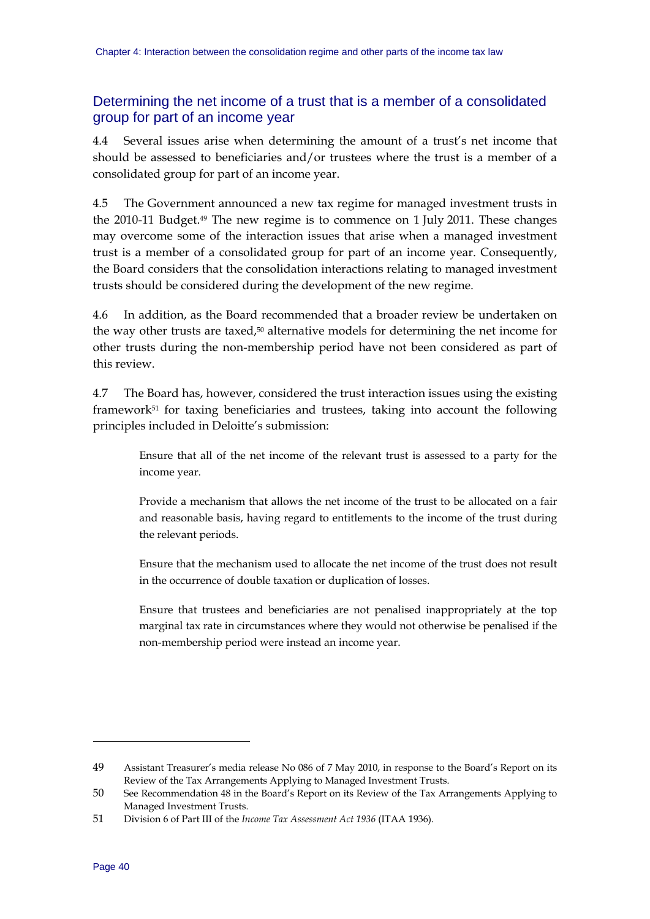# Determining the net income of a trust that is a member of a consolidated group for part of an income year

4.4 Several issues arise when determining the amount of a trust's net income that should be assessed to beneficiaries and/or trustees where the trust is a member of a consolidated group for part of an income year.

4.5 The Government announced a new tax regime for managed investment trusts in the 2010-11 Budget.49 The new regime is to commence on 1 July 2011. These changes may overcome some of the interaction issues that arise when a managed investment trust is a member of a consolidated group for part of an income year. Consequently, the Board considers that the consolidation interactions relating to managed investment trusts should be considered during the development of the new regime.

4.6 In addition, as the Board recommended that a broader review be undertaken on the way other trusts are taxed.<sup>50</sup> alternative models for determining the net income for other trusts during the non-membership period have not been considered as part of this review.

4.7 The Board has, however, considered the trust interaction issues using the existing framework51 for taxing beneficiaries and trustees, taking into account the following principles included in Deloitte's submission:

Ensure that all of the net income of the relevant trust is assessed to a party for the income year.

Provide a mechanism that allows the net income of the trust to be allocated on a fair and reasonable basis, having regard to entitlements to the income of the trust during the relevant periods.

Ensure that the mechanism used to allocate the net income of the trust does not result in the occurrence of double taxation or duplication of losses.

Ensure that trustees and beneficiaries are not penalised inappropriately at the top marginal tax rate in circumstances where they would not otherwise be penalised if the non-membership period were instead an income year.

<sup>49</sup> Assistant Treasurer's media release No 086 of 7 May 2010, in response to the Board's Report on its Review of the Tax Arrangements Applying to Managed Investment Trusts.

<sup>50</sup> See Recommendation 48 in the Board's Report on its Review of the Tax Arrangements Applying to Managed Investment Trusts.

<sup>51</sup> Division 6 of Part III of the *Income Tax Assessment Act 1936* (ITAA 1936).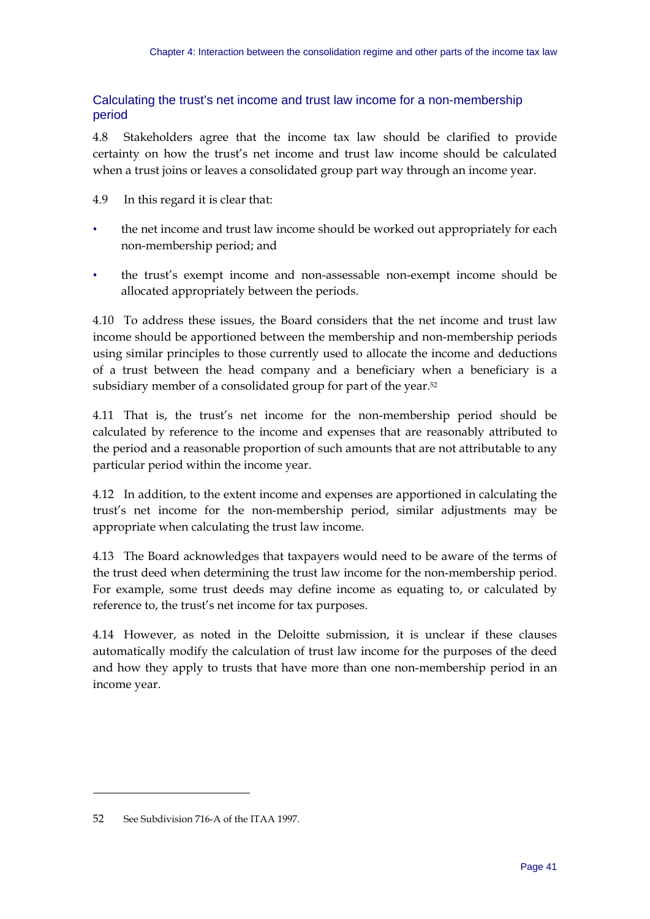### Calculating the trust's net income and trust law income for a non-membership period

4.8 Stakeholders agree that the income tax law should be clarified to provide certainty on how the trust's net income and trust law income should be calculated when a trust joins or leaves a consolidated group part way through an income year.

- 4.9 In this regard it is clear that:
- the net income and trust law income should be worked out appropriately for each non-membership period; and
- the trust's exempt income and non-assessable non-exempt income should be allocated appropriately between the periods.

4.10 To address these issues, the Board considers that the net income and trust law income should be apportioned between the membership and non-membership periods using similar principles to those currently used to allocate the income and deductions of a trust between the head company and a beneficiary when a beneficiary is a subsidiary member of a consolidated group for part of the year.<sup>52</sup>

4.11 That is, the trust's net income for the non-membership period should be calculated by reference to the income and expenses that are reasonably attributed to the period and a reasonable proportion of such amounts that are not attributable to any particular period within the income year.

4.12 In addition, to the extent income and expenses are apportioned in calculating the trust's net income for the non-membership period, similar adjustments may be appropriate when calculating the trust law income.

4.13 The Board acknowledges that taxpayers would need to be aware of the terms of the trust deed when determining the trust law income for the non-membership period. For example, some trust deeds may define income as equating to, or calculated by reference to, the trust's net income for tax purposes.

4.14 However, as noted in the Deloitte submission, it is unclear if these clauses automatically modify the calculation of trust law income for the purposes of the deed and how they apply to trusts that have more than one non-membership period in an income year.

<sup>52</sup> See Subdivision 716-A of the ITAA 1997.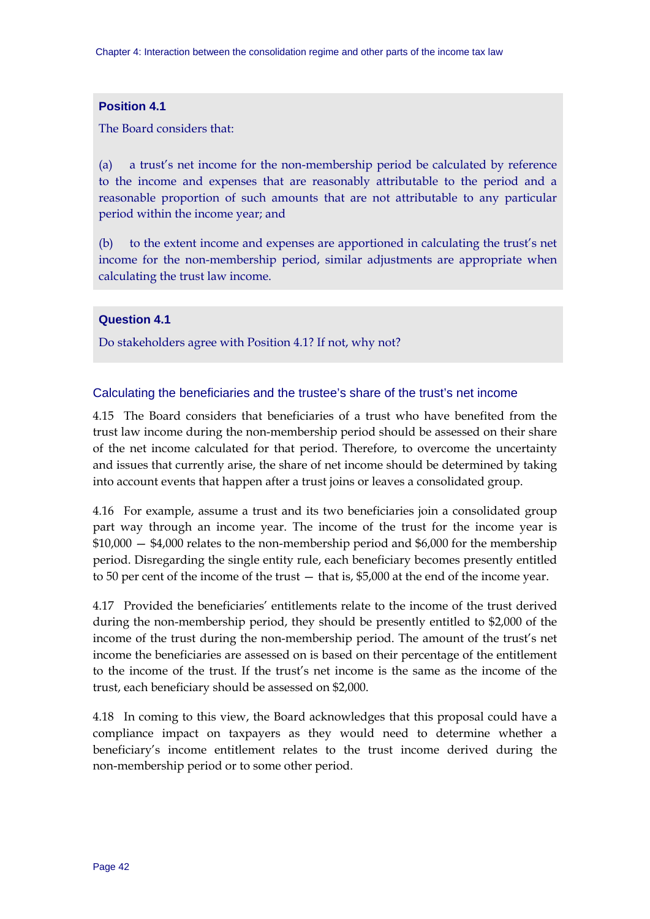### **Position 4.1**

The Board considers that:

(a) a trust's net income for the non-membership period be calculated by reference to the income and expenses that are reasonably attributable to the period and a reasonable proportion of such amounts that are not attributable to any particular period within the income year; and

(b) to the extent income and expenses are apportioned in calculating the trust's net income for the non-membership period, similar adjustments are appropriate when calculating the trust law income.

#### **Question 4.1**

Do stakeholders agree with Position 4.1? If not, why not?

#### Calculating the beneficiaries and the trustee's share of the trust's net income

4.15 The Board considers that beneficiaries of a trust who have benefited from the trust law income during the non-membership period should be assessed on their share of the net income calculated for that period. Therefore, to overcome the uncertainty and issues that currently arise, the share of net income should be determined by taking into account events that happen after a trust joins or leaves a consolidated group.

4.16 For example, assume a trust and its two beneficiaries join a consolidated group part way through an income year. The income of the trust for the income year is \$10,000 — \$4,000 relates to the non-membership period and \$6,000 for the membership period. Disregarding the single entity rule, each beneficiary becomes presently entitled to 50 per cent of the income of the trust — that is, \$5,000 at the end of the income year.

4.17 Provided the beneficiaries' entitlements relate to the income of the trust derived during the non-membership period, they should be presently entitled to \$2,000 of the income of the trust during the non-membership period. The amount of the trust's net income the beneficiaries are assessed on is based on their percentage of the entitlement to the income of the trust. If the trust's net income is the same as the income of the trust, each beneficiary should be assessed on \$2,000.

4.18 In coming to this view, the Board acknowledges that this proposal could have a compliance impact on taxpayers as they would need to determine whether a beneficiary's income entitlement relates to the trust income derived during the non-membership period or to some other period.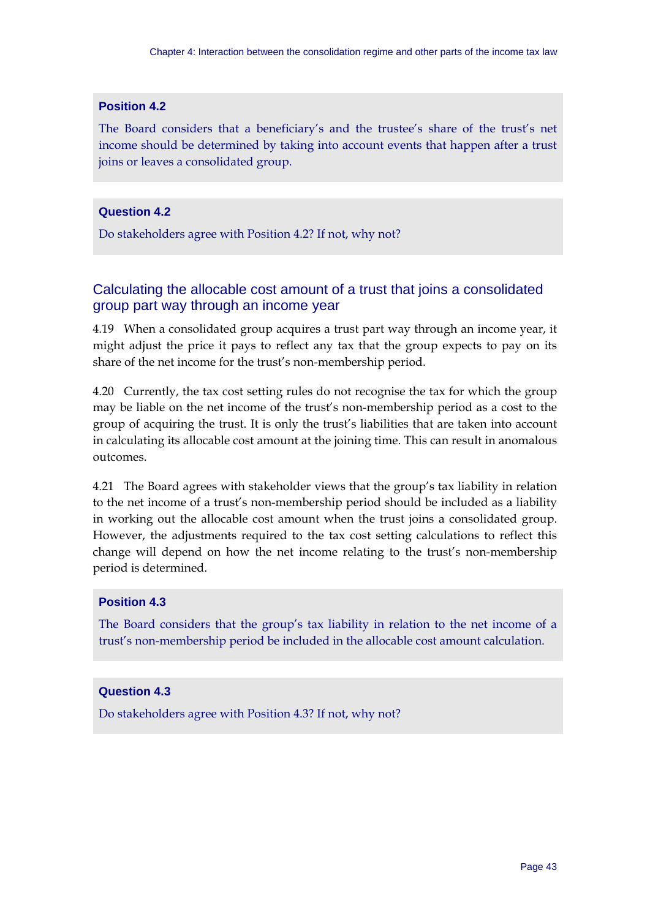### **Position 4.2**

The Board considers that a beneficiary's and the trustee's share of the trust's net income should be determined by taking into account events that happen after a trust joins or leaves a consolidated group.

### **Question 4.2**

Do stakeholders agree with Position 4.2? If not, why not?

# Calculating the allocable cost amount of a trust that joins a consolidated group part way through an income year

4.19 When a consolidated group acquires a trust part way through an income year, it might adjust the price it pays to reflect any tax that the group expects to pay on its share of the net income for the trust's non-membership period.

4.20 Currently, the tax cost setting rules do not recognise the tax for which the group may be liable on the net income of the trust's non-membership period as a cost to the group of acquiring the trust. It is only the trust's liabilities that are taken into account in calculating its allocable cost amount at the joining time. This can result in anomalous outcomes.

4.21 The Board agrees with stakeholder views that the group's tax liability in relation to the net income of a trust's non-membership period should be included as a liability in working out the allocable cost amount when the trust joins a consolidated group. However, the adjustments required to the tax cost setting calculations to reflect this change will depend on how the net income relating to the trust's non-membership period is determined.

#### **Position 4.3**

The Board considers that the group's tax liability in relation to the net income of a trust's non-membership period be included in the allocable cost amount calculation.

### **Question 4.3**

Do stakeholders agree with Position 4.3? If not, why not?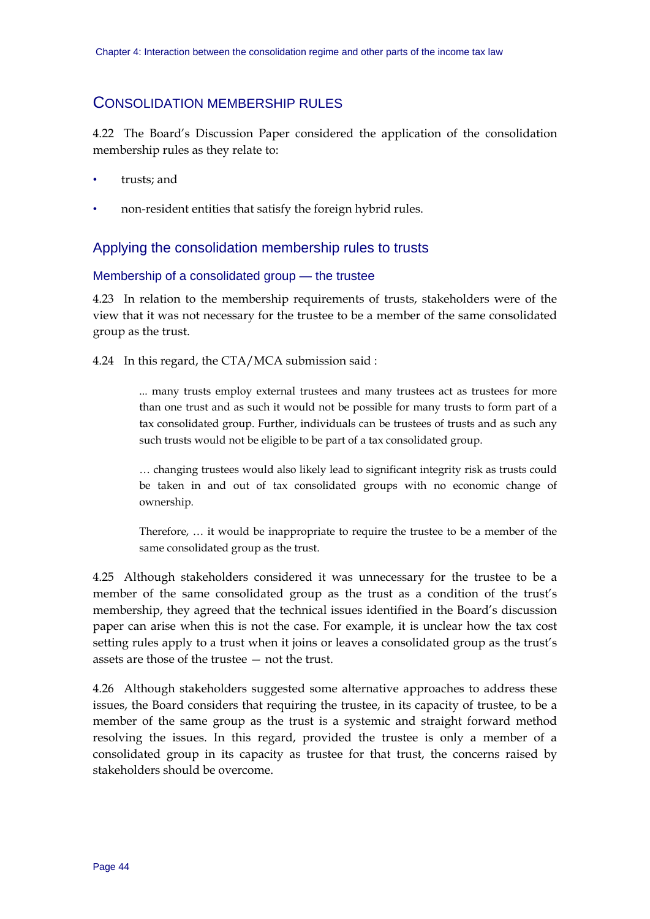# CONSOLIDATION MEMBERSHIP RULES

4.22 The Board's Discussion Paper considered the application of the consolidation membership rules as they relate to:

- trusts; and
- non-resident entities that satisfy the foreign hybrid rules.

# Applying the consolidation membership rules to trusts

#### Membership of a consolidated group — the trustee

4.23 In relation to the membership requirements of trusts, stakeholders were of the view that it was not necessary for the trustee to be a member of the same consolidated group as the trust.

4.24 In this regard, the CTA/MCA submission said :

... many trusts employ external trustees and many trustees act as trustees for more than one trust and as such it would not be possible for many trusts to form part of a tax consolidated group. Further, individuals can be trustees of trusts and as such any such trusts would not be eligible to be part of a tax consolidated group.

… changing trustees would also likely lead to significant integrity risk as trusts could be taken in and out of tax consolidated groups with no economic change of ownership.

Therefore, … it would be inappropriate to require the trustee to be a member of the same consolidated group as the trust.

4.25 Although stakeholders considered it was unnecessary for the trustee to be a member of the same consolidated group as the trust as a condition of the trust's membership, they agreed that the technical issues identified in the Board's discussion paper can arise when this is not the case. For example, it is unclear how the tax cost setting rules apply to a trust when it joins or leaves a consolidated group as the trust's assets are those of the trustee — not the trust.

4.26 Although stakeholders suggested some alternative approaches to address these issues, the Board considers that requiring the trustee, in its capacity of trustee, to be a member of the same group as the trust is a systemic and straight forward method resolving the issues. In this regard, provided the trustee is only a member of a consolidated group in its capacity as trustee for that trust, the concerns raised by stakeholders should be overcome.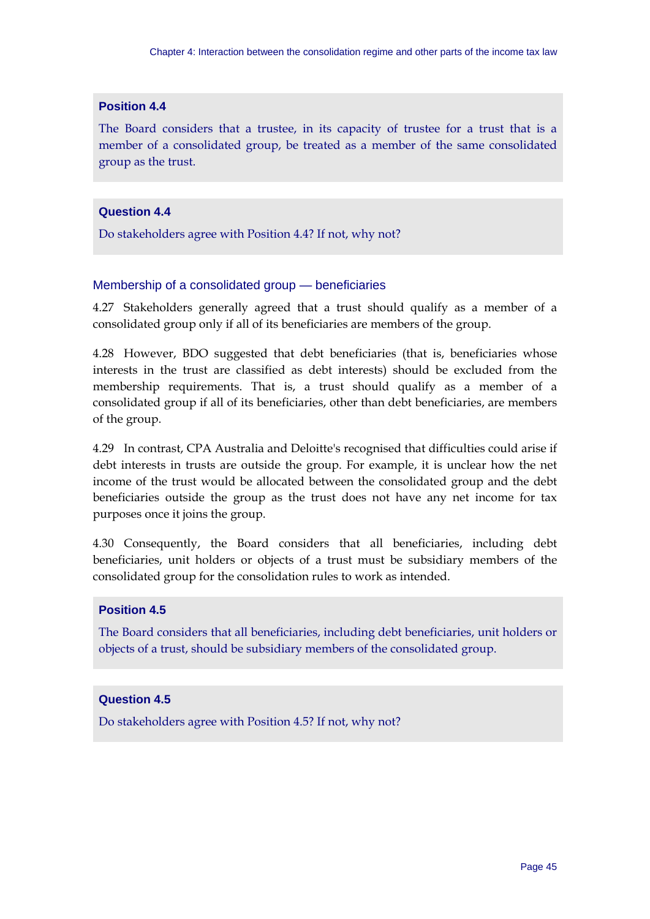#### **Position 4.4**

The Board considers that a trustee, in its capacity of trustee for a trust that is a member of a consolidated group, be treated as a member of the same consolidated group as the trust.

#### **Question 4.4**

Do stakeholders agree with Position 4.4? If not, why not?

#### Membership of a consolidated group — beneficiaries

4.27 Stakeholders generally agreed that a trust should qualify as a member of a consolidated group only if all of its beneficiaries are members of the group.

4.28 However, BDO suggested that debt beneficiaries (that is, beneficiaries whose interests in the trust are classified as debt interests) should be excluded from the membership requirements. That is, a trust should qualify as a member of a consolidated group if all of its beneficiaries, other than debt beneficiaries, are members of the group.

4.29 In contrast, CPA Australia and Deloitte's recognised that difficulties could arise if debt interests in trusts are outside the group. For example, it is unclear how the net income of the trust would be allocated between the consolidated group and the debt beneficiaries outside the group as the trust does not have any net income for tax purposes once it joins the group.

4.30 Consequently, the Board considers that all beneficiaries, including debt beneficiaries, unit holders or objects of a trust must be subsidiary members of the consolidated group for the consolidation rules to work as intended.

#### **Position 4.5**

The Board considers that all beneficiaries, including debt beneficiaries, unit holders or objects of a trust, should be subsidiary members of the consolidated group.

#### **Question 4.5**

Do stakeholders agree with Position 4.5? If not, why not?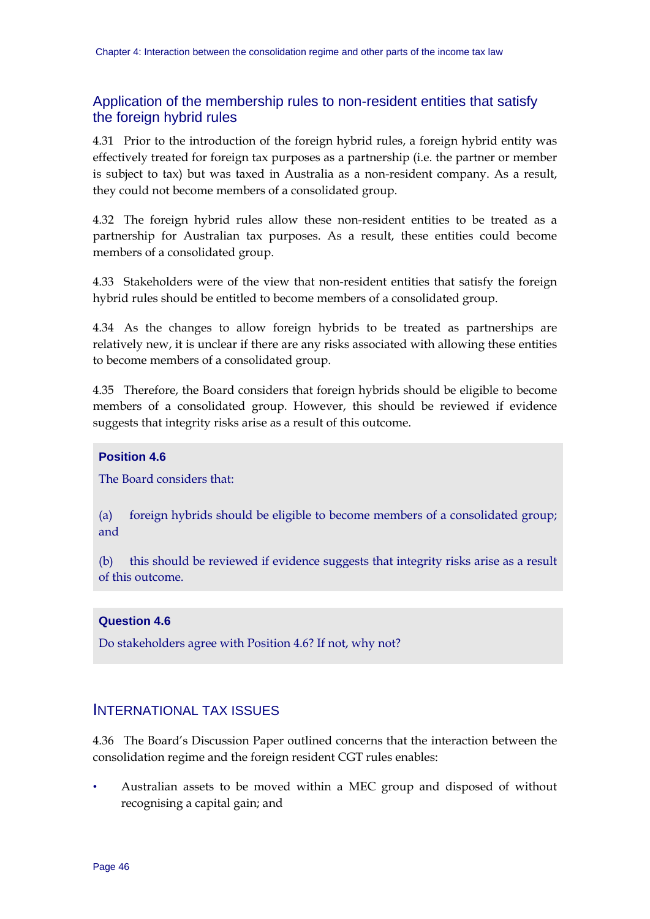# Application of the membership rules to non-resident entities that satisfy the foreign hybrid rules

4.31 Prior to the introduction of the foreign hybrid rules, a foreign hybrid entity was effectively treated for foreign tax purposes as a partnership (i.e. the partner or member is subject to tax) but was taxed in Australia as a non-resident company. As a result, they could not become members of a consolidated group.

4.32 The foreign hybrid rules allow these non-resident entities to be treated as a partnership for Australian tax purposes. As a result, these entities could become members of a consolidated group.

4.33 Stakeholders were of the view that non-resident entities that satisfy the foreign hybrid rules should be entitled to become members of a consolidated group.

4.34 As the changes to allow foreign hybrids to be treated as partnerships are relatively new, it is unclear if there are any risks associated with allowing these entities to become members of a consolidated group.

4.35 Therefore, the Board considers that foreign hybrids should be eligible to become members of a consolidated group. However, this should be reviewed if evidence suggests that integrity risks arise as a result of this outcome.

### **Position 4.6**

The Board considers that:

(a) foreign hybrids should be eligible to become members of a consolidated group; and

(b) this should be reviewed if evidence suggests that integrity risks arise as a result of this outcome.

#### **Question 4.6**

Do stakeholders agree with Position 4.6? If not, why not?

# INTERNATIONAL TAX ISSUES

4.36 The Board's Discussion Paper outlined concerns that the interaction between the consolidation regime and the foreign resident CGT rules enables:

• Australian assets to be moved within a MEC group and disposed of without recognising a capital gain; and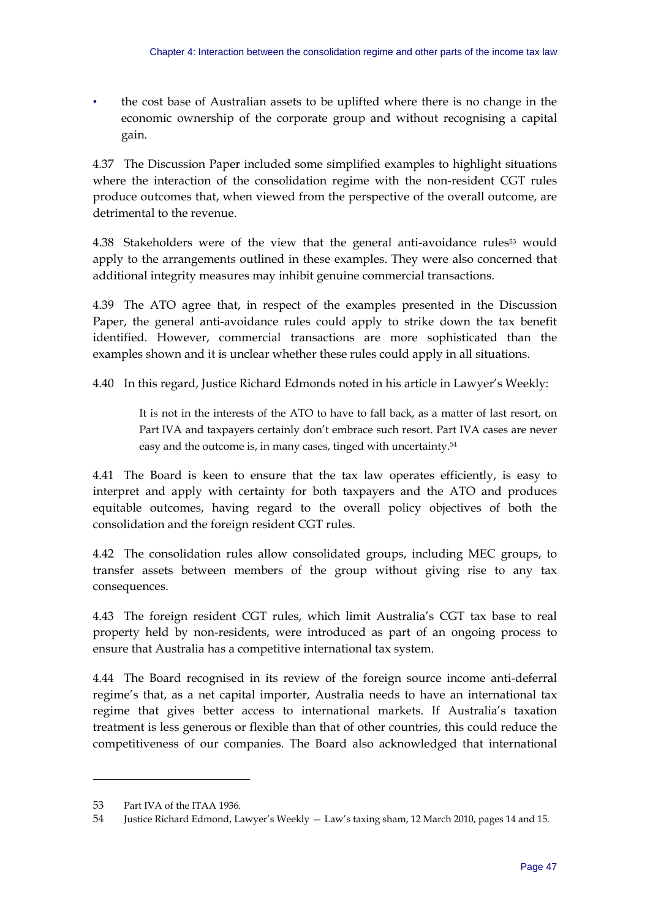• the cost base of Australian assets to be uplifted where there is no change in the economic ownership of the corporate group and without recognising a capital gain.

4.37 The Discussion Paper included some simplified examples to highlight situations where the interaction of the consolidation regime with the non-resident CGT rules produce outcomes that, when viewed from the perspective of the overall outcome, are detrimental to the revenue.

4.38 Stakeholders were of the view that the general anti-avoidance rules<sup>53</sup> would apply to the arrangements outlined in these examples. They were also concerned that additional integrity measures may inhibit genuine commercial transactions.

4.39 The ATO agree that, in respect of the examples presented in the Discussion Paper, the general anti-avoidance rules could apply to strike down the tax benefit identified. However, commercial transactions are more sophisticated than the examples shown and it is unclear whether these rules could apply in all situations.

4.40 In this regard, Justice Richard Edmonds noted in his article in Lawyer's Weekly:

It is not in the interests of the ATO to have to fall back, as a matter of last resort, on Part IVA and taxpayers certainly don't embrace such resort. Part IVA cases are never easy and the outcome is, in many cases, tinged with uncertainty.<sup>54</sup>

4.41 The Board is keen to ensure that the tax law operates efficiently, is easy to interpret and apply with certainty for both taxpayers and the ATO and produces equitable outcomes, having regard to the overall policy objectives of both the consolidation and the foreign resident CGT rules.

4.42 The consolidation rules allow consolidated groups, including MEC groups, to transfer assets between members of the group without giving rise to any tax consequences.

4.43 The foreign resident CGT rules, which limit Australia's CGT tax base to real property held by non-residents, were introduced as part of an ongoing process to ensure that Australia has a competitive international tax system.

4.44 The Board recognised in its review of the foreign source income anti-deferral regime's that, as a net capital importer, Australia needs to have an international tax regime that gives better access to international markets. If Australia's taxation treatment is less generous or flexible than that of other countries, this could reduce the competitiveness of our companies. The Board also acknowledged that international

<u>.</u>

<sup>53</sup> Part IVA of the ITAA 1936.

<sup>54</sup> Justice Richard Edmond, Lawyer's Weekly — Law's taxing sham, 12 March 2010, pages 14 and 15.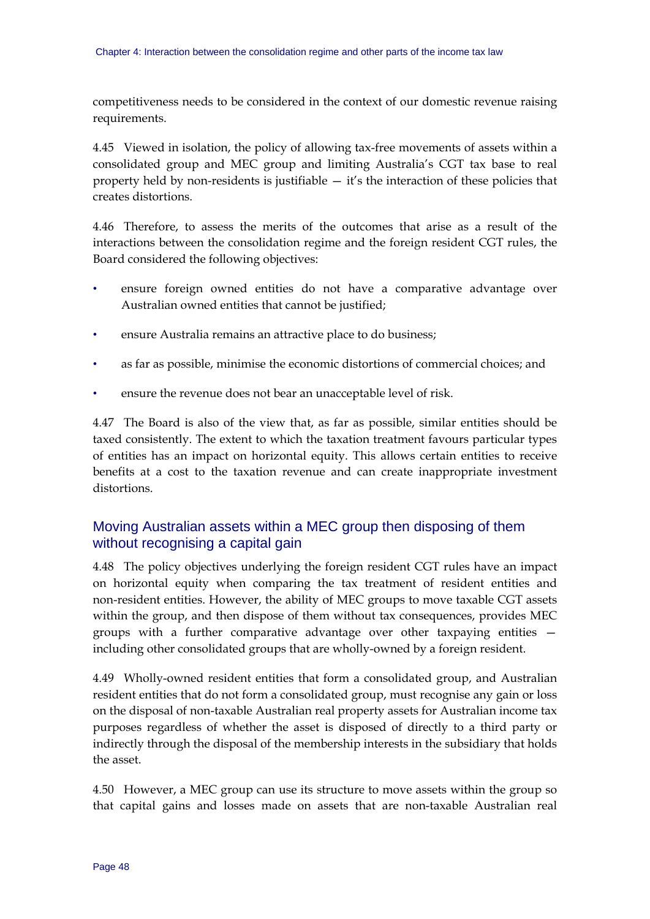competitiveness needs to be considered in the context of our domestic revenue raising requirements.

4.45 Viewed in isolation, the policy of allowing tax-free movements of assets within a consolidated group and MEC group and limiting Australia's CGT tax base to real property held by non-residents is justifiable  $-$  it's the interaction of these policies that creates distortions.

4.46 Therefore, to assess the merits of the outcomes that arise as a result of the interactions between the consolidation regime and the foreign resident CGT rules, the Board considered the following objectives:

- ensure foreign owned entities do not have a comparative advantage over Australian owned entities that cannot be justified;
- ensure Australia remains an attractive place to do business;
- as far as possible, minimise the economic distortions of commercial choices; and
- ensure the revenue does not bear an unacceptable level of risk.

4.47 The Board is also of the view that, as far as possible, similar entities should be taxed consistently. The extent to which the taxation treatment favours particular types of entities has an impact on horizontal equity. This allows certain entities to receive benefits at a cost to the taxation revenue and can create inappropriate investment distortions.

# Moving Australian assets within a MEC group then disposing of them without recognising a capital gain

4.48 The policy objectives underlying the foreign resident CGT rules have an impact on horizontal equity when comparing the tax treatment of resident entities and non-resident entities. However, the ability of MEC groups to move taxable CGT assets within the group, and then dispose of them without tax consequences, provides MEC groups with a further comparative advantage over other taxpaying entities including other consolidated groups that are wholly-owned by a foreign resident.

4.49 Wholly-owned resident entities that form a consolidated group, and Australian resident entities that do not form a consolidated group, must recognise any gain or loss on the disposal of non-taxable Australian real property assets for Australian income tax purposes regardless of whether the asset is disposed of directly to a third party or indirectly through the disposal of the membership interests in the subsidiary that holds the asset.

4.50 However, a MEC group can use its structure to move assets within the group so that capital gains and losses made on assets that are non-taxable Australian real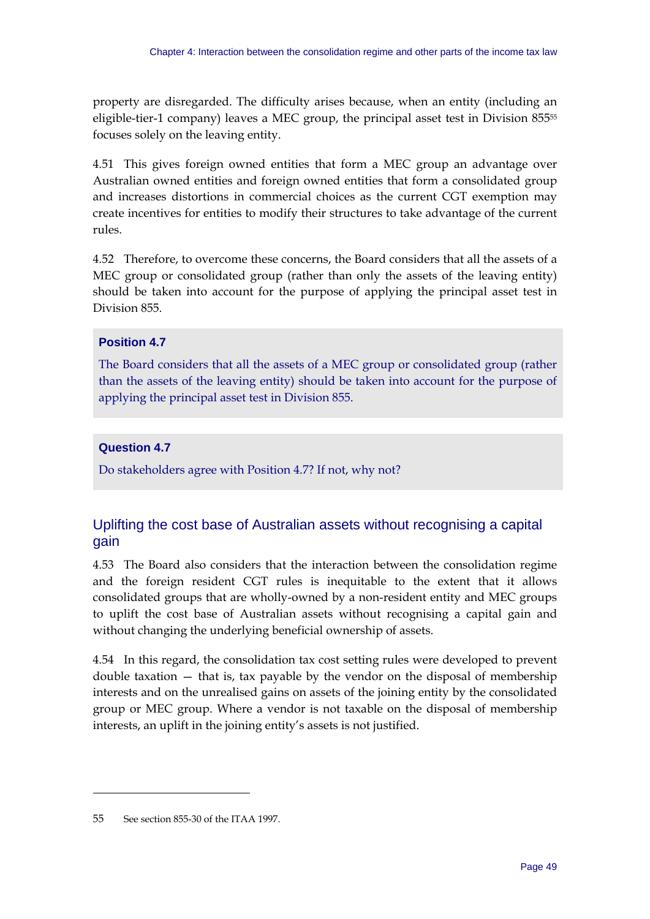property are disregarded. The difficulty arises because, when an entity (including an eligible-tier-1 company) leaves a MEC group, the principal asset test in Division 855<sup>55</sup> focuses solely on the leaving entity.

4.51 This gives foreign owned entities that form a MEC group an advantage over Australian owned entities and foreign owned entities that form a consolidated group and increases distortions in commercial choices as the current CGT exemption may create incentives for entities to modify their structures to take advantage of the current rules.

4.52 Therefore, to overcome these concerns, the Board considers that all the assets of a MEC group or consolidated group (rather than only the assets of the leaving entity) should be taken into account for the purpose of applying the principal asset test in Division 855.

### **Position 4.7**

The Board considers that all the assets of a MEC group or consolidated group (rather than the assets of the leaving entity) should be taken into account for the purpose of applying the principal asset test in Division 855.

### **Question 4.7**

Do stakeholders agree with Position 4.7? If not, why not?

# Uplifting the cost base of Australian assets without recognising a capital gain

4.53 The Board also considers that the interaction between the consolidation regime and the foreign resident CGT rules is inequitable to the extent that it allows consolidated groups that are wholly-owned by a non-resident entity and MEC groups to uplift the cost base of Australian assets without recognising a capital gain and without changing the underlying beneficial ownership of assets.

4.54 In this regard, the consolidation tax cost setting rules were developed to prevent double taxation — that is, tax payable by the vendor on the disposal of membership interests and on the unrealised gains on assets of the joining entity by the consolidated group or MEC group. Where a vendor is not taxable on the disposal of membership interests, an uplift in the joining entity's assets is not justified.

<sup>55</sup> See section 855-30 of the ITAA 1997.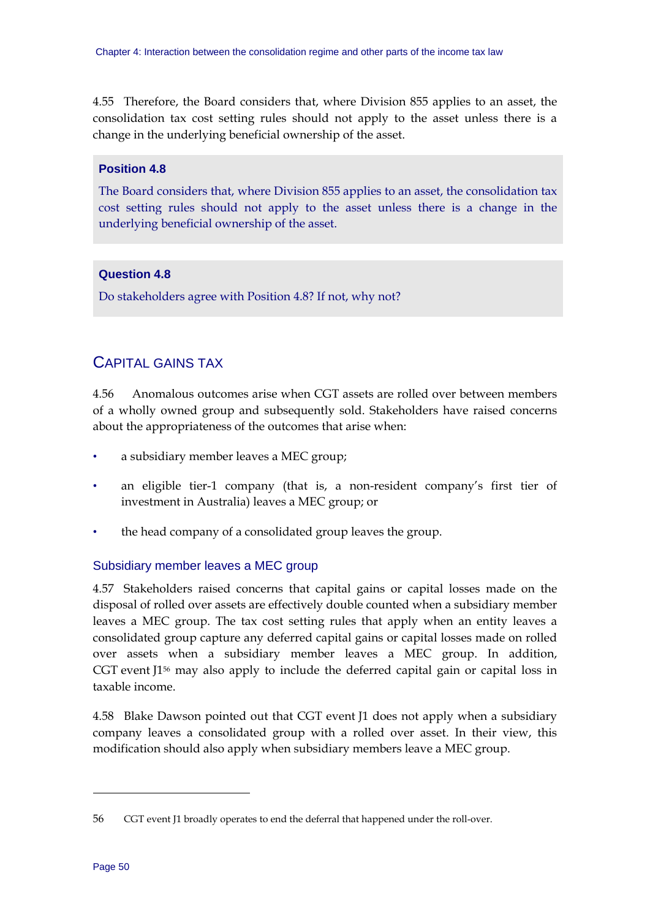4.55 Therefore, the Board considers that, where Division 855 applies to an asset, the consolidation tax cost setting rules should not apply to the asset unless there is a change in the underlying beneficial ownership of the asset.

#### **Position 4.8**

The Board considers that, where Division 855 applies to an asset, the consolidation tax cost setting rules should not apply to the asset unless there is a change in the underlying beneficial ownership of the asset.

### **Question 4.8**

Do stakeholders agree with Position 4.8? If not, why not?

# CAPITAL GAINS TAX

4.56 Anomalous outcomes arise when CGT assets are rolled over between members of a wholly owned group and subsequently sold. Stakeholders have raised concerns about the appropriateness of the outcomes that arise when:

- a subsidiary member leaves a MEC group;
- an eligible tier-1 company (that is, a non-resident company's first tier of investment in Australia) leaves a MEC group; or
- the head company of a consolidated group leaves the group.

#### Subsidiary member leaves a MEC group

4.57 Stakeholders raised concerns that capital gains or capital losses made on the disposal of rolled over assets are effectively double counted when a subsidiary member leaves a MEC group. The tax cost setting rules that apply when an entity leaves a consolidated group capture any deferred capital gains or capital losses made on rolled over assets when a subsidiary member leaves a MEC group. In addition, CGT event J156 may also apply to include the deferred capital gain or capital loss in taxable income.

4.58 Blake Dawson pointed out that CGT event J1 does not apply when a subsidiary company leaves a consolidated group with a rolled over asset. In their view, this modification should also apply when subsidiary members leave a MEC group.

1

<sup>56</sup> CGT event J1 broadly operates to end the deferral that happened under the roll-over.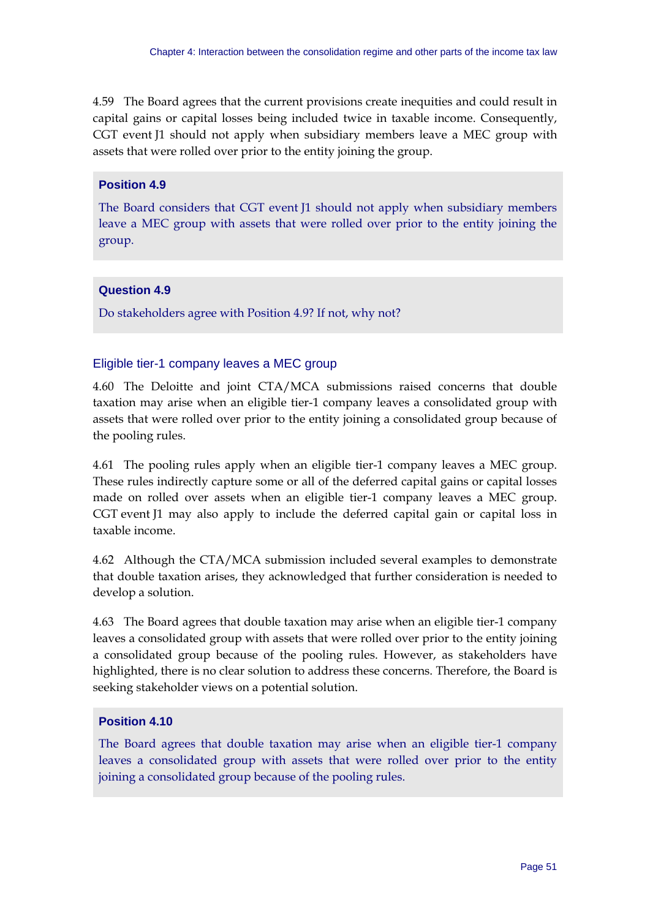4.59 The Board agrees that the current provisions create inequities and could result in capital gains or capital losses being included twice in taxable income. Consequently, CGT event J1 should not apply when subsidiary members leave a MEC group with assets that were rolled over prior to the entity joining the group.

### **Position 4.9**

The Board considers that CGT event J1 should not apply when subsidiary members leave a MEC group with assets that were rolled over prior to the entity joining the group.

#### **Question 4.9**

Do stakeholders agree with Position 4.9? If not, why not?

#### Eligible tier-1 company leaves a MEC group

4.60 The Deloitte and joint CTA/MCA submissions raised concerns that double taxation may arise when an eligible tier-1 company leaves a consolidated group with assets that were rolled over prior to the entity joining a consolidated group because of the pooling rules.

4.61 The pooling rules apply when an eligible tier-1 company leaves a MEC group. These rules indirectly capture some or all of the deferred capital gains or capital losses made on rolled over assets when an eligible tier-1 company leaves a MEC group. CGT event J1 may also apply to include the deferred capital gain or capital loss in taxable income.

4.62 Although the CTA/MCA submission included several examples to demonstrate that double taxation arises, they acknowledged that further consideration is needed to develop a solution.

4.63 The Board agrees that double taxation may arise when an eligible tier-1 company leaves a consolidated group with assets that were rolled over prior to the entity joining a consolidated group because of the pooling rules. However, as stakeholders have highlighted, there is no clear solution to address these concerns. Therefore, the Board is seeking stakeholder views on a potential solution.

### **Position 4.10**

The Board agrees that double taxation may arise when an eligible tier-1 company leaves a consolidated group with assets that were rolled over prior to the entity joining a consolidated group because of the pooling rules.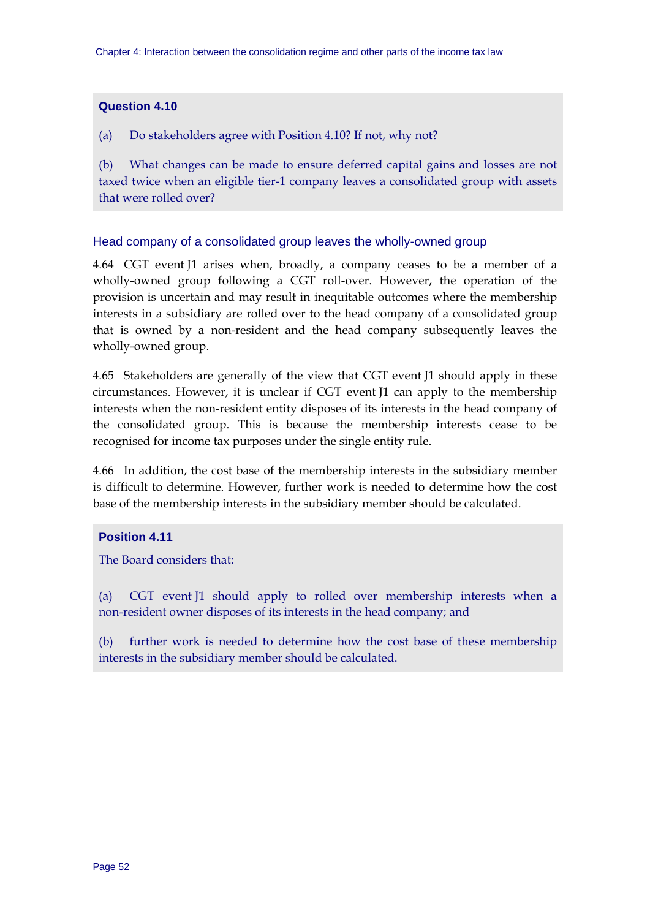#### **Question 4.10**

(a) Do stakeholders agree with Position 4.10? If not, why not?

(b) What changes can be made to ensure deferred capital gains and losses are not taxed twice when an eligible tier-1 company leaves a consolidated group with assets that were rolled over?

#### Head company of a consolidated group leaves the wholly-owned group

4.64 CGT event J1 arises when, broadly, a company ceases to be a member of a wholly-owned group following a CGT roll-over. However, the operation of the provision is uncertain and may result in inequitable outcomes where the membership interests in a subsidiary are rolled over to the head company of a consolidated group that is owned by a non-resident and the head company subsequently leaves the wholly-owned group.

4.65 Stakeholders are generally of the view that CGT event J1 should apply in these circumstances. However, it is unclear if CGT event J1 can apply to the membership interests when the non-resident entity disposes of its interests in the head company of the consolidated group. This is because the membership interests cease to be recognised for income tax purposes under the single entity rule.

4.66 In addition, the cost base of the membership interests in the subsidiary member is difficult to determine. However, further work is needed to determine how the cost base of the membership interests in the subsidiary member should be calculated.

#### **Position 4.11**

The Board considers that:

(a) CGT event J1 should apply to rolled over membership interests when a non-resident owner disposes of its interests in the head company; and

(b) further work is needed to determine how the cost base of these membership interests in the subsidiary member should be calculated.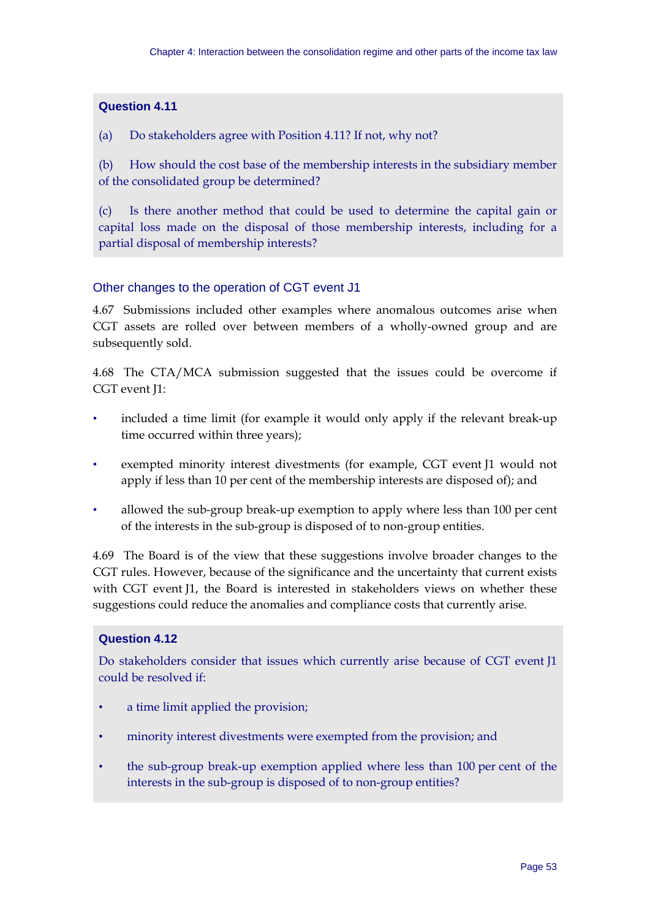### **Question 4.11**

(a) Do stakeholders agree with Position 4.11? If not, why not?

(b) How should the cost base of the membership interests in the subsidiary member of the consolidated group be determined?

(c) Is there another method that could be used to determine the capital gain or capital loss made on the disposal of those membership interests, including for a partial disposal of membership interests?

#### Other changes to the operation of CGT event J1

4.67 Submissions included other examples where anomalous outcomes arise when CGT assets are rolled over between members of a wholly-owned group and are subsequently sold.

4.68 The CTA/MCA submission suggested that the issues could be overcome if CGT event J1:

- included a time limit (for example it would only apply if the relevant break-up time occurred within three years);
- exempted minority interest divestments (for example, CGT event J1 would not apply if less than 10 per cent of the membership interests are disposed of); and
- allowed the sub-group break-up exemption to apply where less than 100 per cent of the interests in the sub-group is disposed of to non-group entities.

4.69 The Board is of the view that these suggestions involve broader changes to the CGT rules. However, because of the significance and the uncertainty that current exists with CGT event J1, the Board is interested in stakeholders views on whether these suggestions could reduce the anomalies and compliance costs that currently arise.

#### **Question 4.12**

Do stakeholders consider that issues which currently arise because of CGT event J1 could be resolved if:

- a time limit applied the provision;
- minority interest divestments were exempted from the provision; and
- the sub-group break-up exemption applied where less than 100 per cent of the interests in the sub-group is disposed of to non-group entities?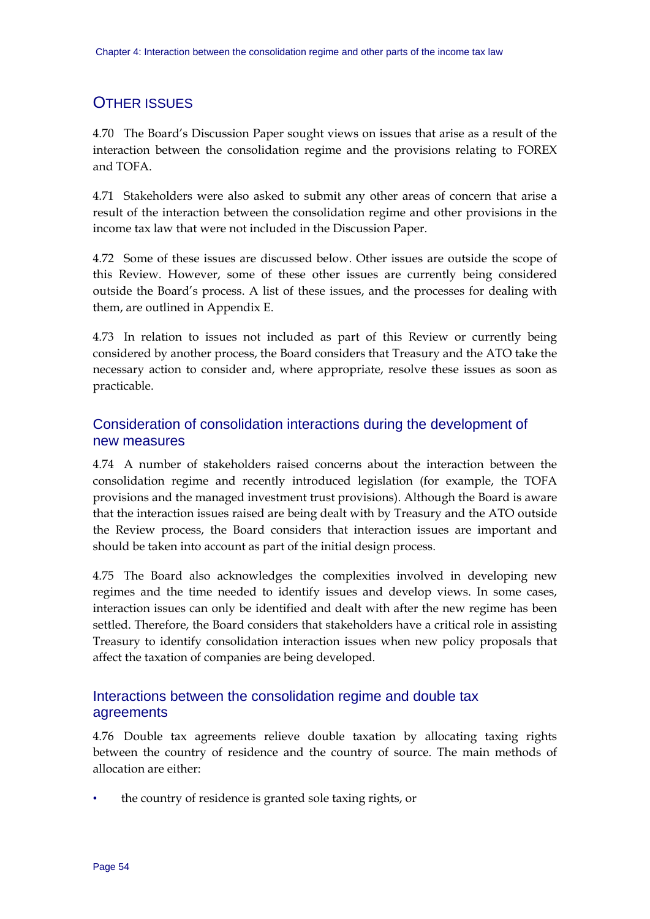# **OTHER ISSUES**

4.70 The Board's Discussion Paper sought views on issues that arise as a result of the interaction between the consolidation regime and the provisions relating to FOREX and TOFA.

4.71 Stakeholders were also asked to submit any other areas of concern that arise a result of the interaction between the consolidation regime and other provisions in the income tax law that were not included in the Discussion Paper.

4.72 Some of these issues are discussed below. Other issues are outside the scope of this Review. However, some of these other issues are currently being considered outside the Board's process. A list of these issues, and the processes for dealing with them, are outlined in Appendix E.

4.73 In relation to issues not included as part of this Review or currently being considered by another process, the Board considers that Treasury and the ATO take the necessary action to consider and, where appropriate, resolve these issues as soon as practicable.

# Consideration of consolidation interactions during the development of new measures

4.74 A number of stakeholders raised concerns about the interaction between the consolidation regime and recently introduced legislation (for example, the TOFA provisions and the managed investment trust provisions). Although the Board is aware that the interaction issues raised are being dealt with by Treasury and the ATO outside the Review process, the Board considers that interaction issues are important and should be taken into account as part of the initial design process.

4.75 The Board also acknowledges the complexities involved in developing new regimes and the time needed to identify issues and develop views. In some cases, interaction issues can only be identified and dealt with after the new regime has been settled. Therefore, the Board considers that stakeholders have a critical role in assisting Treasury to identify consolidation interaction issues when new policy proposals that affect the taxation of companies are being developed.

# Interactions between the consolidation regime and double tax agreements

4.76 Double tax agreements relieve double taxation by allocating taxing rights between the country of residence and the country of source. The main methods of allocation are either:

• the country of residence is granted sole taxing rights, or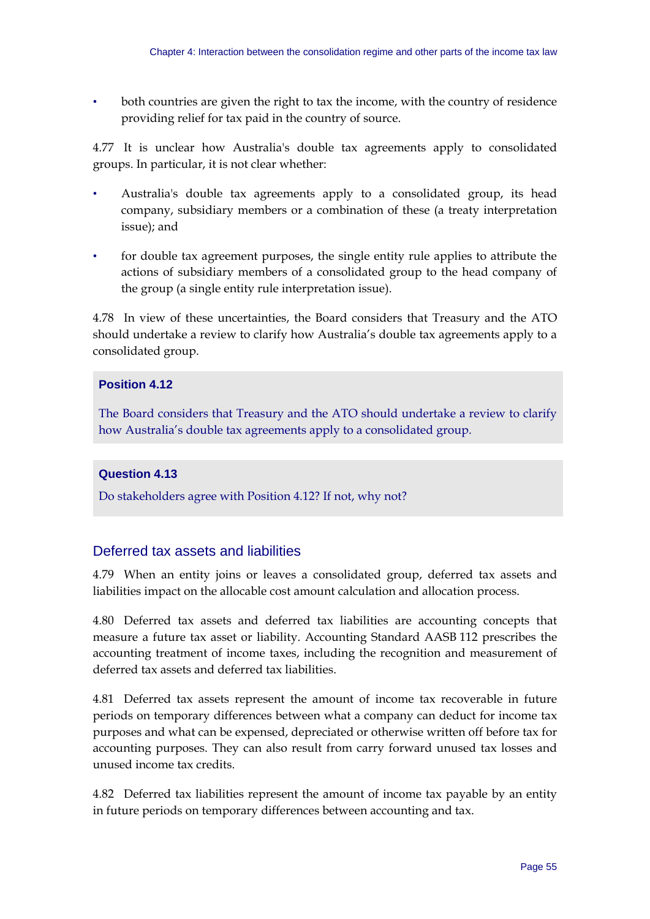both countries are given the right to tax the income, with the country of residence providing relief for tax paid in the country of source.

4.77 It is unclear how Australia's double tax agreements apply to consolidated groups. In particular, it is not clear whether:

- Australia's double tax agreements apply to a consolidated group, its head company, subsidiary members or a combination of these (a treaty interpretation issue); and
- for double tax agreement purposes, the single entity rule applies to attribute the actions of subsidiary members of a consolidated group to the head company of the group (a single entity rule interpretation issue).

4.78 In view of these uncertainties, the Board considers that Treasury and the ATO should undertake a review to clarify how Australia's double tax agreements apply to a consolidated group.

#### **Position 4.12**

The Board considers that Treasury and the ATO should undertake a review to clarify how Australia's double tax agreements apply to a consolidated group.

### **Question 4.13**

Do stakeholders agree with Position 4.12? If not, why not?

# Deferred tax assets and liabilities

4.79 When an entity joins or leaves a consolidated group, deferred tax assets and liabilities impact on the allocable cost amount calculation and allocation process.

4.80 Deferred tax assets and deferred tax liabilities are accounting concepts that measure a future tax asset or liability. Accounting Standard AASB 112 prescribes the accounting treatment of income taxes, including the recognition and measurement of deferred tax assets and deferred tax liabilities.

4.81 Deferred tax assets represent the amount of income tax recoverable in future periods on temporary differences between what a company can deduct for income tax purposes and what can be expensed, depreciated or otherwise written off before tax for accounting purposes. They can also result from carry forward unused tax losses and unused income tax credits.

4.82 Deferred tax liabilities represent the amount of income tax payable by an entity in future periods on temporary differences between accounting and tax.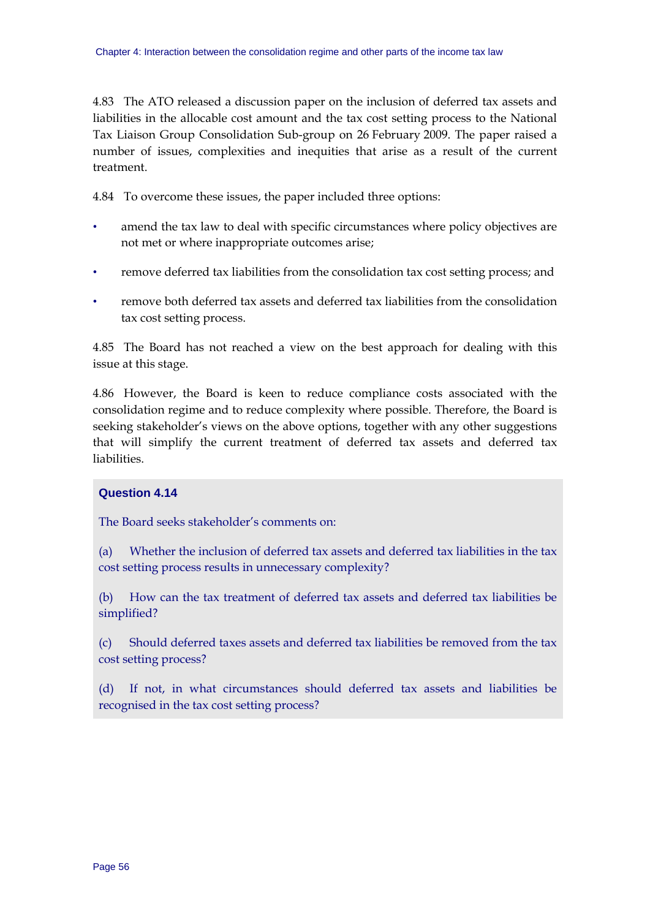4.83 The ATO released a discussion paper on the inclusion of deferred tax assets and liabilities in the allocable cost amount and the tax cost setting process to the National Tax Liaison Group Consolidation Sub-group on 26 February 2009. The paper raised a number of issues, complexities and inequities that arise as a result of the current treatment.

4.84 To overcome these issues, the paper included three options:

- amend the tax law to deal with specific circumstances where policy objectives are not met or where inappropriate outcomes arise;
- remove deferred tax liabilities from the consolidation tax cost setting process; and
- remove both deferred tax assets and deferred tax liabilities from the consolidation tax cost setting process.

4.85 The Board has not reached a view on the best approach for dealing with this issue at this stage.

4.86 However, the Board is keen to reduce compliance costs associated with the consolidation regime and to reduce complexity where possible. Therefore, the Board is seeking stakeholder's views on the above options, together with any other suggestions that will simplify the current treatment of deferred tax assets and deferred tax liabilities.

#### **Question 4.14**

The Board seeks stakeholder's comments on:

(a) Whether the inclusion of deferred tax assets and deferred tax liabilities in the tax cost setting process results in unnecessary complexity?

(b) How can the tax treatment of deferred tax assets and deferred tax liabilities be simplified?

(c) Should deferred taxes assets and deferred tax liabilities be removed from the tax cost setting process?

(d) If not, in what circumstances should deferred tax assets and liabilities be recognised in the tax cost setting process?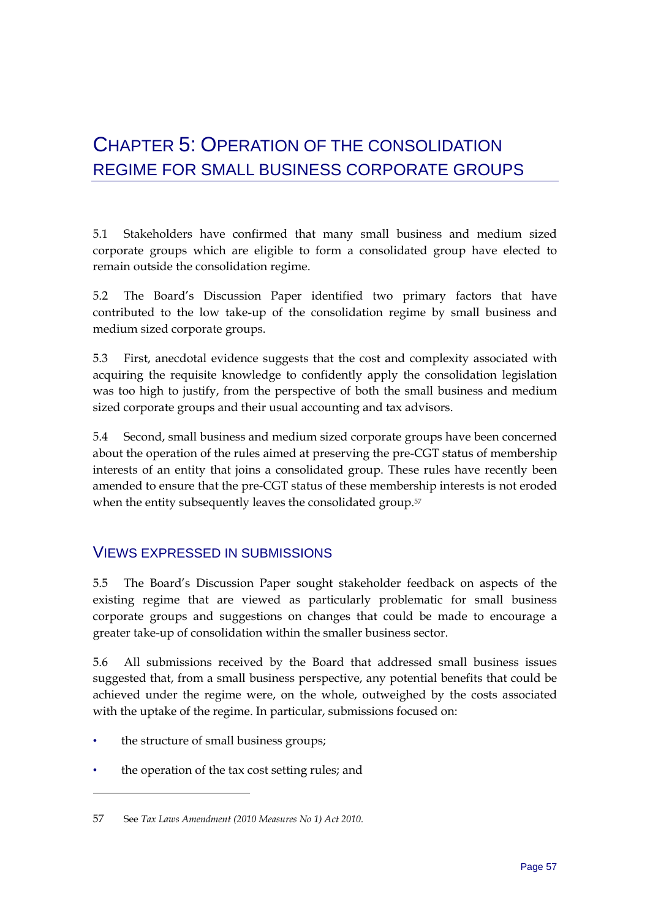# CHAPTER 5: OPERATION OF THE CONSOLIDATION REGIME FOR SMALL BUSINESS CORPORATE GROUPS

5.1 Stakeholders have confirmed that many small business and medium sized corporate groups which are eligible to form a consolidated group have elected to remain outside the consolidation regime.

5.2 The Board's Discussion Paper identified two primary factors that have contributed to the low take-up of the consolidation regime by small business and medium sized corporate groups.

5.3 First, anecdotal evidence suggests that the cost and complexity associated with acquiring the requisite knowledge to confidently apply the consolidation legislation was too high to justify, from the perspective of both the small business and medium sized corporate groups and their usual accounting and tax advisors.

5.4 Second, small business and medium sized corporate groups have been concerned about the operation of the rules aimed at preserving the pre-CGT status of membership interests of an entity that joins a consolidated group. These rules have recently been amended to ensure that the pre-CGT status of these membership interests is not eroded when the entity subsequently leaves the consolidated group.<sup>57</sup>

# VIEWS EXPRESSED IN SUBMISSIONS

5.5 The Board's Discussion Paper sought stakeholder feedback on aspects of the existing regime that are viewed as particularly problematic for small business corporate groups and suggestions on changes that could be made to encourage a greater take-up of consolidation within the smaller business sector.

5.6 All submissions received by the Board that addressed small business issues suggested that, from a small business perspective, any potential benefits that could be achieved under the regime were, on the whole, outweighed by the costs associated with the uptake of the regime. In particular, submissions focused on:

• the structure of small business groups;

1

• the operation of the tax cost setting rules; and

<sup>57</sup> See *Tax Laws Amendment (2010 Measures No 1) Act 2010*.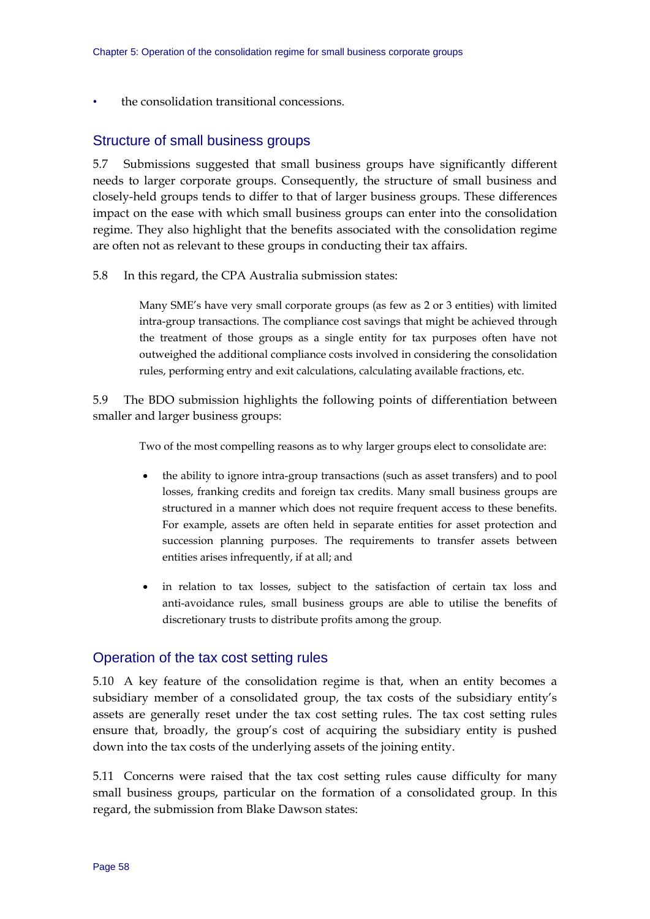• the consolidation transitional concessions.

### Structure of small business groups

5.7 Submissions suggested that small business groups have significantly different needs to larger corporate groups. Consequently, the structure of small business and closely-held groups tends to differ to that of larger business groups. These differences impact on the ease with which small business groups can enter into the consolidation regime. They also highlight that the benefits associated with the consolidation regime are often not as relevant to these groups in conducting their tax affairs.

5.8 In this regard, the CPA Australia submission states:

Many SME's have very small corporate groups (as few as 2 or 3 entities) with limited intra-group transactions. The compliance cost savings that might be achieved through the treatment of those groups as a single entity for tax purposes often have not outweighed the additional compliance costs involved in considering the consolidation rules, performing entry and exit calculations, calculating available fractions, etc.

5.9 The BDO submission highlights the following points of differentiation between smaller and larger business groups:

Two of the most compelling reasons as to why larger groups elect to consolidate are:

- the ability to ignore intra-group transactions (such as asset transfers) and to pool losses, franking credits and foreign tax credits. Many small business groups are structured in a manner which does not require frequent access to these benefits. For example, assets are often held in separate entities for asset protection and succession planning purposes. The requirements to transfer assets between entities arises infrequently, if at all; and
- in relation to tax losses, subject to the satisfaction of certain tax loss and anti-avoidance rules, small business groups are able to utilise the benefits of discretionary trusts to distribute profits among the group.

#### Operation of the tax cost setting rules

5.10 A key feature of the consolidation regime is that, when an entity becomes a subsidiary member of a consolidated group, the tax costs of the subsidiary entity's assets are generally reset under the tax cost setting rules. The tax cost setting rules ensure that, broadly, the group's cost of acquiring the subsidiary entity is pushed down into the tax costs of the underlying assets of the joining entity.

5.11 Concerns were raised that the tax cost setting rules cause difficulty for many small business groups, particular on the formation of a consolidated group. In this regard, the submission from Blake Dawson states: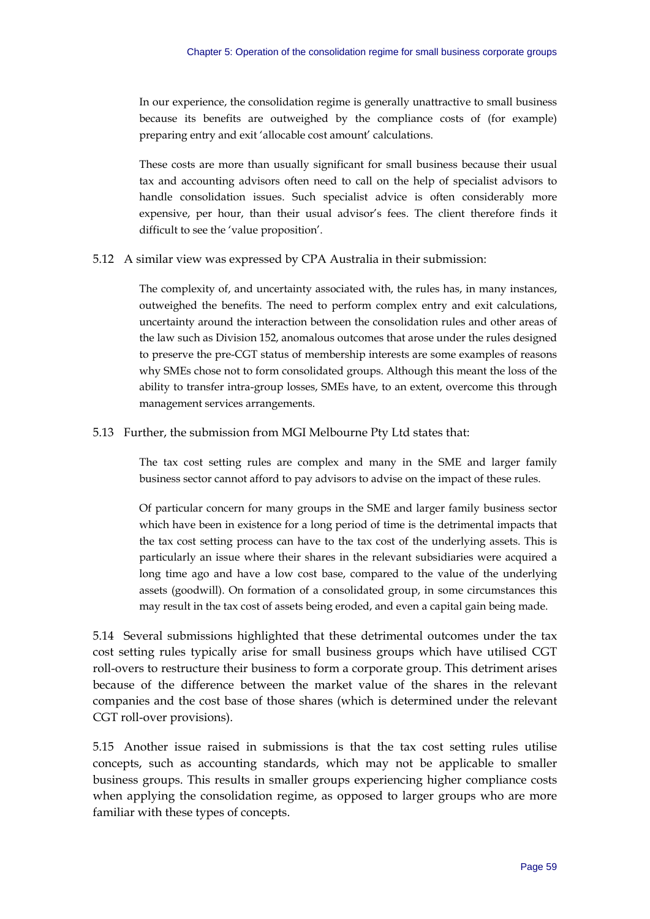In our experience, the consolidation regime is generally unattractive to small business because its benefits are outweighed by the compliance costs of (for example) preparing entry and exit 'allocable cost amount' calculations.

These costs are more than usually significant for small business because their usual tax and accounting advisors often need to call on the help of specialist advisors to handle consolidation issues. Such specialist advice is often considerably more expensive, per hour, than their usual advisor's fees. The client therefore finds it difficult to see the 'value proposition'.

#### 5.12 A similar view was expressed by CPA Australia in their submission:

The complexity of, and uncertainty associated with, the rules has, in many instances, outweighed the benefits. The need to perform complex entry and exit calculations, uncertainty around the interaction between the consolidation rules and other areas of the law such as Division 152, anomalous outcomes that arose under the rules designed to preserve the pre-CGT status of membership interests are some examples of reasons why SMEs chose not to form consolidated groups. Although this meant the loss of the ability to transfer intra-group losses, SMEs have, to an extent, overcome this through management services arrangements.

#### 5.13 Further, the submission from MGI Melbourne Pty Ltd states that:

The tax cost setting rules are complex and many in the SME and larger family business sector cannot afford to pay advisors to advise on the impact of these rules.

Of particular concern for many groups in the SME and larger family business sector which have been in existence for a long period of time is the detrimental impacts that the tax cost setting process can have to the tax cost of the underlying assets. This is particularly an issue where their shares in the relevant subsidiaries were acquired a long time ago and have a low cost base, compared to the value of the underlying assets (goodwill). On formation of a consolidated group, in some circumstances this may result in the tax cost of assets being eroded, and even a capital gain being made.

5.14 Several submissions highlighted that these detrimental outcomes under the tax cost setting rules typically arise for small business groups which have utilised CGT roll-overs to restructure their business to form a corporate group. This detriment arises because of the difference between the market value of the shares in the relevant companies and the cost base of those shares (which is determined under the relevant CGT roll-over provisions).

5.15 Another issue raised in submissions is that the tax cost setting rules utilise concepts, such as accounting standards, which may not be applicable to smaller business groups. This results in smaller groups experiencing higher compliance costs when applying the consolidation regime, as opposed to larger groups who are more familiar with these types of concepts.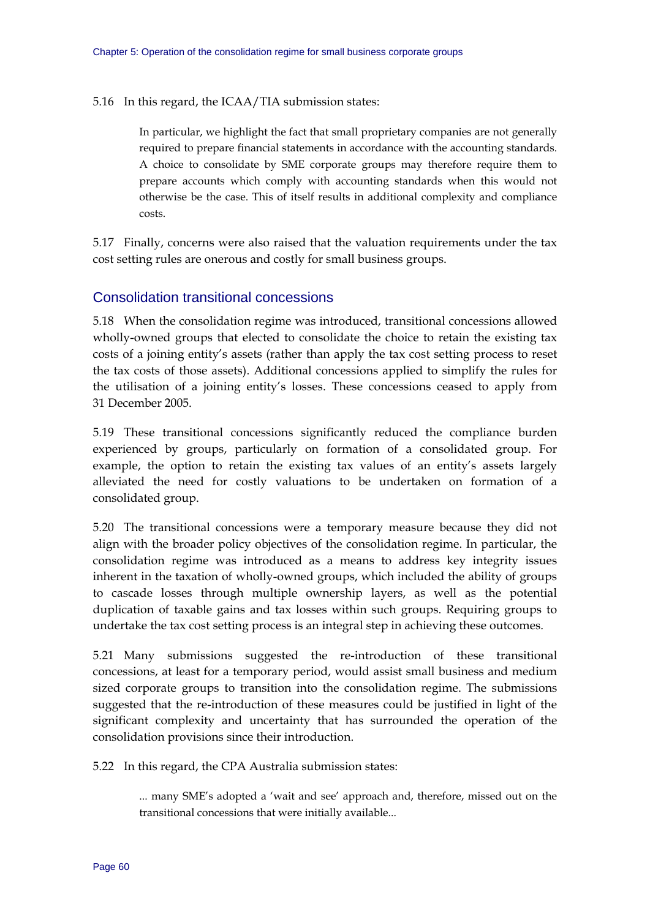5.16 In this regard, the ICAA/TIA submission states:

In particular, we highlight the fact that small proprietary companies are not generally required to prepare financial statements in accordance with the accounting standards. A choice to consolidate by SME corporate groups may therefore require them to prepare accounts which comply with accounting standards when this would not otherwise be the case. This of itself results in additional complexity and compliance costs.

5.17 Finally, concerns were also raised that the valuation requirements under the tax cost setting rules are onerous and costly for small business groups.

### Consolidation transitional concessions

5.18 When the consolidation regime was introduced, transitional concessions allowed wholly-owned groups that elected to consolidate the choice to retain the existing tax costs of a joining entity's assets (rather than apply the tax cost setting process to reset the tax costs of those assets). Additional concessions applied to simplify the rules for the utilisation of a joining entity's losses. These concessions ceased to apply from 31 December 2005.

5.19 These transitional concessions significantly reduced the compliance burden experienced by groups, particularly on formation of a consolidated group. For example, the option to retain the existing tax values of an entity's assets largely alleviated the need for costly valuations to be undertaken on formation of a consolidated group.

5.20 The transitional concessions were a temporary measure because they did not align with the broader policy objectives of the consolidation regime. In particular, the consolidation regime was introduced as a means to address key integrity issues inherent in the taxation of wholly-owned groups, which included the ability of groups to cascade losses through multiple ownership layers, as well as the potential duplication of taxable gains and tax losses within such groups. Requiring groups to undertake the tax cost setting process is an integral step in achieving these outcomes.

5.21 Many submissions suggested the re-introduction of these transitional concessions, at least for a temporary period, would assist small business and medium sized corporate groups to transition into the consolidation regime. The submissions suggested that the re-introduction of these measures could be justified in light of the significant complexity and uncertainty that has surrounded the operation of the consolidation provisions since their introduction.

5.22 In this regard, the CPA Australia submission states:

... many SME's adopted a 'wait and see' approach and, therefore, missed out on the transitional concessions that were initially available...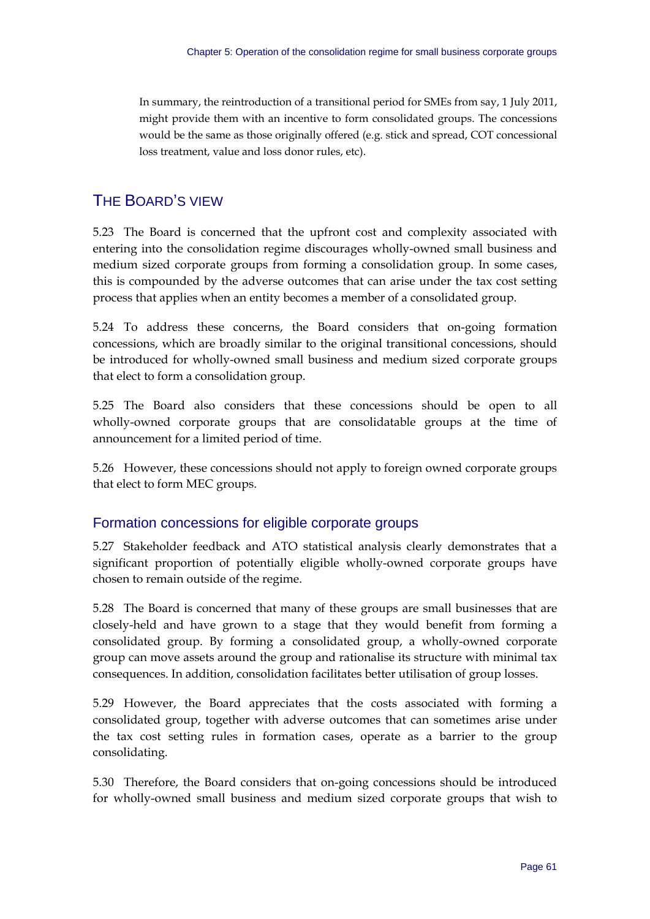In summary, the reintroduction of a transitional period for SMEs from say, 1 July 2011, might provide them with an incentive to form consolidated groups. The concessions would be the same as those originally offered (e.g. stick and spread, COT concessional loss treatment, value and loss donor rules, etc).

# THE BOARD'S VIEW

5.23 The Board is concerned that the upfront cost and complexity associated with entering into the consolidation regime discourages wholly-owned small business and medium sized corporate groups from forming a consolidation group. In some cases, this is compounded by the adverse outcomes that can arise under the tax cost setting process that applies when an entity becomes a member of a consolidated group.

5.24 To address these concerns, the Board considers that on-going formation concessions, which are broadly similar to the original transitional concessions, should be introduced for wholly-owned small business and medium sized corporate groups that elect to form a consolidation group.

5.25 The Board also considers that these concessions should be open to all wholly-owned corporate groups that are consolidatable groups at the time of announcement for a limited period of time.

5.26 However, these concessions should not apply to foreign owned corporate groups that elect to form MEC groups.

# Formation concessions for eligible corporate groups

5.27 Stakeholder feedback and ATO statistical analysis clearly demonstrates that a significant proportion of potentially eligible wholly-owned corporate groups have chosen to remain outside of the regime.

5.28 The Board is concerned that many of these groups are small businesses that are closely-held and have grown to a stage that they would benefit from forming a consolidated group. By forming a consolidated group, a wholly-owned corporate group can move assets around the group and rationalise its structure with minimal tax consequences. In addition, consolidation facilitates better utilisation of group losses.

5.29 However, the Board appreciates that the costs associated with forming a consolidated group, together with adverse outcomes that can sometimes arise under the tax cost setting rules in formation cases, operate as a barrier to the group consolidating.

5.30 Therefore, the Board considers that on-going concessions should be introduced for wholly-owned small business and medium sized corporate groups that wish to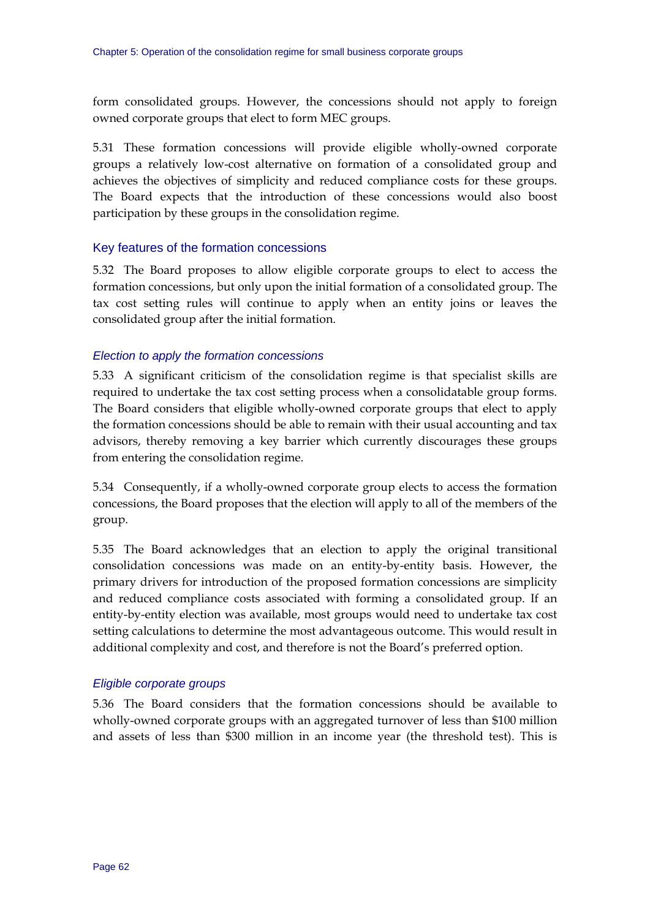form consolidated groups. However, the concessions should not apply to foreign owned corporate groups that elect to form MEC groups.

5.31 These formation concessions will provide eligible wholly-owned corporate groups a relatively low-cost alternative on formation of a consolidated group and achieves the objectives of simplicity and reduced compliance costs for these groups. The Board expects that the introduction of these concessions would also boost participation by these groups in the consolidation regime.

#### Key features of the formation concessions

5.32 The Board proposes to allow eligible corporate groups to elect to access the formation concessions, but only upon the initial formation of a consolidated group. The tax cost setting rules will continue to apply when an entity joins or leaves the consolidated group after the initial formation.

#### *Election to apply the formation concessions*

5.33 A significant criticism of the consolidation regime is that specialist skills are required to undertake the tax cost setting process when a consolidatable group forms. The Board considers that eligible wholly-owned corporate groups that elect to apply the formation concessions should be able to remain with their usual accounting and tax advisors, thereby removing a key barrier which currently discourages these groups from entering the consolidation regime.

5.34 Consequently, if a wholly-owned corporate group elects to access the formation concessions, the Board proposes that the election will apply to all of the members of the group.

5.35 The Board acknowledges that an election to apply the original transitional consolidation concessions was made on an entity-by-entity basis. However, the primary drivers for introduction of the proposed formation concessions are simplicity and reduced compliance costs associated with forming a consolidated group. If an entity-by-entity election was available, most groups would need to undertake tax cost setting calculations to determine the most advantageous outcome. This would result in additional complexity and cost, and therefore is not the Board's preferred option.

#### *Eligible corporate groups*

5.36 The Board considers that the formation concessions should be available to wholly-owned corporate groups with an aggregated turnover of less than \$100 million and assets of less than \$300 million in an income year (the threshold test). This is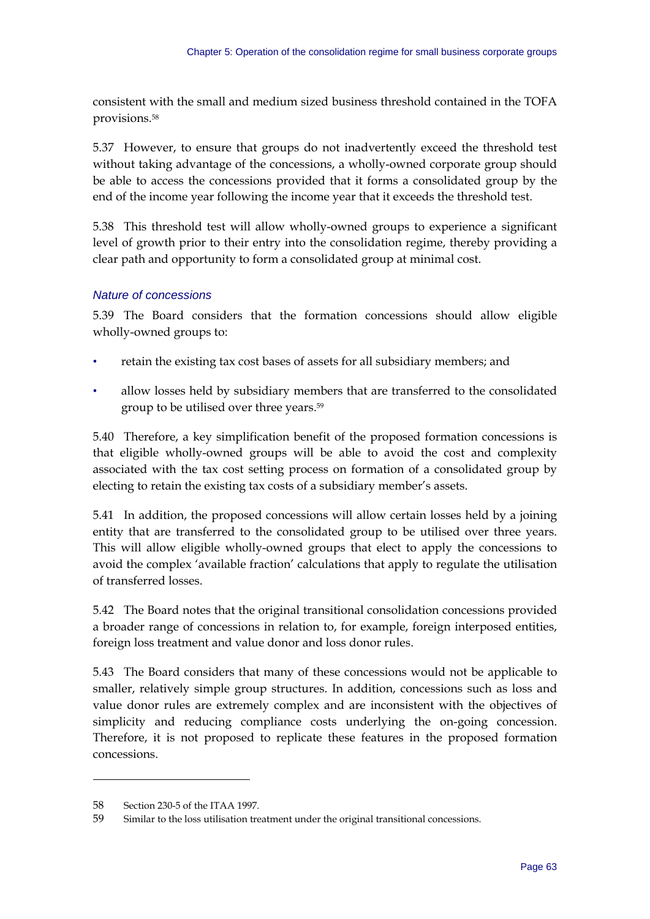consistent with the small and medium sized business threshold contained in the TOFA provisions.58

5.37 However, to ensure that groups do not inadvertently exceed the threshold test without taking advantage of the concessions, a wholly-owned corporate group should be able to access the concessions provided that it forms a consolidated group by the end of the income year following the income year that it exceeds the threshold test.

5.38 This threshold test will allow wholly-owned groups to experience a significant level of growth prior to their entry into the consolidation regime, thereby providing a clear path and opportunity to form a consolidated group at minimal cost.

#### *Nature of concessions*

5.39 The Board considers that the formation concessions should allow eligible wholly-owned groups to:

- retain the existing tax cost bases of assets for all subsidiary members; and
- allow losses held by subsidiary members that are transferred to the consolidated group to be utilised over three years.59

5.40 Therefore, a key simplification benefit of the proposed formation concessions is that eligible wholly-owned groups will be able to avoid the cost and complexity associated with the tax cost setting process on formation of a consolidated group by electing to retain the existing tax costs of a subsidiary member's assets.

5.41 In addition, the proposed concessions will allow certain losses held by a joining entity that are transferred to the consolidated group to be utilised over three years. This will allow eligible wholly-owned groups that elect to apply the concessions to avoid the complex 'available fraction' calculations that apply to regulate the utilisation of transferred losses.

5.42 The Board notes that the original transitional consolidation concessions provided a broader range of concessions in relation to, for example, foreign interposed entities, foreign loss treatment and value donor and loss donor rules.

5.43 The Board considers that many of these concessions would not be applicable to smaller, relatively simple group structures. In addition, concessions such as loss and value donor rules are extremely complex and are inconsistent with the objectives of simplicity and reducing compliance costs underlying the on-going concession. Therefore, it is not proposed to replicate these features in the proposed formation concessions.

<u>.</u>

<sup>58</sup> Section 230-5 of the ITAA 1997.

<sup>59</sup> Similar to the loss utilisation treatment under the original transitional concessions.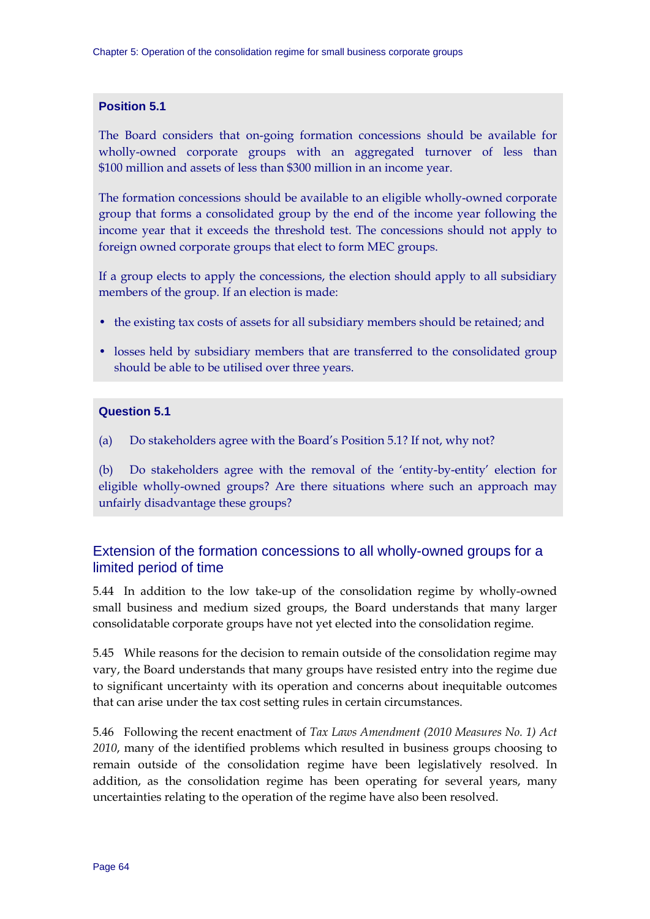### **Position 5.1**

The Board considers that on-going formation concessions should be available for wholly-owned corporate groups with an aggregated turnover of less than \$100 million and assets of less than \$300 million in an income year.

The formation concessions should be available to an eligible wholly-owned corporate group that forms a consolidated group by the end of the income year following the income year that it exceeds the threshold test. The concessions should not apply to foreign owned corporate groups that elect to form MEC groups.

If a group elects to apply the concessions, the election should apply to all subsidiary members of the group. If an election is made:

- the existing tax costs of assets for all subsidiary members should be retained; and
- losses held by subsidiary members that are transferred to the consolidated group should be able to be utilised over three years.

#### **Question 5.1**

(a) Do stakeholders agree with the Board's Position 5.1? If not, why not?

(b) Do stakeholders agree with the removal of the 'entity-by-entity' election for eligible wholly-owned groups? Are there situations where such an approach may unfairly disadvantage these groups?

# Extension of the formation concessions to all wholly-owned groups for a limited period of time

5.44 In addition to the low take-up of the consolidation regime by wholly-owned small business and medium sized groups, the Board understands that many larger consolidatable corporate groups have not yet elected into the consolidation regime.

5.45 While reasons for the decision to remain outside of the consolidation regime may vary, the Board understands that many groups have resisted entry into the regime due to significant uncertainty with its operation and concerns about inequitable outcomes that can arise under the tax cost setting rules in certain circumstances.

5.46 Following the recent enactment of *Tax Laws Amendment (2010 Measures No. 1) Act 2010*, many of the identified problems which resulted in business groups choosing to remain outside of the consolidation regime have been legislatively resolved. In addition, as the consolidation regime has been operating for several years, many uncertainties relating to the operation of the regime have also been resolved.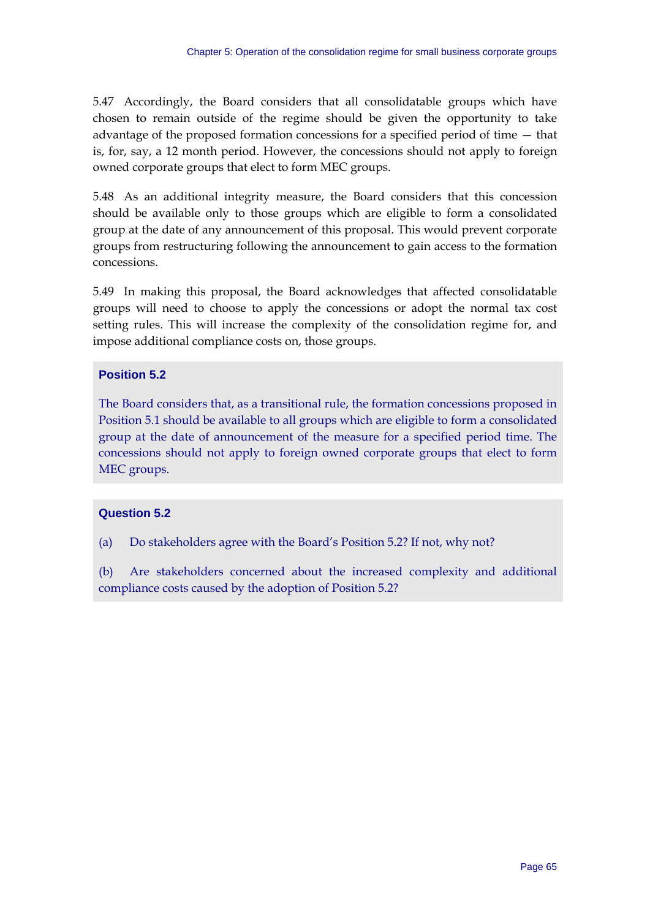5.47 Accordingly, the Board considers that all consolidatable groups which have chosen to remain outside of the regime should be given the opportunity to take advantage of the proposed formation concessions for a specified period of time — that is, for, say, a 12 month period. However, the concessions should not apply to foreign owned corporate groups that elect to form MEC groups.

5.48 As an additional integrity measure, the Board considers that this concession should be available only to those groups which are eligible to form a consolidated group at the date of any announcement of this proposal. This would prevent corporate groups from restructuring following the announcement to gain access to the formation concessions.

5.49 In making this proposal, the Board acknowledges that affected consolidatable groups will need to choose to apply the concessions or adopt the normal tax cost setting rules. This will increase the complexity of the consolidation regime for, and impose additional compliance costs on, those groups.

# **Position 5.2**

The Board considers that, as a transitional rule, the formation concessions proposed in Position 5.1 should be available to all groups which are eligible to form a consolidated group at the date of announcement of the measure for a specified period time. The concessions should not apply to foreign owned corporate groups that elect to form MEC groups.

# **Question 5.2**

(a) Do stakeholders agree with the Board's Position 5.2? If not, why not?

(b) Are stakeholders concerned about the increased complexity and additional compliance costs caused by the adoption of Position 5.2?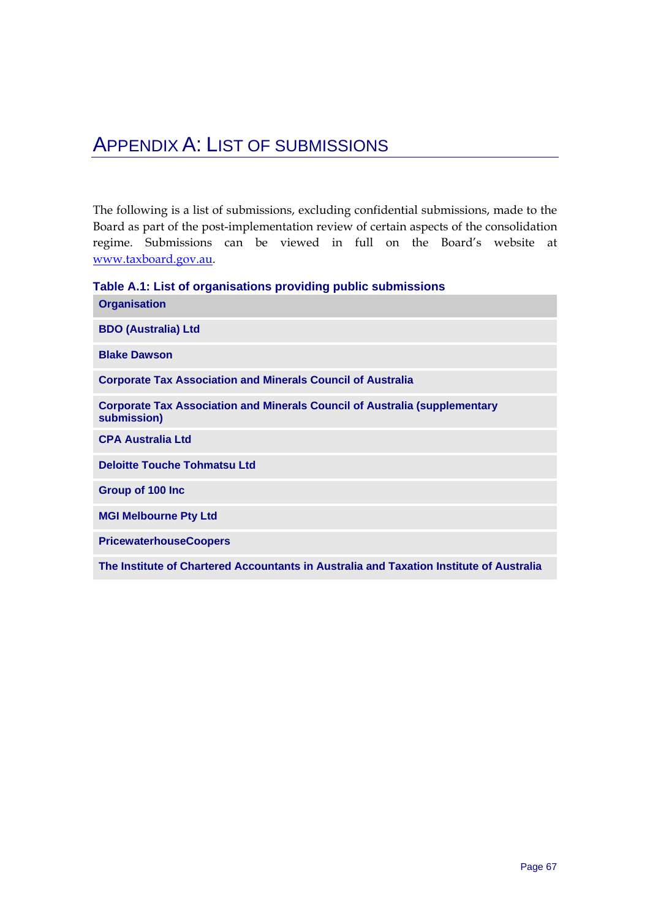# APPENDIX A: LIST OF SUBMISSIONS

The following is a list of submissions, excluding confidential submissions, made to the Board as part of the post-implementation review of certain aspects of the consolidation regime. Submissions can be viewed in full on the Board's website at www.taxboard.gov.au.

# **Table A.1: List of organisations providing public submissions**

| <b>Organisation</b>                                                                              |
|--------------------------------------------------------------------------------------------------|
| <b>BDO</b> (Australia) Ltd                                                                       |
| <b>Blake Dawson</b>                                                                              |
| <b>Corporate Tax Association and Minerals Council of Australia</b>                               |
| <b>Corporate Tax Association and Minerals Council of Australia (supplementary</b><br>submission) |
| <b>CPA Australia Ltd</b>                                                                         |
| <b>Deloitte Touche Tohmatsu Ltd</b>                                                              |
| Group of 100 Inc                                                                                 |
| <b>MGI Melbourne Pty Ltd</b>                                                                     |
| <b>PricewaterhouseCoopers</b>                                                                    |
| The Institute of Chartered Accountants in Australia and Taxation Institute of Australia          |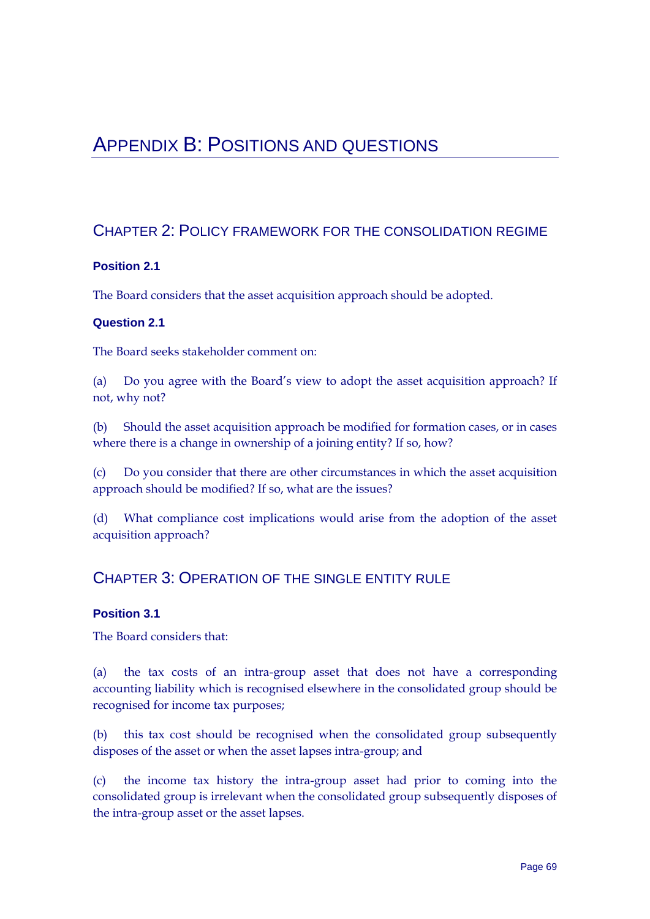# APPENDIX B: POSITIONS AND QUESTIONS

# CHAPTER 2: POLICY FRAMEWORK FOR THE CONSOLIDATION REGIME

# **Position 2.1**

The Board considers that the asset acquisition approach should be adopted.

# **Question 2.1**

The Board seeks stakeholder comment on:

(a) Do you agree with the Board's view to adopt the asset acquisition approach? If not, why not?

(b) Should the asset acquisition approach be modified for formation cases, or in cases where there is a change in ownership of a joining entity? If so, how?

(c) Do you consider that there are other circumstances in which the asset acquisition approach should be modified? If so, what are the issues?

(d) What compliance cost implications would arise from the adoption of the asset acquisition approach?

# CHAPTER 3: OPERATION OF THE SINGLE ENTITY RULE

# **Position 3.1**

The Board considers that:

(a) the tax costs of an intra-group asset that does not have a corresponding accounting liability which is recognised elsewhere in the consolidated group should be recognised for income tax purposes;

(b) this tax cost should be recognised when the consolidated group subsequently disposes of the asset or when the asset lapses intra-group; and

(c) the income tax history the intra-group asset had prior to coming into the consolidated group is irrelevant when the consolidated group subsequently disposes of the intra-group asset or the asset lapses.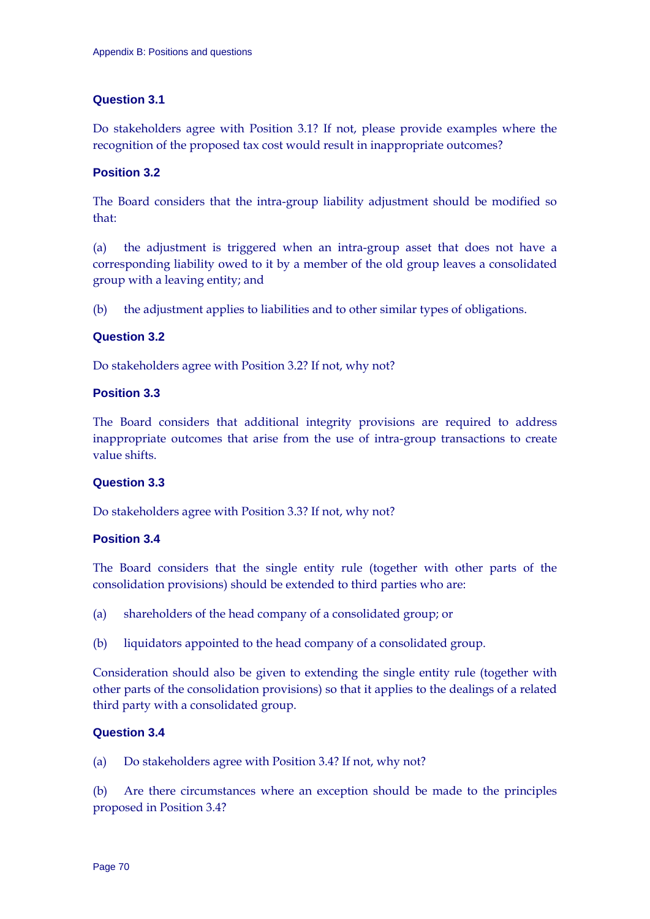# **Question 3.1**

Do stakeholders agree with Position 3.1? If not, please provide examples where the recognition of the proposed tax cost would result in inappropriate outcomes?

# **Position 3.2**

The Board considers that the intra-group liability adjustment should be modified so that:

(a) the adjustment is triggered when an intra-group asset that does not have a corresponding liability owed to it by a member of the old group leaves a consolidated group with a leaving entity; and

(b) the adjustment applies to liabilities and to other similar types of obligations.

# **Question 3.2**

Do stakeholders agree with Position 3.2? If not, why not?

# **Position 3.3**

The Board considers that additional integrity provisions are required to address inappropriate outcomes that arise from the use of intra-group transactions to create value shifts.

# **Question 3.3**

Do stakeholders agree with Position 3.3? If not, why not?

# **Position 3.4**

The Board considers that the single entity rule (together with other parts of the consolidation provisions) should be extended to third parties who are:

- (a) shareholders of the head company of a consolidated group; or
- (b) liquidators appointed to the head company of a consolidated group.

Consideration should also be given to extending the single entity rule (together with other parts of the consolidation provisions) so that it applies to the dealings of a related third party with a consolidated group.

# **Question 3.4**

(a) Do stakeholders agree with Position 3.4? If not, why not?

(b) Are there circumstances where an exception should be made to the principles proposed in Position 3.4?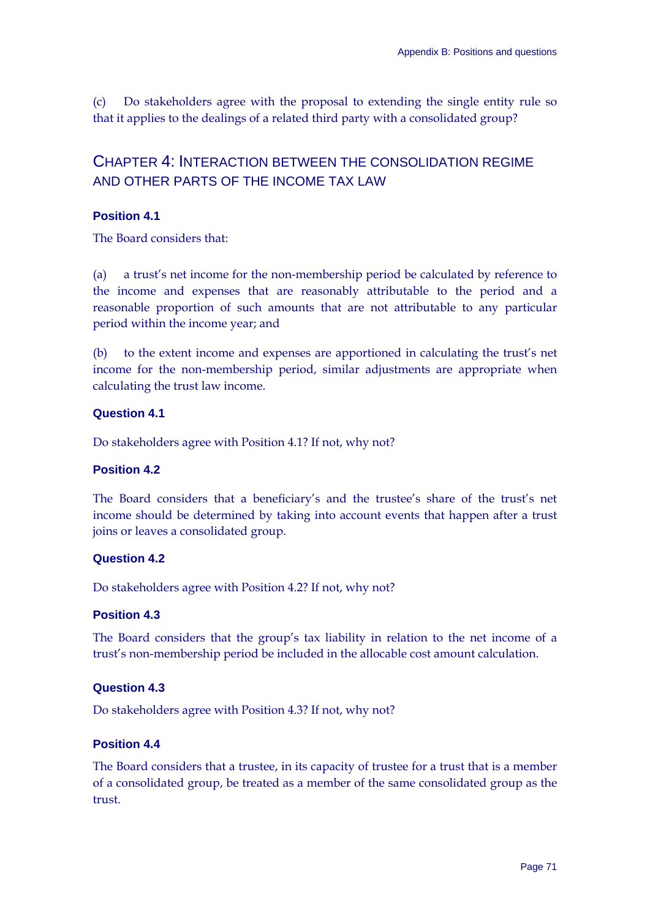(c) Do stakeholders agree with the proposal to extending the single entity rule so that it applies to the dealings of a related third party with a consolidated group?

# CHAPTER 4: INTERACTION BETWEEN THE CONSOLIDATION REGIME AND OTHER PARTS OF THE INCOME TAX LAW

## **Position 4.1**

The Board considers that:

(a) a trust's net income for the non-membership period be calculated by reference to the income and expenses that are reasonably attributable to the period and a reasonable proportion of such amounts that are not attributable to any particular period within the income year; and

(b) to the extent income and expenses are apportioned in calculating the trust's net income for the non-membership period, similar adjustments are appropriate when calculating the trust law income.

## **Question 4.1**

Do stakeholders agree with Position 4.1? If not, why not?

## **Position 4.2**

The Board considers that a beneficiary's and the trustee's share of the trust's net income should be determined by taking into account events that happen after a trust joins or leaves a consolidated group.

## **Question 4.2**

Do stakeholders agree with Position 4.2? If not, why not?

## **Position 4.3**

The Board considers that the group's tax liability in relation to the net income of a trust's non-membership period be included in the allocable cost amount calculation.

# **Question 4.3**

Do stakeholders agree with Position 4.3? If not, why not?

## **Position 4.4**

The Board considers that a trustee, in its capacity of trustee for a trust that is a member of a consolidated group, be treated as a member of the same consolidated group as the trust.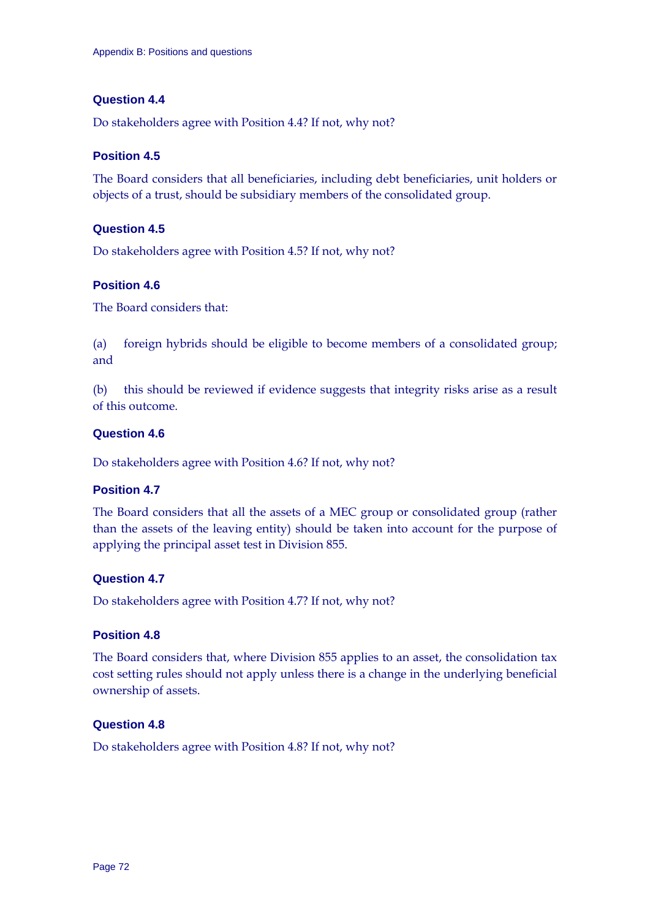# **Question 4.4**

Do stakeholders agree with Position 4.4? If not, why not?

# **Position 4.5**

The Board considers that all beneficiaries, including debt beneficiaries, unit holders or objects of a trust, should be subsidiary members of the consolidated group.

# **Question 4.5**

Do stakeholders agree with Position 4.5? If not, why not?

# **Position 4.6**

The Board considers that:

(a) foreign hybrids should be eligible to become members of a consolidated group; and

(b) this should be reviewed if evidence suggests that integrity risks arise as a result of this outcome.

# **Question 4.6**

Do stakeholders agree with Position 4.6? If not, why not?

# **Position 4.7**

The Board considers that all the assets of a MEC group or consolidated group (rather than the assets of the leaving entity) should be taken into account for the purpose of applying the principal asset test in Division 855.

# **Question 4.7**

Do stakeholders agree with Position 4.7? If not, why not?

# **Position 4.8**

The Board considers that, where Division 855 applies to an asset, the consolidation tax cost setting rules should not apply unless there is a change in the underlying beneficial ownership of assets.

# **Question 4.8**

Do stakeholders agree with Position 4.8? If not, why not?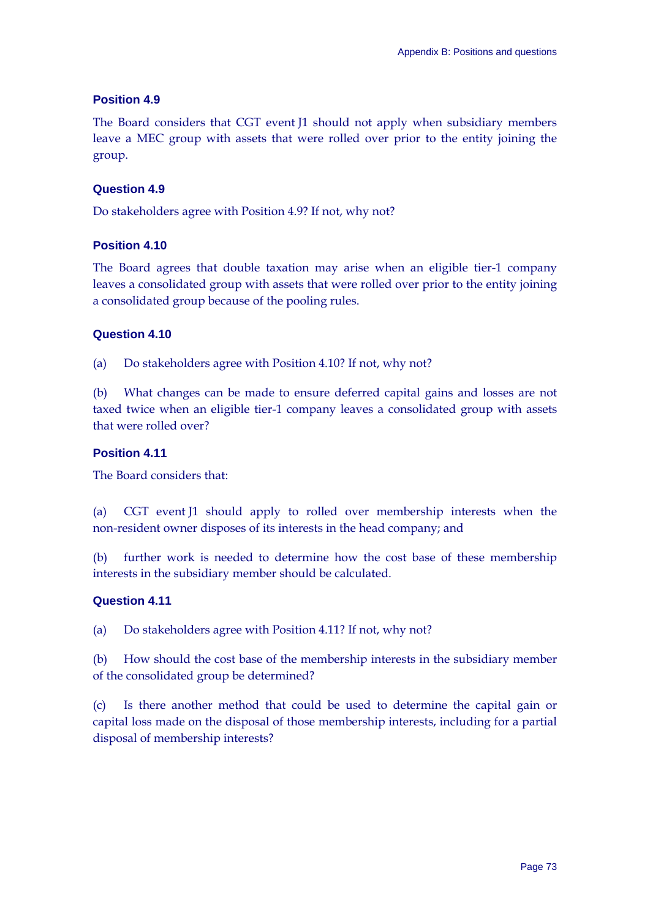# **Position 4.9**

The Board considers that CGT event J1 should not apply when subsidiary members leave a MEC group with assets that were rolled over prior to the entity joining the group.

# **Question 4.9**

Do stakeholders agree with Position 4.9? If not, why not?

# **Position 4.10**

The Board agrees that double taxation may arise when an eligible tier-1 company leaves a consolidated group with assets that were rolled over prior to the entity joining a consolidated group because of the pooling rules.

# **Question 4.10**

(a) Do stakeholders agree with Position 4.10? If not, why not?

(b) What changes can be made to ensure deferred capital gains and losses are not taxed twice when an eligible tier-1 company leaves a consolidated group with assets that were rolled over?

# **Position 4.11**

The Board considers that:

(a) CGT event J1 should apply to rolled over membership interests when the non-resident owner disposes of its interests in the head company; and

(b) further work is needed to determine how the cost base of these membership interests in the subsidiary member should be calculated.

## **Question 4.11**

(a) Do stakeholders agree with Position 4.11? If not, why not?

(b) How should the cost base of the membership interests in the subsidiary member of the consolidated group be determined?

(c) Is there another method that could be used to determine the capital gain or capital loss made on the disposal of those membership interests, including for a partial disposal of membership interests?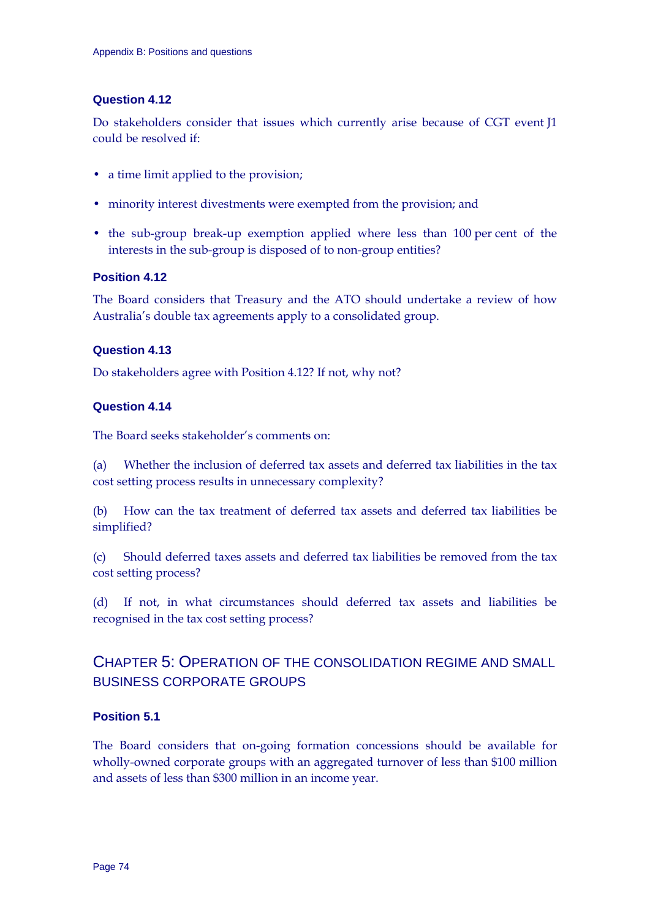# **Question 4.12**

Do stakeholders consider that issues which currently arise because of CGT event J1 could be resolved if:

- a time limit applied to the provision;
- minority interest divestments were exempted from the provision; and
- the sub-group break-up exemption applied where less than 100 per cent of the interests in the sub-group is disposed of to non-group entities?

# **Position 4.12**

The Board considers that Treasury and the ATO should undertake a review of how Australia's double tax agreements apply to a consolidated group.

# **Question 4.13**

Do stakeholders agree with Position 4.12? If not, why not?

# **Question 4.14**

The Board seeks stakeholder's comments on:

(a) Whether the inclusion of deferred tax assets and deferred tax liabilities in the tax cost setting process results in unnecessary complexity?

(b) How can the tax treatment of deferred tax assets and deferred tax liabilities be simplified?

(c) Should deferred taxes assets and deferred tax liabilities be removed from the tax cost setting process?

(d) If not, in what circumstances should deferred tax assets and liabilities be recognised in the tax cost setting process?

# CHAPTER 5: OPERATION OF THE CONSOLIDATION REGIME AND SMALL BUSINESS CORPORATE GROUPS

# **Position 5.1**

The Board considers that on-going formation concessions should be available for wholly-owned corporate groups with an aggregated turnover of less than \$100 million and assets of less than \$300 million in an income year.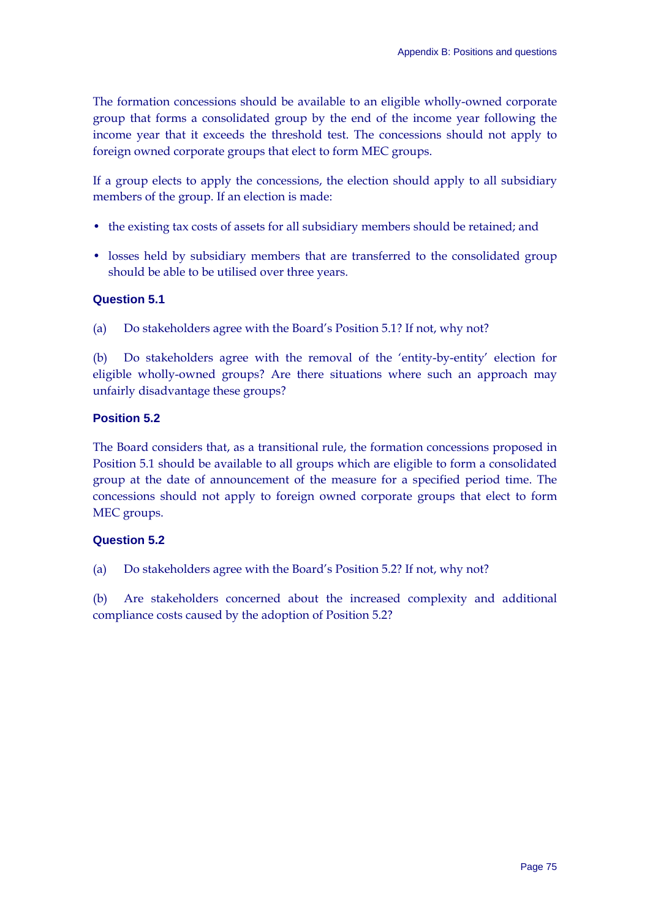The formation concessions should be available to an eligible wholly-owned corporate group that forms a consolidated group by the end of the income year following the income year that it exceeds the threshold test. The concessions should not apply to foreign owned corporate groups that elect to form MEC groups.

If a group elects to apply the concessions, the election should apply to all subsidiary members of the group. If an election is made:

- the existing tax costs of assets for all subsidiary members should be retained; and
- losses held by subsidiary members that are transferred to the consolidated group should be able to be utilised over three years.

## **Question 5.1**

(a) Do stakeholders agree with the Board's Position 5.1? If not, why not?

(b) Do stakeholders agree with the removal of the 'entity-by-entity' election for eligible wholly-owned groups? Are there situations where such an approach may unfairly disadvantage these groups?

## **Position 5.2**

The Board considers that, as a transitional rule, the formation concessions proposed in Position 5.1 should be available to all groups which are eligible to form a consolidated group at the date of announcement of the measure for a specified period time. The concessions should not apply to foreign owned corporate groups that elect to form MEC groups.

## **Question 5.2**

(a) Do stakeholders agree with the Board's Position 5.2? If not, why not?

(b) Are stakeholders concerned about the increased complexity and additional compliance costs caused by the adoption of Position 5.2?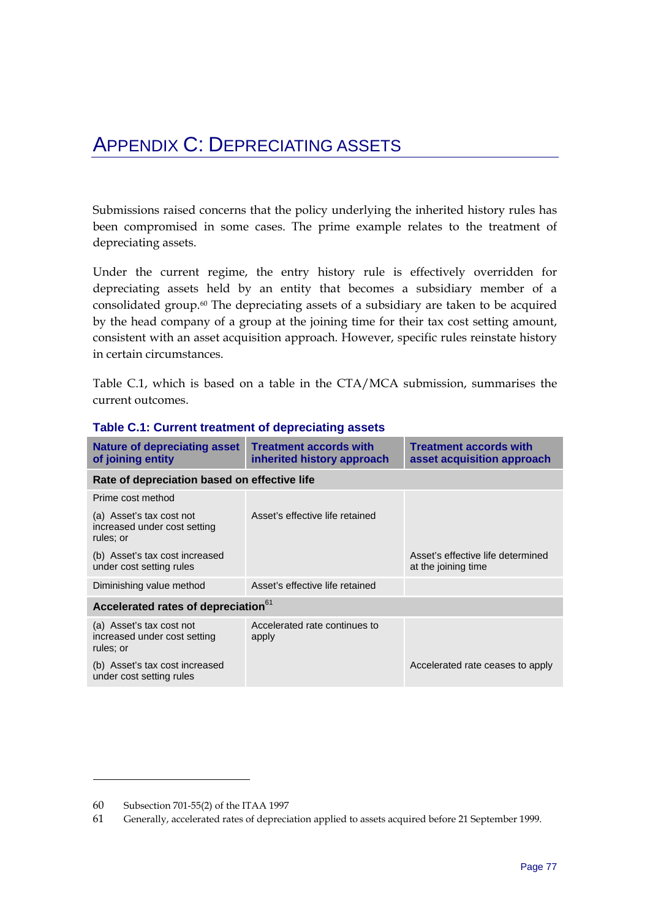# APPENDIX C: DEPRECIATING ASSETS

Submissions raised concerns that the policy underlying the inherited history rules has been compromised in some cases. The prime example relates to the treatment of depreciating assets.

Under the current regime, the entry history rule is effectively overridden for depreciating assets held by an entity that becomes a subsidiary member of a consolidated group. $60$  The depreciating assets of a subsidiary are taken to be acquired by the head company of a group at the joining time for their tax cost setting amount, consistent with an asset acquisition approach. However, specific rules reinstate history in certain circumstances.

Table C.1, which is based on a table in the CTA/MCA submission, summarises the current outcomes.

| <b>Nature of depreciating asset</b><br>of joining entity              | <b>Treatment accords with</b><br>inherited history approach | <b>Treatment accords with</b><br>asset acquisition approach |  |
|-----------------------------------------------------------------------|-------------------------------------------------------------|-------------------------------------------------------------|--|
| Rate of depreciation based on effective life                          |                                                             |                                                             |  |
| Prime cost method                                                     |                                                             |                                                             |  |
| (a) Asset's tax cost not<br>increased under cost setting<br>rules; or | Asset's effective life retained                             |                                                             |  |
| (b) Asset's tax cost increased<br>under cost setting rules            |                                                             | Asset's effective life determined<br>at the joining time    |  |
| Diminishing value method                                              | Asset's effective life retained                             |                                                             |  |
| Accelerated rates of depreciation <sup>61</sup>                       |                                                             |                                                             |  |
| (a) Asset's tax cost not<br>increased under cost setting<br>rules; or | Accelerated rate continues to<br>apply                      |                                                             |  |
| (b) Asset's tax cost increased<br>under cost setting rules            |                                                             | Accelerated rate ceases to apply                            |  |

# **Table C.1: Current treatment of depreciating assets**

<u>.</u>

<sup>60</sup> Subsection 701-55(2) of the ITAA 1997

<sup>61</sup> Generally, accelerated rates of depreciation applied to assets acquired before 21 September 1999.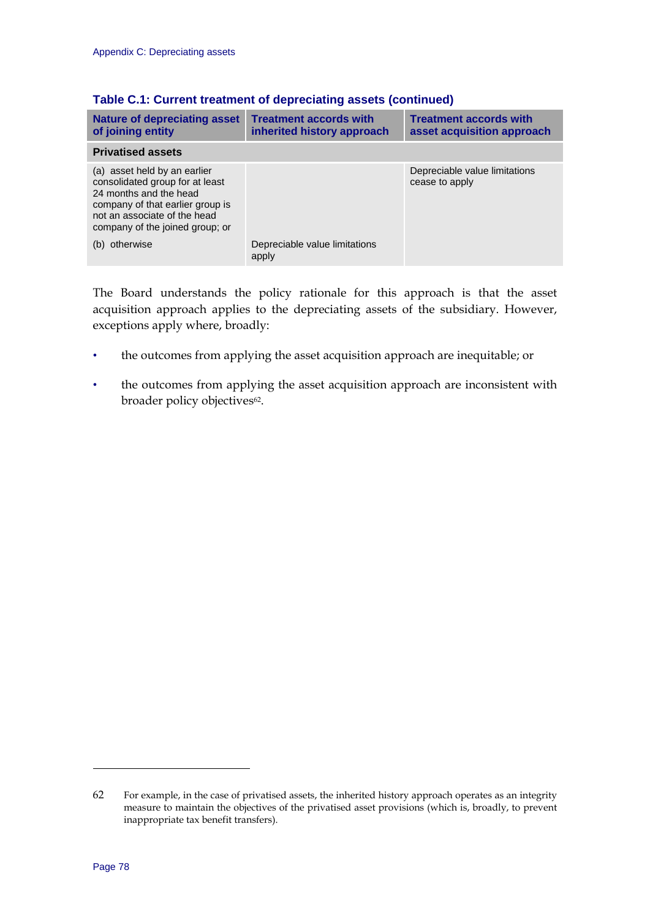| <b>Nature of depreciating asset</b><br>of joining entity                                                                                                                                                             | <b>Treatment accords with</b><br>inherited history approach | <b>Treatment accords with</b><br>asset acquisition approach |  |  |
|----------------------------------------------------------------------------------------------------------------------------------------------------------------------------------------------------------------------|-------------------------------------------------------------|-------------------------------------------------------------|--|--|
| <b>Privatised assets</b>                                                                                                                                                                                             |                                                             |                                                             |  |  |
| (a) asset held by an earlier<br>consolidated group for at least<br>24 months and the head<br>company of that earlier group is<br>not an associate of the head<br>company of the joined group; or<br>otherwise<br>(b) | Depreciable value limitations<br>apply                      | Depreciable value limitations<br>cease to apply             |  |  |

# **Table C.1: Current treatment of depreciating assets (continued)**

The Board understands the policy rationale for this approach is that the asset acquisition approach applies to the depreciating assets of the subsidiary. However, exceptions apply where, broadly:

- the outcomes from applying the asset acquisition approach are inequitable; or
- the outcomes from applying the asset acquisition approach are inconsistent with broader policy objectives<sup>62</sup>.

<u>.</u>

<sup>62</sup> For example, in the case of privatised assets, the inherited history approach operates as an integrity measure to maintain the objectives of the privatised asset provisions (which is, broadly, to prevent inappropriate tax benefit transfers).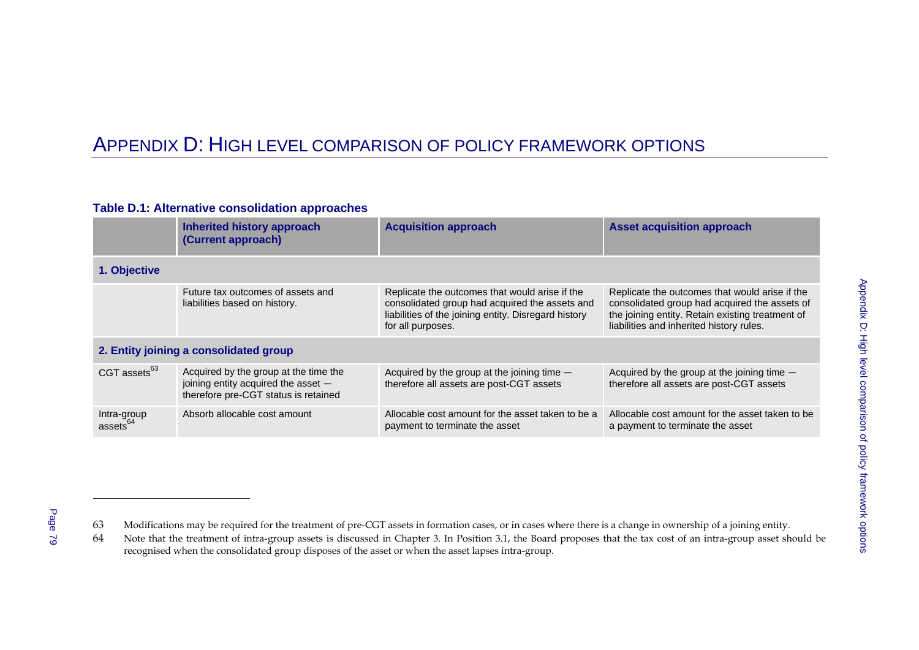# APPENDIX D: HIGH LEVEL COMPARISON OF POLICY FRAMEWORK OPTIONS

# **Table D.1: Alternative consolidation approaches**

|                                        | Inherited history approach<br>(Current approach)                                                                     | <b>Acquisition approach</b>                                                                                                                                                   | <b>Asset acquisition approach</b>                                                                                                                                                               |
|----------------------------------------|----------------------------------------------------------------------------------------------------------------------|-------------------------------------------------------------------------------------------------------------------------------------------------------------------------------|-------------------------------------------------------------------------------------------------------------------------------------------------------------------------------------------------|
| 1. Objective                           |                                                                                                                      |                                                                                                                                                                               |                                                                                                                                                                                                 |
|                                        | Future tax outcomes of assets and<br>liabilities based on history.                                                   | Replicate the outcomes that would arise if the<br>consolidated group had acquired the assets and<br>liabilities of the joining entity. Disregard history<br>for all purposes. | Replicate the outcomes that would arise if the<br>consolidated group had acquired the assets of<br>the joining entity. Retain existing treatment of<br>liabilities and inherited history rules. |
| 2. Entity joining a consolidated group |                                                                                                                      |                                                                                                                                                                               |                                                                                                                                                                                                 |
| CGT assets $^{63}$                     | Acquired by the group at the time the<br>joining entity acquired the asset -<br>therefore pre-CGT status is retained | Acquired by the group at the joining time $-$<br>therefore all assets are post-CGT assets                                                                                     | Acquired by the group at the joining time $-$<br>therefore all assets are post-CGT assets                                                                                                       |
| Intra-group<br>assets <sup>64</sup>    | Absorb allocable cost amount                                                                                         | Allocable cost amount for the asset taken to be a<br>payment to terminate the asset                                                                                           | Allocable cost amount for the asset taken to be<br>a payment to terminate the asset                                                                                                             |

Page 79

<sup>63</sup> Modifications may be required for the treatment of pre-CGT assets in formation cases, or in cases where there is a change in ownership of a joining entity.

<sup>64</sup> Note that the treatment of intra-group assets is discussed in Chapter 3. In Position 3.1, the Board proposes that the tax cost of an intra-group asset should be recognised when the consolidated group disposes of the asset or when the asset lapses intra-group.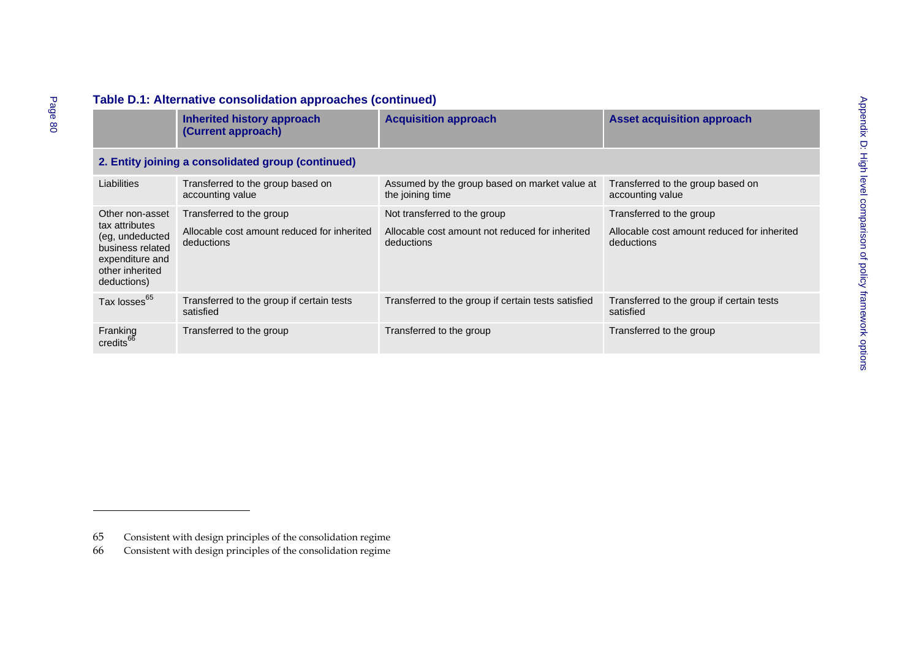| Table D.1: Alternative consolidation approaches (continued)                                                |                                                           |                                                                   |                                                           |
|------------------------------------------------------------------------------------------------------------|-----------------------------------------------------------|-------------------------------------------------------------------|-----------------------------------------------------------|
|                                                                                                            | <b>Inherited history approach</b><br>(Current approach)   | <b>Acquisition approach</b>                                       | <b>Asset acquisition approach</b>                         |
| 2. Entity joining a consolidated group (continued)                                                         |                                                           |                                                                   |                                                           |
| Liabilities                                                                                                | Transferred to the group based on<br>accounting value     | Assumed by the group based on market value at<br>the joining time | Transferred to the group based on<br>accounting value     |
| Other non-asset                                                                                            | Transferred to the group                                  | Not transferred to the group                                      | Transferred to the group                                  |
| tax attributes<br>(eg, undeducted<br>business related<br>expenditure and<br>other inherited<br>deductions) | Allocable cost amount reduced for inherited<br>deductions | Allocable cost amount not reduced for inherited<br>deductions     | Allocable cost amount reduced for inherited<br>deductions |
| Tax losses <sup>65</sup>                                                                                   | Transferred to the group if certain tests<br>satisfied    | Transferred to the group if certain tests satisfied               | Transferred to the group if certain tests<br>satisfied    |
| Franking<br>credits <sup>66</sup>                                                                          | Transferred to the group                                  | Transferred to the group                                          | Transferred to the group                                  |

66 Consistent with design principles of the consolidation regime

<sup>65</sup> Consistent with design principles of the consolidation regime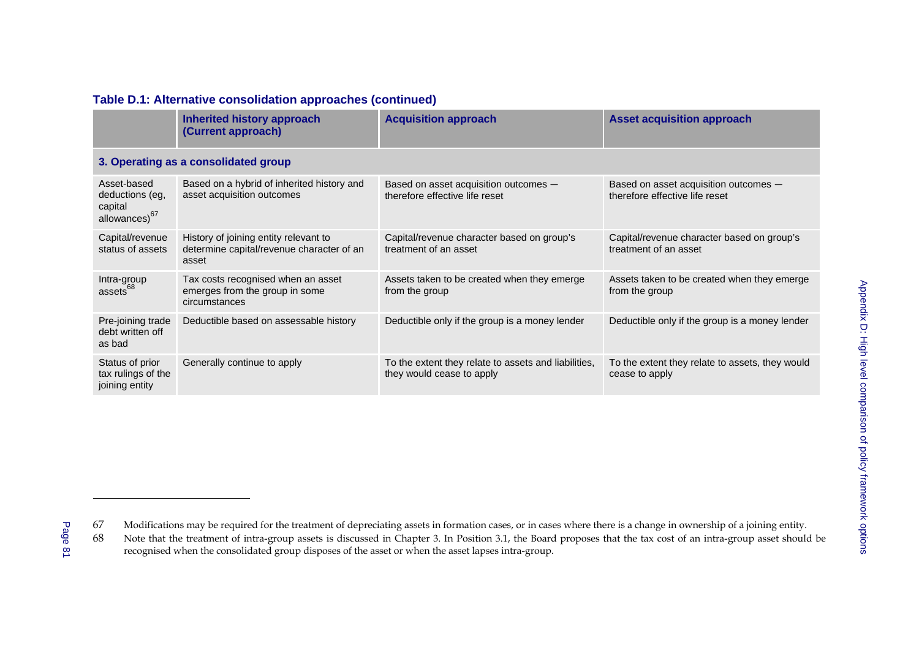|                                                                        | <b>Inherited history approach</b><br>(Current approach)                                     | <b>Acquisition approach</b>                                                       | <b>Asset acquisition approach</b>                                       |
|------------------------------------------------------------------------|---------------------------------------------------------------------------------------------|-----------------------------------------------------------------------------------|-------------------------------------------------------------------------|
|                                                                        | 3. Operating as a consolidated group                                                        |                                                                                   |                                                                         |
| Asset-based<br>deductions (eg,<br>capital<br>allowances) <sup>67</sup> | Based on a hybrid of inherited history and<br>asset acquisition outcomes                    | Based on asset acquisition outcomes -<br>therefore effective life reset           | Based on asset acquisition outcomes -<br>therefore effective life reset |
| Capital/revenue<br>status of assets                                    | History of joining entity relevant to<br>determine capital/revenue character of an<br>asset | Capital/revenue character based on group's<br>treatment of an asset               | Capital/revenue character based on group's<br>treatment of an asset     |
| Intra-group<br>assets <sup>68</sup>                                    | Tax costs recognised when an asset<br>emerges from the group in some<br>circumstances       | Assets taken to be created when they emerge<br>from the group                     | Assets taken to be created when they emerge<br>from the group           |
| Pre-joining trade<br>debt written off<br>as bad                        | Deductible based on assessable history                                                      | Deductible only if the group is a money lender                                    | Deductible only if the group is a money lender                          |
| Status of prior<br>tax rulings of the<br>joining entity                | Generally continue to apply                                                                 | To the extent they relate to assets and liabilities,<br>they would cease to apply | To the extent they relate to assets, they would<br>cease to apply       |

<sup>67</sup> Modifications may be required for the treatment of depreciating assets in formation cases, or in cases where there is a change in ownership of a joining entity.<br>68 Note that the treatment of intra-group assets is discus

Note that the treatment of intra-group assets is discussed in Chapter 3. In Position 3.1, the Board proposes that the tax cost of an intra-group asset should be recognised when the consolidated group disposes of the asset or when the asset lapses intra-group.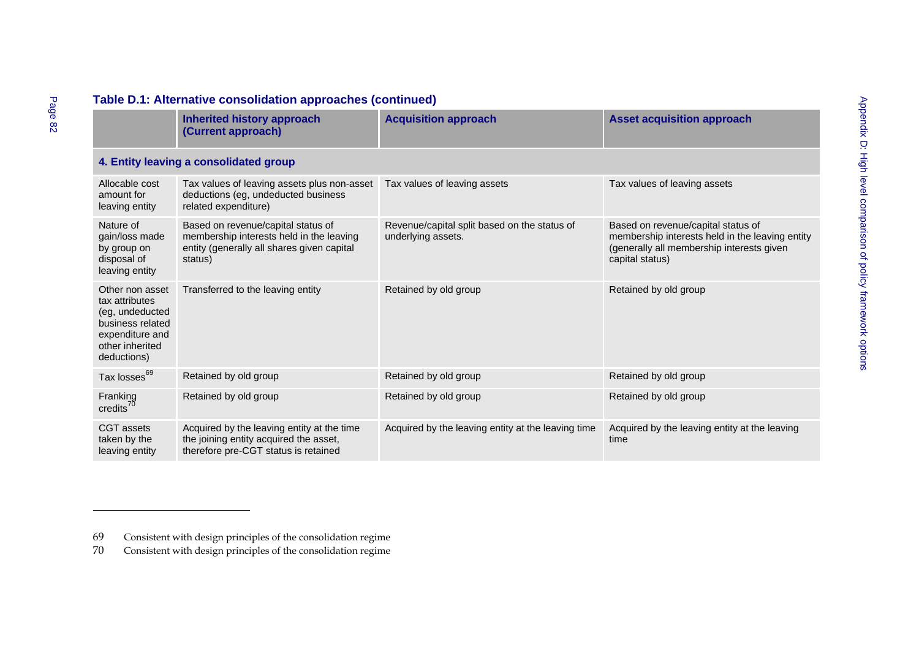| Table D.1: Alternative consolidation approaches (continued)                                                                   |                                                                                                                                         |                                                                    |                                                                                                                                                       |  |  |
|-------------------------------------------------------------------------------------------------------------------------------|-----------------------------------------------------------------------------------------------------------------------------------------|--------------------------------------------------------------------|-------------------------------------------------------------------------------------------------------------------------------------------------------|--|--|
|                                                                                                                               | <b>Inherited history approach</b><br>(Current approach)                                                                                 | <b>Acquisition approach</b>                                        | <b>Asset acquisition approach</b>                                                                                                                     |  |  |
|                                                                                                                               | 4. Entity leaving a consolidated group                                                                                                  |                                                                    |                                                                                                                                                       |  |  |
| Allocable cost<br>amount for<br>leaving entity                                                                                | Tax values of leaving assets plus non-asset<br>deductions (eg, undeducted business<br>related expenditure)                              | Tax values of leaving assets                                       | Tax values of leaving assets                                                                                                                          |  |  |
| Nature of<br>gain/loss made<br>by group on<br>disposal of<br>leaving entity                                                   | Based on revenue/capital status of<br>membership interests held in the leaving<br>entity (generally all shares given capital<br>status) | Revenue/capital split based on the status of<br>underlying assets. | Based on revenue/capital status of<br>membership interests held in the leaving entity<br>(generally all membership interests given<br>capital status) |  |  |
| Other non asset<br>tax attributes<br>(eg. undeducted<br>business related<br>expenditure and<br>other inherited<br>deductions) | Transferred to the leaving entity                                                                                                       | Retained by old group                                              | Retained by old group                                                                                                                                 |  |  |
| Tax losses <sup>69</sup>                                                                                                      | Retained by old group                                                                                                                   | Retained by old group                                              | Retained by old group                                                                                                                                 |  |  |
| Franking<br>credits <sup>70</sup>                                                                                             | Retained by old group                                                                                                                   | Retained by old group                                              | Retained by old group                                                                                                                                 |  |  |
| CGT assets<br>taken by the<br>leaving entity                                                                                  | Acquired by the leaving entity at the time<br>the joining entity acquired the asset,<br>therefore pre-CGT status is retained            | Acquired by the leaving entity at the leaving time                 | Acquired by the leaving entity at the leaving<br>time                                                                                                 |  |  |

<sup>69</sup> Consistent with design principles of the consolidation regime

<sup>70</sup> Consistent with design principles of the consolidation regime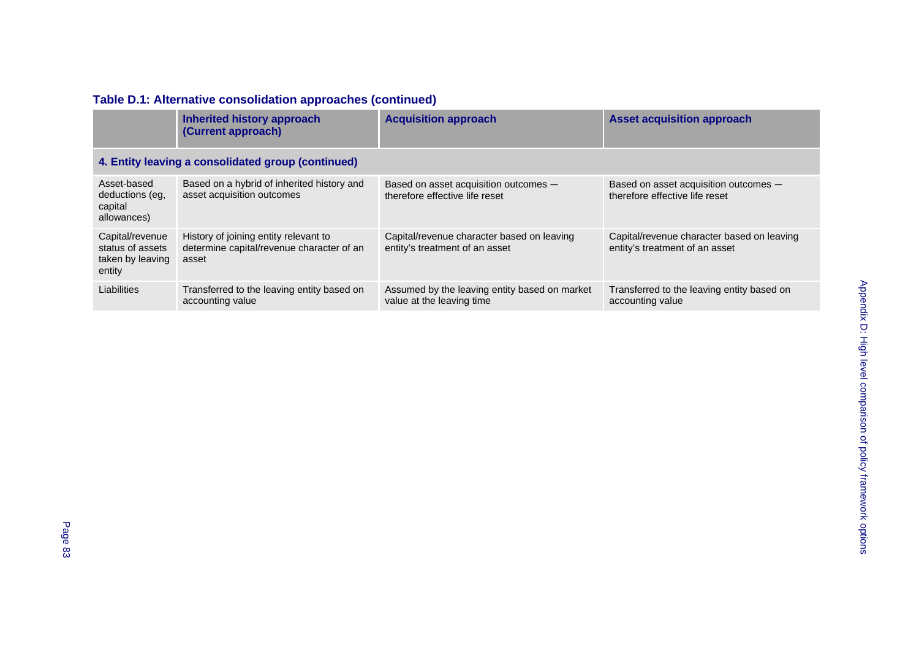# **Table D.1: Alternative consolidation approaches (continued)**

|                                                                   | Inherited history approach<br>(Current approach)                                            | <b>Acquisition approach</b>                                                  | <b>Asset acquisition approach</b>                                            |  |
|-------------------------------------------------------------------|---------------------------------------------------------------------------------------------|------------------------------------------------------------------------------|------------------------------------------------------------------------------|--|
| 4. Entity leaving a consolidated group (continued)                |                                                                                             |                                                                              |                                                                              |  |
| Asset-based<br>deductions (eq.<br>capital<br>allowances)          | Based on a hybrid of inherited history and<br>asset acquisition outcomes                    | Based on asset acquisition outcomes -<br>therefore effective life reset      | Based on asset acquisition outcomes -<br>therefore effective life reset      |  |
| Capital/revenue<br>status of assets<br>taken by leaving<br>entity | History of joining entity relevant to<br>determine capital/revenue character of an<br>asset | Capital/revenue character based on leaving<br>entity's treatment of an asset | Capital/revenue character based on leaving<br>entity's treatment of an asset |  |
| Liabilities                                                       | Transferred to the leaving entity based on<br>accounting value                              | Assumed by the leaving entity based on market<br>value at the leaving time   | Transferred to the leaving entity based on<br>accounting value               |  |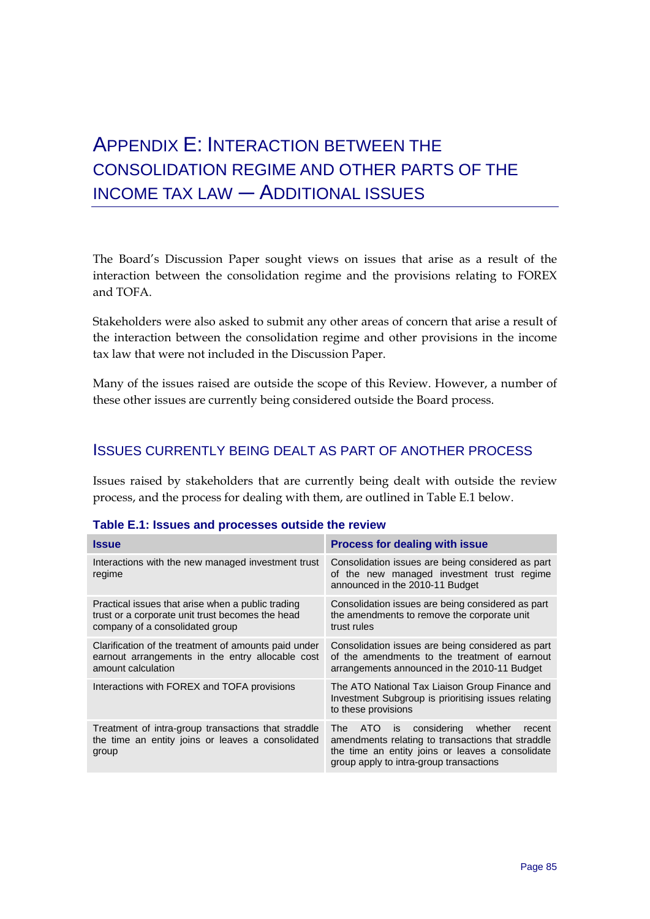# APPENDIX E: INTERACTION BETWEEN THE CONSOLIDATION REGIME AND OTHER PARTS OF THE INCOME TAX LAW — ADDITIONAL ISSUES

The Board's Discussion Paper sought views on issues that arise as a result of the interaction between the consolidation regime and the provisions relating to FOREX and TOFA.

Stakeholders were also asked to submit any other areas of concern that arise a result of the interaction between the consolidation regime and other provisions in the income tax law that were not included in the Discussion Paper.

Many of the issues raised are outside the scope of this Review. However, a number of these other issues are currently being considered outside the Board process.

# ISSUES CURRENTLY BEING DEALT AS PART OF ANOTHER PROCESS

Issues raised by stakeholders that are currently being dealt with outside the review process, and the process for dealing with them, are outlined in Table E.1 below.

| <b>Issue</b>                                                                                                                             | <b>Process for dealing with issue</b>                                                                                                                                                                 |
|------------------------------------------------------------------------------------------------------------------------------------------|-------------------------------------------------------------------------------------------------------------------------------------------------------------------------------------------------------|
| Interactions with the new managed investment trust<br>regime                                                                             | Consolidation issues are being considered as part<br>of the new managed investment trust regime<br>announced in the 2010-11 Budget                                                                    |
| Practical issues that arise when a public trading<br>trust or a corporate unit trust becomes the head<br>company of a consolidated group | Consolidation issues are being considered as part<br>the amendments to remove the corporate unit<br>trust rules                                                                                       |
| Clarification of the treatment of amounts paid under<br>earnout arrangements in the entry allocable cost<br>amount calculation           | Consolidation issues are being considered as part<br>of the amendments to the treatment of earnout<br>arrangements announced in the 2010-11 Budget                                                    |
| Interactions with FOREX and TOFA provisions                                                                                              | The ATO National Tax Liaison Group Finance and<br>Investment Subgroup is prioritising issues relating<br>to these provisions                                                                          |
| Treatment of intra-group transactions that straddle<br>the time an entity joins or leaves a consolidated<br>group                        | considering<br>The ATO<br>is<br>whether<br>recent<br>amendments relating to transactions that straddle<br>the time an entity joins or leaves a consolidate<br>group apply to intra-group transactions |

## **Table E.1: Issues and processes outside the review**